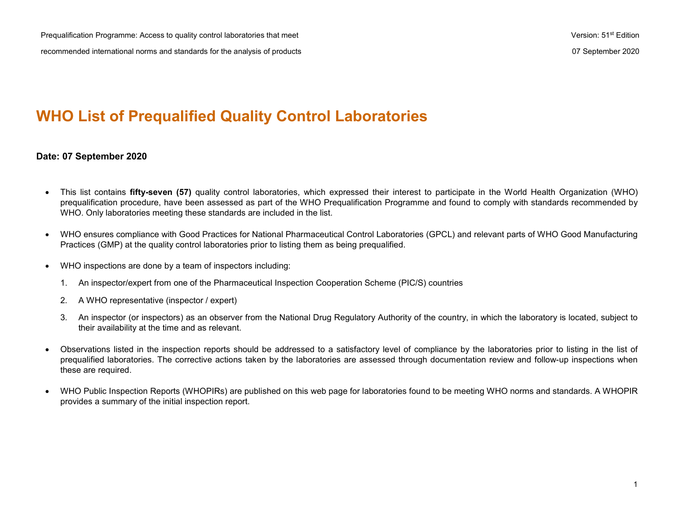# **WHO List of Prequalified Quality Control Laboratories**

### **Date: 07 September 2020**

- This list contains **fifty-seven (57)** quality control laboratories, which expressed their interest to participate in the World Health Organization (WHO) prequalification procedure, have been assessed as part of the WHO Prequalification Programme and found to comply with standards recommended by WHO. Only laboratories meeting these standards are included in the list.
- WHO ensures compliance with Good Practices for National Pharmaceutical Control Laboratories (GPCL) and relevant parts of WHO Good Manufacturing Practices (GMP) at the quality control laboratories prior to listing them as being prequalified.
- WHO inspections are done by a team of inspectors including:
	- 1. An inspector/expert from one of the Pharmaceutical Inspection Cooperation Scheme (PIC/S) countries
	- 2. A WHO representative (inspector / expert)
	- 3. An inspector (or inspectors) as an observer from the National Drug Regulatory Authority of the country, in which the laboratory is located, subject to their availability at the time and as relevant.
- Observations listed in the inspection reports should be addressed to a satisfactory level of compliance by the laboratories prior to listing in the list of prequalified laboratories. The corrective actions taken by the laboratories are assessed through documentation review and follow-up inspections when these are required.
- WHO Public Inspection Reports (WHOPIRs) are published on this web page for laboratories found to be meeting WHO norms and standards. A WHOPIR provides a summary of the initial inspection report.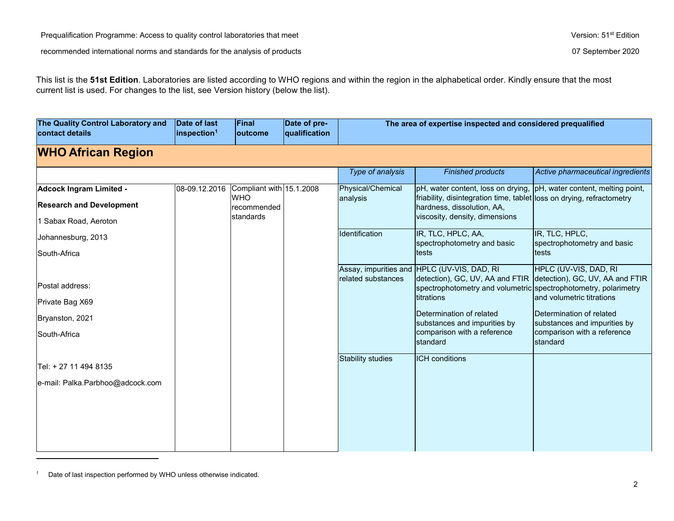<span id="page-1-0"></span>This list is the **51st Edition**. Laboratories are listed according to WHO regions and within the region in the alphabetical order. Kindly ensure that the most current list is used. For changes to the list, see Version history (below the list).

| The Quality Control Laboratory and<br>contact details                 | Date of last<br>inspection <sup>1</sup> | Final<br>outcome          | Date of pre-<br>qualification |                                                | The area of expertise inspected and considered prequalified                                                                                                                                                                                                                                     |                                                                                                                                                                                              |
|-----------------------------------------------------------------------|-----------------------------------------|---------------------------|-------------------------------|------------------------------------------------|-------------------------------------------------------------------------------------------------------------------------------------------------------------------------------------------------------------------------------------------------------------------------------------------------|----------------------------------------------------------------------------------------------------------------------------------------------------------------------------------------------|
| <b>WHO African Region</b>                                             |                                         |                           |                               |                                                |                                                                                                                                                                                                                                                                                                 |                                                                                                                                                                                              |
|                                                                       |                                         |                           |                               | Type of analysis                               | <b>Finished products</b>                                                                                                                                                                                                                                                                        | Active pharmaceutical ingredients                                                                                                                                                            |
| <b>Adcock Ingram Limited -</b>                                        | 08-09.12.2016                           | Compliant with 15.1.2008  |                               | Physical/Chemical                              | pH, water content, loss on drying,                                                                                                                                                                                                                                                              | pH, water content, melting point,                                                                                                                                                            |
| <b>Research and Development</b>                                       |                                         | <b>WHO</b><br>recommended |                               | analysis                                       | friability, disintegration time, tablet loss on drying, refractometry<br>hardness, dissolution, AA,                                                                                                                                                                                             |                                                                                                                                                                                              |
| 1 Sabax Road, Aeroton                                                 |                                         | <b>standards</b>          |                               |                                                | viscosity, density, dimensions                                                                                                                                                                                                                                                                  |                                                                                                                                                                                              |
| Johannesburg, 2013                                                    |                                         |                           |                               | Identification                                 | IR, TLC, HPLC, AA,<br>spectrophotometry and basic                                                                                                                                                                                                                                               | IR, TLC, HPLC,<br>spectrophotometry and basic                                                                                                                                                |
| South-Africa                                                          |                                         |                           |                               |                                                | tests                                                                                                                                                                                                                                                                                           | tests                                                                                                                                                                                        |
| Postal address:<br>Private Bag X69<br>Bryanston, 2021<br>South-Africa |                                         |                           |                               | related substances<br><b>Stability studies</b> | Assay, impurities and HPLC (UV-VIS, DAD, RI<br>detection), GC, UV, AA and FTIR<br>spectrophotometry and volumetric spectrophotometry, polarimetry<br>titrations<br>Determination of related<br>substances and impurities by<br>comparison with a reference<br>standard<br><b>ICH</b> conditions | HPLC (UV-VIS, DAD, RI<br>detection), GC, UV, AA and FTIR<br>and volumetric titrations<br>Determination of related<br>substances and impurities by<br>comparison with a reference<br>standard |
| lTel: + 27 11 494 8135                                                |                                         |                           |                               |                                                |                                                                                                                                                                                                                                                                                                 |                                                                                                                                                                                              |
| e-mail: Palka.Parbhoo@adcock.com                                      |                                         |                           |                               |                                                |                                                                                                                                                                                                                                                                                                 |                                                                                                                                                                                              |

<sup>&</sup>lt;sup>1</sup> Date of last inspection performed by WHO unless otherwise indicated.

 $\overline{a}$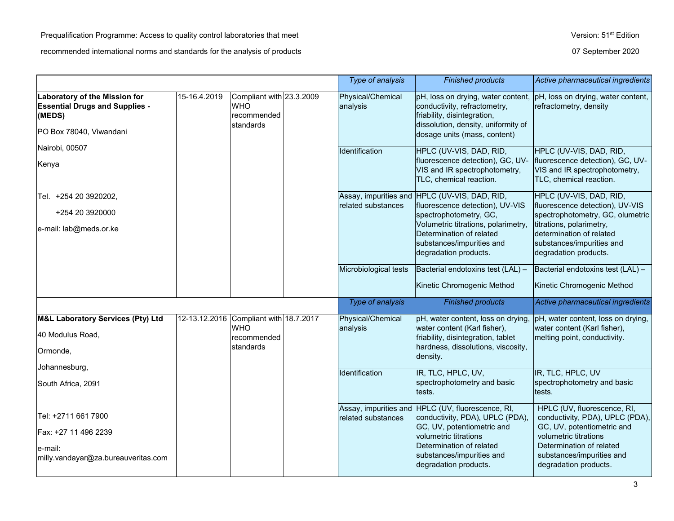|                                                                                                                    |               |                                                                    |  | Type of analysis              | <b>Finished products</b>                                                                                                                                                                                                            | Active pharmaceutical ingredients                                                                                                                                                                            |
|--------------------------------------------------------------------------------------------------------------------|---------------|--------------------------------------------------------------------|--|-------------------------------|-------------------------------------------------------------------------------------------------------------------------------------------------------------------------------------------------------------------------------------|--------------------------------------------------------------------------------------------------------------------------------------------------------------------------------------------------------------|
| <b>Laboratory of the Mission for</b><br><b>Essential Drugs and Supplies -</b><br>(MEDS)<br>PO Box 78040, Viwandani | 15-16.4.2019  | Compliant with 23.3.2009<br><b>WHO</b><br>recommended<br>standards |  | Physical/Chemical<br>analysis | pH, loss on drying, water content,<br>conductivity, refractometry,<br>friability, disintegration,<br>dissolution, density, uniformity of<br>dosage units (mass, content)                                                            | pH, loss on drying, water content,<br>refractometry, density                                                                                                                                                 |
| Nairobi, 00507<br>Kenya                                                                                            |               |                                                                    |  | <b>Identification</b>         | HPLC (UV-VIS, DAD, RID,<br>fluorescence detection), GC, UV-<br>VIS and IR spectrophotometry,<br>TLC, chemical reaction.                                                                                                             | HPLC (UV-VIS, DAD, RID,<br>fluorescence detection), GC, UV-<br>VIS and IR spectrophotometry,<br>TLC, chemical reaction.                                                                                      |
| Tel. +254 20 3920202,<br>+254 20 3920000<br>e-mail: lab@meds.or.ke                                                 |               |                                                                    |  | related substances            | Assay, impurities and HPLC (UV-VIS, DAD, RID,<br>fluorescence detection), UV-VIS<br>spectrophotometry, GC,<br>Volumetric titrations, polarimetry,<br>Determination of related<br>substances/impurities and<br>degradation products. | HPLC (UV-VIS, DAD, RID,<br>fluorescence detection), UV-VIS<br>spectrophotometry, GC, olumetric<br>titrations, polarimetry,<br>determination of related<br>substances/impurities and<br>degradation products. |
|                                                                                                                    |               |                                                                    |  | Microbiological tests         | Bacterial endotoxins test (LAL) -<br>Kinetic Chromogenic Method                                                                                                                                                                     | Bacterial endotoxins test (LAL) -<br>Kinetic Chromogenic Method                                                                                                                                              |
|                                                                                                                    |               |                                                                    |  | Type of analysis              | <b>Finished products</b>                                                                                                                                                                                                            | Active pharmaceutical ingredients                                                                                                                                                                            |
| <b>M&amp;L Laboratory Services (Pty) Ltd</b><br>40 Modulus Road,<br>Ormonde,                                       | 12-13.12.2016 | Compliant with 18.7.2017<br><b>WHO</b><br>recommended<br>standards |  | Physical/Chemical<br>analysis | pH, water content, loss on drying,<br>water content (Karl fisher),<br>friability, disintegration, tablet<br>hardness, dissolutions, viscosity,<br>density.                                                                          | pH, water content, loss on drying,<br>water content (Karl fisher),<br>melting point, conductivity.                                                                                                           |
| Johannesburg,<br>South Africa, 2091                                                                                |               |                                                                    |  | Identification                | IR, TLC, HPLC, UV,<br>spectrophotometry and basic<br>tests.                                                                                                                                                                         | IR, TLC, HPLC, UV<br>spectrophotometry and basic<br>tests.                                                                                                                                                   |
| Tel: +2711 661 7900<br>Fax: +27 11 496 2239<br>e-mail:<br>milly.vandayar@za.bureauveritas.com                      |               |                                                                    |  | related substances            | Assay, impurities and HPLC (UV, fluorescence, RI,<br>conductivity, PDA), UPLC (PDA),<br>GC, UV, potentiometric and<br>volumetric titrations<br>Determination of related<br>substances/impurities and<br>degradation products.       | HPLC (UV, fluorescence, RI,<br>conductivity, PDA), UPLC (PDA),<br>GC, UV, potentiometric and<br>volumetric titrations<br>Determination of related<br>substances/impurities and<br>degradation products.      |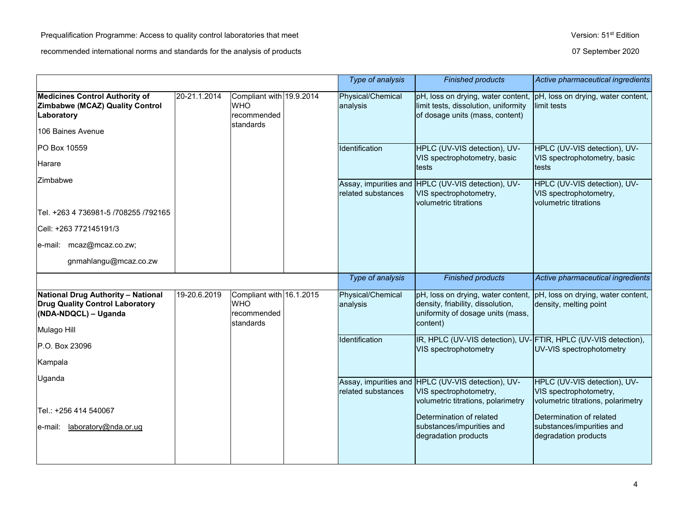|                                                                                                                            |              |                                                                    | Type of analysis              | <b>Finished products</b>                                                                                                 | Active pharmaceutical ingredients                                                            |
|----------------------------------------------------------------------------------------------------------------------------|--------------|--------------------------------------------------------------------|-------------------------------|--------------------------------------------------------------------------------------------------------------------------|----------------------------------------------------------------------------------------------|
| <b>Medicines Control Authority of</b><br><b>Zimbabwe (MCAZ) Quality Control</b><br>Laboratory<br>106 Baines Avenue         | 20-21.1.2014 | Compliant with 19.9.2014<br><b>WHO</b><br>recommended<br>standards | Physical/Chemical<br>analysis | pH, loss on drying, water content,<br>limit tests, dissolution, uniformity<br>of dosage units (mass, content)            | pH, loss on drying, water content,<br>limit tests                                            |
| PO Box 10559<br>Harare                                                                                                     |              |                                                                    | Identification                | HPLC (UV-VIS detection), UV-<br>VIS spectrophotometry, basic<br>tests                                                    | HPLC (UV-VIS detection), UV-<br>VIS spectrophotometry, basic<br>tests                        |
| Zimbabwe                                                                                                                   |              |                                                                    | related substances            | Assay, impurities and HPLC (UV-VIS detection), UV-<br>VIS spectrophotometry,<br>volumetric titrations                    | HPLC (UV-VIS detection), UV-<br>VIS spectrophotometry,<br>volumetric titrations              |
| Tel. +263 4 736981-5 /708255 /792165                                                                                       |              |                                                                    |                               |                                                                                                                          |                                                                                              |
| Cell: +263 772145191/3                                                                                                     |              |                                                                    |                               |                                                                                                                          |                                                                                              |
| e-mail: mcaz@mcaz.co.zw;                                                                                                   |              |                                                                    |                               |                                                                                                                          |                                                                                              |
| gnmahlangu@mcaz.co.zw                                                                                                      |              |                                                                    |                               |                                                                                                                          |                                                                                              |
|                                                                                                                            |              |                                                                    | Type of analysis              | <b>Finished products</b>                                                                                                 | Active pharmaceutical ingredients                                                            |
| <b>National Drug Authority - National</b><br><b>Drug Quality Control Laboratory</b><br>(NDA-NDQCL) - Uganda<br>Mulago Hill | 19-20.6.2019 | Compliant with 16.1.2015<br><b>WHO</b><br>recommended<br>standards | Physical/Chemical<br>analysis | pH, loss on drying, water content,<br>density, friability, dissolution,<br>uniformity of dosage units (mass,<br>content) | pH, loss on drying, water content,<br>density, melting point                                 |
| <b>P.O. Box 23096</b>                                                                                                      |              |                                                                    | Identification                | IR, HPLC (UV-VIS detection), UV-FTIR, HPLC (UV-VIS detection),<br>VIS spectrophotometry                                  | UV-VIS spectrophotometry                                                                     |
| Kampala                                                                                                                    |              |                                                                    |                               |                                                                                                                          |                                                                                              |
| Uganda                                                                                                                     |              |                                                                    | related substances            | Assay, impurities and HPLC (UV-VIS detection), UV-<br>VIS spectrophotometry,<br>volumetric titrations, polarimetry       | HPLC (UV-VIS detection), UV-<br>VIS spectrophotometry,<br>volumetric titrations, polarimetry |
|                                                                                                                            |              |                                                                    |                               |                                                                                                                          |                                                                                              |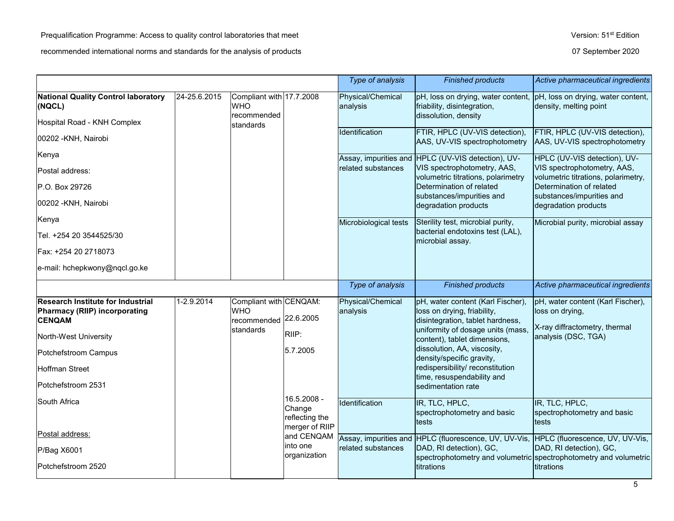|                                                                                                                                                                                                   |              |                                                                    |                                                           | Type of analysis              | <b>Finished products</b>                                                                                                                                                                                                                                                                                                      | Active pharmaceutical ingredients                                                                            |
|---------------------------------------------------------------------------------------------------------------------------------------------------------------------------------------------------|--------------|--------------------------------------------------------------------|-----------------------------------------------------------|-------------------------------|-------------------------------------------------------------------------------------------------------------------------------------------------------------------------------------------------------------------------------------------------------------------------------------------------------------------------------|--------------------------------------------------------------------------------------------------------------|
| <b>National Quality Control laboratory</b><br>(NQCL)<br>Hospital Road - KNH Complex                                                                                                               | 24-25.6.2015 | Compliant with 17.7.2008<br><b>WHO</b><br>recommended<br>standards |                                                           | Physical/Chemical<br>analysis | pH, loss on drying, water content,<br>friability, disintegration,<br>dissolution, density                                                                                                                                                                                                                                     | pH, loss on drying, water content,<br>density, melting point                                                 |
| 00202 - KNH, Nairobi                                                                                                                                                                              |              |                                                                    |                                                           | Identification                | FTIR, HPLC (UV-VIS detection),<br>AAS, UV-VIS spectrophotometry                                                                                                                                                                                                                                                               | FTIR, HPLC (UV-VIS detection),<br>AAS, UV-VIS spectrophotometry                                              |
| Kenya                                                                                                                                                                                             |              |                                                                    |                                                           |                               | Assay, impurities and HPLC (UV-VIS detection), UV-                                                                                                                                                                                                                                                                            | HPLC (UV-VIS detection), UV-                                                                                 |
| Postal address:                                                                                                                                                                                   |              |                                                                    |                                                           | related substances            | VIS spectrophotometry, AAS,<br>volumetric titrations, polarimetry                                                                                                                                                                                                                                                             | VIS spectrophotometry, AAS,<br>volumetric titrations, polarimetry,                                           |
| P.O. Box 29726                                                                                                                                                                                    |              |                                                                    |                                                           |                               | Determination of related                                                                                                                                                                                                                                                                                                      | Determination of related                                                                                     |
| 00202 - KNH, Nairobi                                                                                                                                                                              |              |                                                                    |                                                           |                               | substances/impurities and<br>degradation products                                                                                                                                                                                                                                                                             | substances/impurities and<br>degradation products                                                            |
| Kenya                                                                                                                                                                                             |              |                                                                    |                                                           | Microbiological tests         | Sterility test, microbial purity,                                                                                                                                                                                                                                                                                             | Microbial purity, microbial assay                                                                            |
| Tel. +254 20 3544525/30                                                                                                                                                                           |              |                                                                    |                                                           |                               | bacterial endotoxins test (LAL),<br>microbial assay.                                                                                                                                                                                                                                                                          |                                                                                                              |
| Fax: +254 20 2718073                                                                                                                                                                              |              |                                                                    |                                                           |                               |                                                                                                                                                                                                                                                                                                                               |                                                                                                              |
| e-mail: hchepkwony@nqcl.go.ke                                                                                                                                                                     |              |                                                                    |                                                           |                               |                                                                                                                                                                                                                                                                                                                               |                                                                                                              |
|                                                                                                                                                                                                   |              |                                                                    |                                                           | Type of analysis              | <b>Finished products</b>                                                                                                                                                                                                                                                                                                      | Active pharmaceutical ingredients                                                                            |
|                                                                                                                                                                                                   |              | Compliant with CENQAM:<br><b>WHO</b><br>recommended<br>standards   |                                                           |                               |                                                                                                                                                                                                                                                                                                                               |                                                                                                              |
| <b>Research Institute for Industrial</b><br><b>Pharmacy (RIIP) incorporating</b><br><b>CENQAM</b><br>North-West University<br>Potchefstroom Campus<br><b>Hoffman Street</b><br>Potchefstroom 2531 | 1-2.9.2014   |                                                                    | 22.6.2005<br>RIIP:<br>5.7.2005                            | Physical/Chemical<br>analysis | pH, water content (Karl Fischer),<br>loss on drying, friability,<br>disintegration, tablet hardness,<br>uniformity of dosage units (mass,<br>content), tablet dimensions,<br>dissolution, AA, viscosity,<br>density/specific gravity,<br>redispersibility/ reconstitution<br>time, resuspendability and<br>sedimentation rate | pH, water content (Karl Fischer),<br>loss on drying,<br>X-ray diffractometry, thermal<br>analysis (DSC, TGA) |
| South Africa                                                                                                                                                                                      |              |                                                                    | 16.5.2008 -<br>Change<br>reflecting the<br>merger of RIIP | Identification                | IR, TLC, HPLC,<br>spectrophotometry and basic<br>tests                                                                                                                                                                                                                                                                        | IR, TLC, HPLC,<br>spectrophotometry and basic<br>tests                                                       |
| Postal address:                                                                                                                                                                                   |              |                                                                    | and CENQAM                                                |                               | Assay, impurities and HPLC (fluorescence, UV, UV-Vis, HPLC (fluorescence, UV, UV-Vis,                                                                                                                                                                                                                                         |                                                                                                              |
| P/Bag X6001<br>Potchefstroom 2520                                                                                                                                                                 |              |                                                                    | into one<br>organization                                  | related substances            | DAD, RI detection), GC,<br>titrations                                                                                                                                                                                                                                                                                         | DAD, RI detection), GC,<br>spectrophotometry and volumetric spectrophotometry and volumetric<br>titrations   |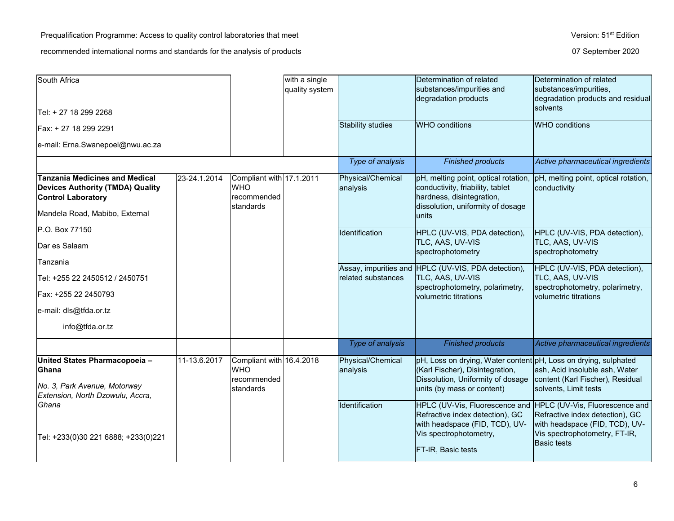| South Africa                                                                                                                                    |              |                                                                    | with a single  |                               | Determination of related                                                                                                                                              | Determination of related                                                                    |
|-------------------------------------------------------------------------------------------------------------------------------------------------|--------------|--------------------------------------------------------------------|----------------|-------------------------------|-----------------------------------------------------------------------------------------------------------------------------------------------------------------------|---------------------------------------------------------------------------------------------|
|                                                                                                                                                 |              |                                                                    | quality system |                               | substances/impurities and<br>degradation products                                                                                                                     | substances/impurities,<br>degradation products and residual<br>solvents                     |
| Tel: + 27 18 299 2268                                                                                                                           |              |                                                                    |                |                               |                                                                                                                                                                       |                                                                                             |
| Fax: + 27 18 299 2291                                                                                                                           |              |                                                                    |                | <b>Stability studies</b>      | <b>WHO</b> conditions                                                                                                                                                 | <b>WHO</b> conditions                                                                       |
| e-mail: Erna.Swanepoel@nwu.ac.za                                                                                                                |              |                                                                    |                |                               |                                                                                                                                                                       |                                                                                             |
|                                                                                                                                                 |              |                                                                    |                | Type of analysis              | <b>Finished products</b>                                                                                                                                              | Active pharmaceutical ingredients                                                           |
| <b>Tanzania Medicines and Medical</b><br><b>Devices Authority (TMDA) Quality</b><br><b>Control Laboratory</b><br>Mandela Road, Mabibo, External | 23-24.1.2014 | Compliant with 17.1.2011<br><b>WHO</b><br>recommended<br>standards |                | Physical/Chemical<br>analysis | pH, melting point, optical rotation,<br>conductivity, friability, tablet<br>hardness, disintegration,<br>dissolution, uniformity of dosage<br>units                   | pH, melting point, optical rotation,<br>conductivity                                        |
| P.O. Box 77150                                                                                                                                  |              |                                                                    |                | Identification                | HPLC (UV-VIS, PDA detection),                                                                                                                                         | HPLC (UV-VIS, PDA detection),                                                               |
| Dar es Salaam                                                                                                                                   |              |                                                                    |                |                               | TLC, AAS, UV-VIS<br>spectrophotometry                                                                                                                                 | TLC, AAS, UV-VIS<br>spectrophotometry                                                       |
| Tanzania                                                                                                                                        |              |                                                                    |                |                               | Assay, impurities and HPLC (UV-VIS, PDA detection),                                                                                                                   | HPLC (UV-VIS, PDA detection),                                                               |
| Tel: +255 22 2450512 / 2450751                                                                                                                  |              |                                                                    |                | related substances            | TLC, AAS, UV-VIS<br>spectrophotometry, polarimetry,                                                                                                                   | TLC, AAS, UV-VIS<br>spectrophotometry, polarimetry,                                         |
| Fax: +255 22 2450793                                                                                                                            |              |                                                                    |                |                               | volumetric titrations                                                                                                                                                 | volumetric titrations                                                                       |
| e-mail: dls@tfda.or.tz                                                                                                                          |              |                                                                    |                |                               |                                                                                                                                                                       |                                                                                             |
| info@tfda.or.tz                                                                                                                                 |              |                                                                    |                |                               |                                                                                                                                                                       |                                                                                             |
|                                                                                                                                                 |              |                                                                    |                | Type of analysis              | <b>Finished products</b>                                                                                                                                              | Active pharmaceutical ingredients                                                           |
| United States Pharmacopoeia-<br><b>Ghana</b><br>No. 3, Park Avenue, Motorway<br>Extension, North Dzowulu, Accra,                                | 11-13.6.2017 | Compliant with 16.4.2018<br><b>WHO</b><br>recommended<br>standards |                | Physical/Chemical<br>analysis | pH, Loss on drying, Water content pH, Loss on drying, sulphated<br>(Karl Fischer), Disintegration,<br>Dissolution, Uniformity of dosage<br>units (by mass or content) | ash, Acid insoluble ash, Water<br>content (Karl Fischer), Residual<br>solvents, Limit tests |
| Ghana                                                                                                                                           |              |                                                                    |                | Identification                | HPLC (UV-Vis, Fluorescence and HPLC (UV-Vis, Fluorescence and<br>Refractive index detection), GC<br>with headspace (FID, TCD), UV-                                    | Refractive index detection), GC<br>with headspace (FID, TCD), UV-                           |
| Tel: +233(0)30 221 6888; +233(0)221                                                                                                             |              |                                                                    |                |                               | Vis spectrophotometry,<br><b>FT-IR, Basic tests</b>                                                                                                                   | Vis spectrophotometry, FT-IR,<br><b>Basic tests</b>                                         |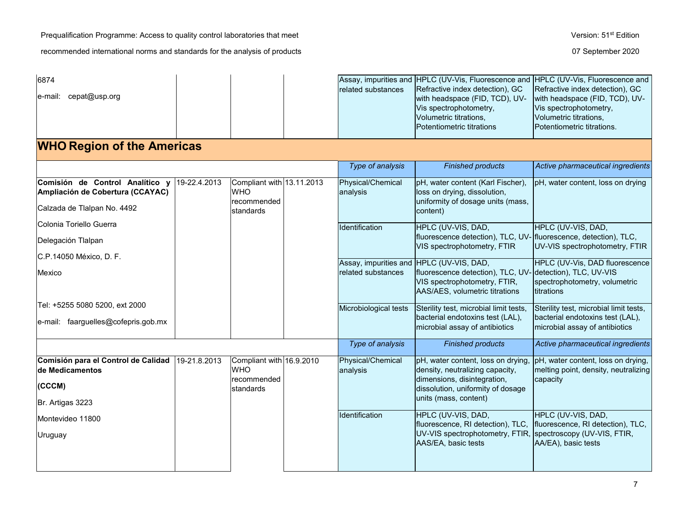Prequalification Programme: Access to quality control laboratories that meet Version: 51<sup>st</sup> Edition

| 6874<br>cepat@usp.org<br>e-mail:                                                                   |              |                                                                      | related substances                                             | Assay, impurities and HPLC (UV-Vis, Fluorescence and<br>Refractive index detection), GC<br>with headspace (FID, TCD), UV-<br>Vis spectrophotometry,<br>Volumetric titrations,<br>Potentiometric titrations | HPLC (UV-Vis, Fluorescence and<br>Refractive index detection), GC<br>with headspace (FID, TCD), UV-<br>Vis spectrophotometry,<br>Volumetric titrations,<br>Potentiometric titrations. |
|----------------------------------------------------------------------------------------------------|--------------|----------------------------------------------------------------------|----------------------------------------------------------------|------------------------------------------------------------------------------------------------------------------------------------------------------------------------------------------------------------|---------------------------------------------------------------------------------------------------------------------------------------------------------------------------------------|
| <b>WHO Region of the Americas</b>                                                                  |              |                                                                      |                                                                |                                                                                                                                                                                                            |                                                                                                                                                                                       |
|                                                                                                    |              |                                                                      | Type of analysis                                               | <b>Finished products</b>                                                                                                                                                                                   | Active pharmaceutical ingredients                                                                                                                                                     |
| Comisión de Control Analítico y<br>Ampliación de Cobertura (CCAYAC)<br>Calzada de Tlalpan No. 4492 | 19-22.4.2013 | Compliant with 13.11.2013<br><b>WHO</b><br>Irecommended<br>standards | Physical/Chemical<br>analysis                                  | pH, water content (Karl Fischer),<br>loss on drying, dissolution,<br>uniformity of dosage units (mass,<br>content)                                                                                         | pH, water content, loss on drying                                                                                                                                                     |
| Colonia Toriello Guerra<br>Delegación Tlalpan<br>C.P.14050 México, D. F.                           |              |                                                                      | Identification                                                 | HPLC (UV-VIS, DAD,<br>fluorescence detection), TLC, UV- fluorescence, detection), TLC,<br>VIS spectrophotometry, FTIR                                                                                      | HPLC (UV-VIS, DAD,<br>UV-VIS spectrophotometry, FTIR                                                                                                                                  |
| Mexico                                                                                             |              |                                                                      | Assay, impurities and HPLC (UV-VIS, DAD,<br>related substances | fluorescence detection), TLC, UV-<br>VIS spectrophotometry, FTIR,<br>AAS/AES, volumetric titrations                                                                                                        | HPLC (UV-Vis, DAD fluorescence<br>detection), TLC, UV-VIS<br>spectrophotometry, volumetric<br>titrations                                                                              |
| Tel: +5255 5080 5200, ext 2000<br>e-mail: faarguelles@cofepris.gob.mx                              |              |                                                                      | Microbiological tests                                          | Sterility test, microbial limit tests,<br>bacterial endotoxins test (LAL),<br>microbial assay of antibiotics                                                                                               | Sterility test, microbial limit tests,<br>bacterial endotoxins test (LAL),<br>microbial assay of antibiotics                                                                          |
|                                                                                                    |              |                                                                      | Type of analysis                                               | <b>Finished products</b>                                                                                                                                                                                   | Active pharmaceutical ingredients                                                                                                                                                     |
| Comisión para el Control de Calidad<br>de Medicamentos<br>(CCCM)<br>Br. Artigas 3223               | 19-21.8.2013 | Compliant with 16.9.2010<br><b>WHO</b><br>recommended<br>standards   | Physical/Chemical<br>analysis                                  | pH, water content, loss on drying,<br>density, neutralizing capacity,<br>dimensions, disintegration,<br>dissolution, uniformity of dosage<br>units (mass, content)                                         | pH, water content, loss on drying,<br>melting point, density, neutralizing<br>capacity                                                                                                |
| IMontevideo 11800<br>Uruguay                                                                       |              |                                                                      | Identification                                                 | HPLC (UV-VIS, DAD,<br>fluorescence, RI detection), TLC,<br>UV-VIS spectrophotometry, FTIR,<br>AAS/EA, basic tests                                                                                          | HPLC (UV-VIS, DAD,<br>fluorescence, RI detection), TLC,<br>spectroscopy (UV-VIS, FTIR,<br>AA/EA), basic tests                                                                         |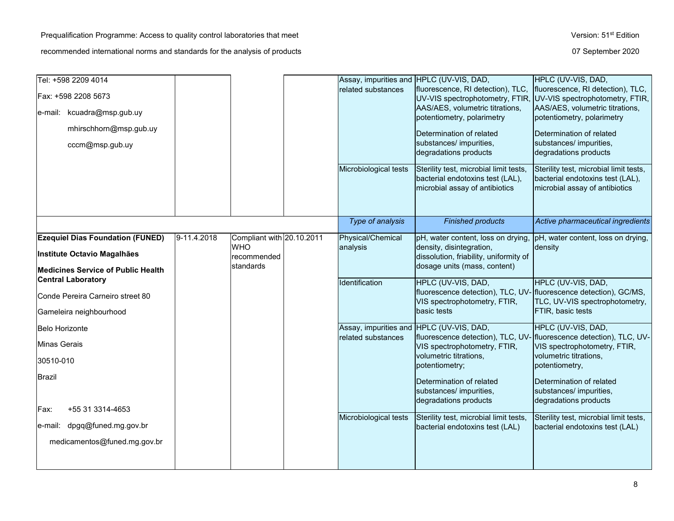8

# Tel: +598 2209 4014 Assay, impurities and HPLC (UV-VIS, DAD,

| Fax: +598 2208 5673<br>e-mail: kcuadra@msp.gub.uy<br>mhirschhorn@msp.gub.uy<br>cccm@msp.gub.uy                                                       |             |                                                                     | related substances<br>Microbiological tests                                             | fluorescence, RI detection), TLC,<br>UV-VIS spectrophotometry, FTIR, UV-VIS spectrophotometry, FTIR,<br>AAS/AES, volumetric titrations,<br>potentiometry, polarimetry<br>Determination of related<br>substances/ impurities,<br>degradations products<br>Sterility test, microbial limit tests,<br>bacterial endotoxins test (LAL),<br>microbial assay of antibiotics | fluorescence, RI detection), TLC,<br>AAS/AES, volumetric titrations,<br>potentiometry, polarimetry<br>Determination of related<br>substances/ impurities,<br>degradations products<br>Sterility test, microbial limit tests,<br>bacterial endotoxins test (LAL),<br>microbial assay of antibiotics |
|------------------------------------------------------------------------------------------------------------------------------------------------------|-------------|---------------------------------------------------------------------|-----------------------------------------------------------------------------------------|-----------------------------------------------------------------------------------------------------------------------------------------------------------------------------------------------------------------------------------------------------------------------------------------------------------------------------------------------------------------------|----------------------------------------------------------------------------------------------------------------------------------------------------------------------------------------------------------------------------------------------------------------------------------------------------|
|                                                                                                                                                      |             |                                                                     | Type of analysis                                                                        | <b>Finished products</b>                                                                                                                                                                                                                                                                                                                                              | Active pharmaceutical ingredients                                                                                                                                                                                                                                                                  |
| <b>Ezequiel Dias Foundation (FUNED)</b><br>Institute Octavio Magalhães<br><b>Medicines Service of Public Health</b>                                  | 9-11.4.2018 | Compliant with 20.10.2011<br><b>WHO</b><br>recommended<br>standards | Physical/Chemical<br>analysis                                                           | pH, water content, loss on drying, pH, water content, loss on drying,<br>density, disintegration,<br>dissolution, friability, uniformity of<br>dosage units (mass, content)                                                                                                                                                                                           | density                                                                                                                                                                                                                                                                                            |
| <b>Central Laboratory</b><br>Conde Pereira Carneiro street 80<br>Gameleira neighbourhood                                                             |             |                                                                     | Identification                                                                          | HPLC (UV-VIS, DAD,<br>fluorescence detection), TLC, UV- fluorescence detection), GC/MS,<br>VIS spectrophotometry, FTIR,<br>basic tests                                                                                                                                                                                                                                | HPLC (UV-VIS, DAD,<br>TLC, UV-VIS spectrophotometry,<br>FTIR, basic tests                                                                                                                                                                                                                          |
| Belo Horizonte<br>Minas Gerais<br>30510-010<br>Brazil<br>+55 31 3314-4653<br>Fax:<br>dpgq@funed.mg.gov.br<br>e-mail:<br>medicamentos@funed.mg.gov.br |             |                                                                     | Assay, impurities and HPLC (UV-VIS, DAD,<br>related substances<br>Microbiological tests | fluorescence detection), TLC, UV- fluorescence detection), TLC, UV-<br>VIS spectrophotometry, FTIR,<br>volumetric titrations,<br>potentiometry;<br>Determination of related<br>substances/ impurities,<br>degradations products<br>Sterility test, microbial limit tests,<br>bacterial endotoxins test (LAL)                                                          | HPLC (UV-VIS, DAD,<br>VIS spectrophotometry, FTIR,<br>volumetric titrations,<br>potentiometry,<br>Determination of related<br>substances/ impurities,<br>degradations products<br>Sterility test, microbial limit tests,<br>bacterial endotoxins test (LAL)                                        |
|                                                                                                                                                      |             |                                                                     |                                                                                         |                                                                                                                                                                                                                                                                                                                                                                       |                                                                                                                                                                                                                                                                                                    |

HPLC (UV-VIS, DAD,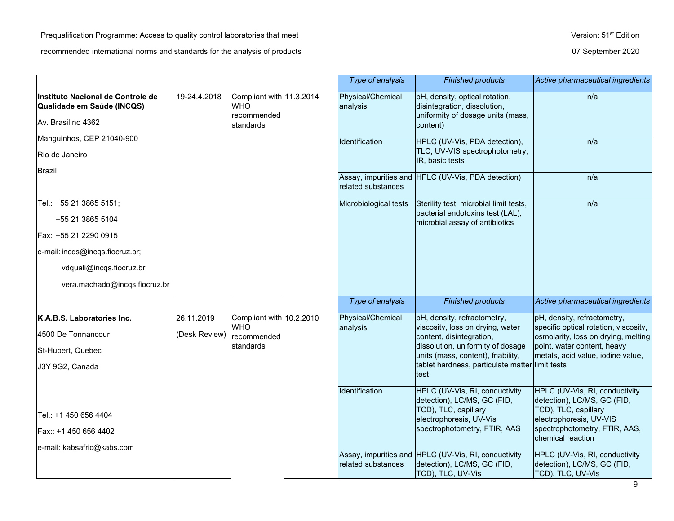TCD), TLC, UV-Vis

|                                                                 |               |                                                       | Type of analysis              | <b>Finished products</b>                                                                            | Active pharmaceutical ingredients                                                     |
|-----------------------------------------------------------------|---------------|-------------------------------------------------------|-------------------------------|-----------------------------------------------------------------------------------------------------|---------------------------------------------------------------------------------------|
| Instituto Nacional de Controle de<br>Qualidade em Saúde (INCQS) | 19-24.4.2018  | Compliant with 11.3.2014<br><b>WHO</b><br>recommended | Physical/Chemical<br>analysis | pH, density, optical rotation,<br>disintegration, dissolution,<br>uniformity of dosage units (mass, | n/a                                                                                   |
| Av. Brasil no 4362                                              |               | standards                                             |                               | content)                                                                                            |                                                                                       |
| Manguinhos, CEP 21040-900                                       |               |                                                       | Identification                | HPLC (UV-Vis, PDA detection),                                                                       | n/a                                                                                   |
| Rio de Janeiro                                                  |               |                                                       |                               | TLC, UV-VIS spectrophotometry,<br>IR, basic tests                                                   |                                                                                       |
| Brazil                                                          |               |                                                       | related substances            | Assay, impurities and HPLC (UV-Vis, PDA detection)                                                  | n/a                                                                                   |
| Tel.: +55 21 3865 5151;                                         |               |                                                       | Microbiological tests         | Sterility test, microbial limit tests,                                                              | n/a                                                                                   |
| +55 21 3865 5104                                                |               |                                                       |                               | bacterial endotoxins test (LAL),<br>microbial assay of antibiotics                                  |                                                                                       |
| Fax: +55 21 2290 0915                                           |               |                                                       |                               |                                                                                                     |                                                                                       |
| e-mail: incqs@incqs.fiocruz.br;                                 |               |                                                       |                               |                                                                                                     |                                                                                       |
| vdquali@incqs.fiocruz.br                                        |               |                                                       |                               |                                                                                                     |                                                                                       |
| vera.machado@incqs.fiocruz.br                                   |               |                                                       |                               |                                                                                                     |                                                                                       |
|                                                                 |               |                                                       | Type of analysis              | <b>Finished products</b>                                                                            | Active pharmaceutical ingredients                                                     |
| K.A.B.S. Laboratories Inc.                                      | 26.11.2019    | Compliant with 10.2.2010<br><b>WHO</b>                | Physical/Chemical<br>analysis | pH, density, refractometry,<br>viscosity, loss on drying, water                                     | pH, density, refractometry,<br>specific optical rotation, viscosity,                  |
| 4500 De Tonnancour                                              | (Desk Review) | recommended                                           |                               | content, disintegration,                                                                            | osmolarity, loss on drying, melting                                                   |
| St-Hubert, Quebec                                               |               | standards                                             |                               | dissolution, uniformity of dosage<br>units (mass, content), friability,                             | point, water content, heavy<br>metals, acid value, iodine value,                      |
| J3Y 9G2, Canada                                                 |               |                                                       |                               | tablet hardness, particulate matter limit tests<br>test                                             |                                                                                       |
|                                                                 |               |                                                       | Identification                | HPLC (UV-Vis, RI, conductivity<br>detection), LC/MS, GC (FID,<br>TCD), TLC, capillary               | HPLC (UV-Vis, RI, conductivity<br>detection), LC/MS, GC (FID,<br>TCD), TLC, capillary |
| Tel.: +1 450 656 4404                                           |               |                                                       |                               | electrophoresis, UV-Vis                                                                             | electrophoresis, UV-VIS                                                               |
| Fax:: +1 450 656 4402                                           |               |                                                       |                               | spectrophotometry, FTIR, AAS                                                                        | spectrophotometry, FTIR, AAS,<br>chemical reaction                                    |
| e-mail: kabsafric@kabs.com                                      |               |                                                       |                               | Assay, impurities and HPLC (UV-Vis, RI, conductivity                                                | HPLC (UV-Vis, RI, conductivity                                                        |
|                                                                 |               |                                                       | related substances            | detection), LC/MS, GC (FID,                                                                         | detection), LC/MS, GC (FID,                                                           |

TCD), TLC, UV-Vis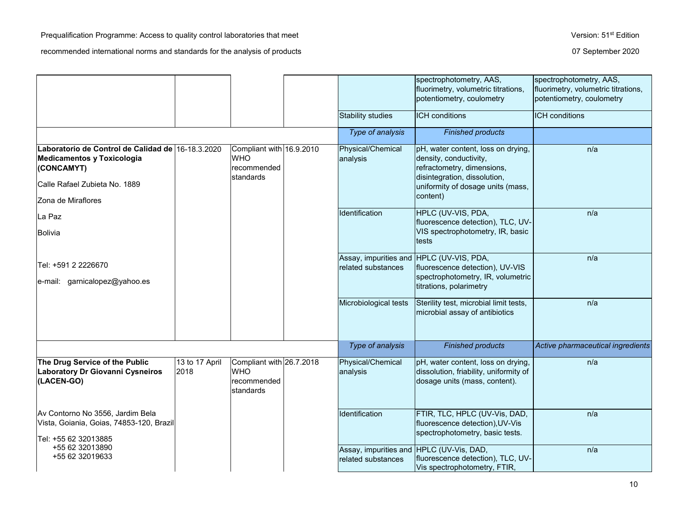|                                                                                                                                |                        |                                                                    | <b>Stability studies</b>                                       | spectrophotometry, AAS,<br>fluorimetry, volumetric titrations,<br>potentiometry, coulometry<br><b>ICH</b> conditions                                                        | spectrophotometry, AAS,<br>fluorimetry, volumetric titrations,<br>potentiometry, coulometry<br><b>ICH</b> conditions |
|--------------------------------------------------------------------------------------------------------------------------------|------------------------|--------------------------------------------------------------------|----------------------------------------------------------------|-----------------------------------------------------------------------------------------------------------------------------------------------------------------------------|----------------------------------------------------------------------------------------------------------------------|
|                                                                                                                                |                        |                                                                    | Type of analysis                                               | <b>Finished products</b>                                                                                                                                                    |                                                                                                                      |
| Laboratorio de Control de Calidad de 16-18.3.2020<br>Medicamentos y Toxicologia<br>(CONCAMYT)<br>Calle Rafael Zubieta No. 1889 |                        | Compliant with 16.9.2010<br><b>WHO</b><br>recommended<br>standards | Physical/Chemical<br>analysis                                  | pH, water content, loss on drying,<br>density, conductivity,<br>refractometry, dimensions,<br>disintegration, dissolution,<br>uniformity of dosage units (mass,<br>content) | n/a                                                                                                                  |
| Zona de Miraflores                                                                                                             |                        |                                                                    | Identification                                                 | HPLC (UV-VIS, PDA,                                                                                                                                                          | n/a                                                                                                                  |
| La Paz<br><b>Bolivia</b>                                                                                                       |                        |                                                                    |                                                                | fluorescence detection), TLC, UV-<br>VIS spectrophotometry, IR, basic<br>tests                                                                                              |                                                                                                                      |
| Tel: +591 2 2226670<br>e-mail: garnicalopez@yahoo.es                                                                           |                        |                                                                    | Assay, impurities and HPLC (UV-VIS, PDA,<br>related substances | fluorescence detection), UV-VIS<br>spectrophotometry, IR, volumetric<br>titrations, polarimetry                                                                             | n/a                                                                                                                  |
|                                                                                                                                |                        |                                                                    | Microbiological tests                                          | Sterility test, microbial limit tests,<br>microbial assay of antibiotics                                                                                                    | n/a                                                                                                                  |
|                                                                                                                                |                        |                                                                    | Type of analysis                                               | <b>Finished products</b>                                                                                                                                                    | Active pharmaceutical ingredients                                                                                    |
| The Drug Service of the Public<br>Laboratory Dr Giovanni Cysneiros<br>(LACEN-GO)                                               | 13 to 17 April<br>2018 | Compliant with 26.7.2018<br><b>WHO</b><br>recommended<br>standards | Physical/Chemical<br>analysis                                  | pH, water content, loss on drying,<br>dissolution, friability, uniformity of<br>dosage units (mass, content).                                                               | n/a                                                                                                                  |
| Av Contorno No 3556, Jardim Bela<br>Vista, Goiania, Goias, 74853-120, Brazil<br>Tel: +55 62 32013885                           |                        |                                                                    | Identification                                                 | FTIR, TLC, HPLC (UV-Vis, DAD,<br>fluorescence detection), UV-Vis<br>spectrophotometry, basic tests.                                                                         | n/a                                                                                                                  |
| +55 62 32013890<br>+55 62 32019633                                                                                             |                        |                                                                    | Assay, impurities and HPLC (UV-Vis, DAD,<br>related substances | fluorescence detection), TLC, UV-<br>Vis spectrophotometry, FTIR,                                                                                                           | n/a                                                                                                                  |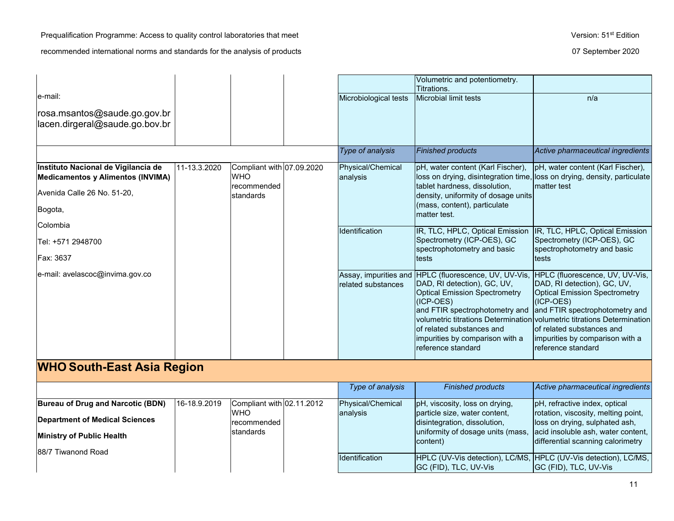Prequalification Programme: Access to quality control laboratories that meet Version: 51<sup>st</sup> Edition

|                                                                           |              |                                                        |                               | Volumetric and potentiometry.<br>Titrations.                                                                                                                                                                                                                      |                                                                                                                                                                                                                                                                                                                                 |
|---------------------------------------------------------------------------|--------------|--------------------------------------------------------|-------------------------------|-------------------------------------------------------------------------------------------------------------------------------------------------------------------------------------------------------------------------------------------------------------------|---------------------------------------------------------------------------------------------------------------------------------------------------------------------------------------------------------------------------------------------------------------------------------------------------------------------------------|
| e-mail:<br>rosa.msantos@saude.go.gov.br<br>lacen.dirgeral@saude.go.bov.br |              |                                                        | Microbiological tests         | Microbial limit tests                                                                                                                                                                                                                                             | n/a                                                                                                                                                                                                                                                                                                                             |
|                                                                           |              |                                                        | Type of analysis              | <b>Finished products</b>                                                                                                                                                                                                                                          | Active pharmaceutical ingredients                                                                                                                                                                                                                                                                                               |
| Instituto Nacional de Vigilancia de<br>Medicamentos y Alimentos (INVIMA)  | 11-13.3.2020 | Compliant with 07.09.2020<br><b>WHO</b><br>recommended | Physical/Chemical<br>analysis | pH, water content (Karl Fischer),<br>tablet hardness, dissolution,<br>density, uniformity of dosage units<br>(mass, content), particulate<br>matter test.                                                                                                         | pH, water content (Karl Fischer),<br>loss on drying, disintegration time, loss on drying, density, particulate<br>matter test                                                                                                                                                                                                   |
| Avenida Calle 26 No. 51-20,<br>Bogota,                                    |              | standards                                              |                               |                                                                                                                                                                                                                                                                   |                                                                                                                                                                                                                                                                                                                                 |
| Colombia                                                                  |              |                                                        | Identification                | IR, TLC, HPLC, Optical Emission                                                                                                                                                                                                                                   | IR, TLC, HPLC, Optical Emission                                                                                                                                                                                                                                                                                                 |
| Tel: +571 2948700                                                         |              |                                                        |                               | Spectrometry (ICP-OES), GC<br>spectrophotometry and basic                                                                                                                                                                                                         | Spectrometry (ICP-OES), GC<br>spectrophotometry and basic                                                                                                                                                                                                                                                                       |
| Fax: 3637                                                                 |              |                                                        |                               | tests                                                                                                                                                                                                                                                             | tests                                                                                                                                                                                                                                                                                                                           |
| e-mail: avelascoc@invima.gov.co                                           |              |                                                        | related substances            | Assay, impurities and HPLC (fluorescence, UV, UV-Vis,<br>DAD, RI detection), GC, UV,<br><b>Optical Emission Spectrometry</b><br>(ICP-OES)<br>and FTIR spectrophotometry and<br>of related substances and<br>impurities by comparison with a<br>reference standard | HPLC (fluorescence, UV, UV-Vis,<br>DAD, RI detection), GC, UV,<br><b>Optical Emission Spectrometry</b><br>(ICP-OES)<br>and FTIR spectrophotometry and<br><u>Ivolumetric titrations DeterminationIvolumetric titrations Determination</u><br>lof related substances and<br>impurities by comparison with a<br>reference standard |
| <b>WHO South-East Asia Region</b>                                         |              |                                                        |                               |                                                                                                                                                                                                                                                                   |                                                                                                                                                                                                                                                                                                                                 |
|                                                                           |              |                                                        | Type of analysis              | <b>Finished products</b>                                                                                                                                                                                                                                          | Active pharmaceutical ingredients                                                                                                                                                                                                                                                                                               |
| Bureau of Drug and Narcotic (BDN)                                         | 16-18.9.2019 | Compliant with 02.11.2012                              | Physical/Chemical             | pH, viscosity, loss on drying,                                                                                                                                                                                                                                    | pH, refractive index, optical                                                                                                                                                                                                                                                                                                   |
| <b>Department of Medical Sciences</b>                                     |              | <b>WHO</b><br>recommended                              | analysis                      | particle size, water content,<br>disintegration, dissolution,                                                                                                                                                                                                     | rotation, viscosity, melting point,<br>loss on drying, sulphated ash,                                                                                                                                                                                                                                                           |
| <b>Ministry of Public Health</b>                                          |              | standards                                              |                               | uniformity of dosage units (mass,<br>content)                                                                                                                                                                                                                     | acid insoluble ash, water content,<br>differential scanning calorimetry                                                                                                                                                                                                                                                         |
| 88/7 Tiwanond Road                                                        |              |                                                        | Identification                | HPLC (UV-Vis detection), LC/MS, HPLC (UV-Vis detection), LC/MS,<br>GC (FID), TLC, UV-Vis                                                                                                                                                                          | GC (FID), TLC, UV-Vis                                                                                                                                                                                                                                                                                                           |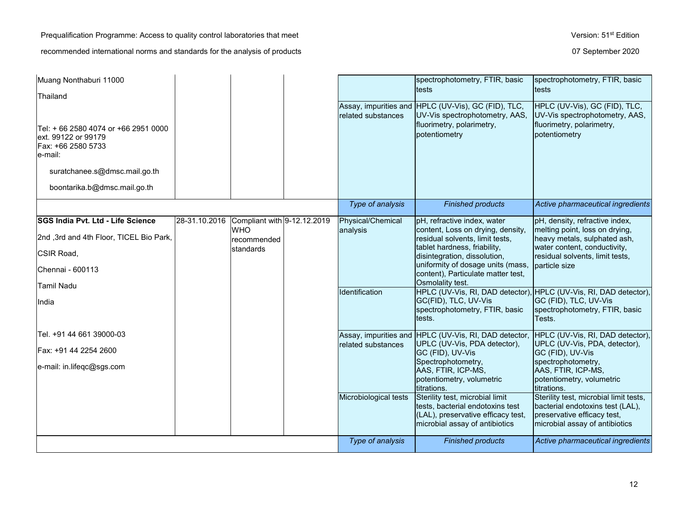| Muang Nonthaburi 11000                                                                       |               |                                           |                       | spectrophotometry, FTIR, basic                                                                                                              | spectrophotometry, FTIR, basic                                                                                                              |
|----------------------------------------------------------------------------------------------|---------------|-------------------------------------------|-----------------------|---------------------------------------------------------------------------------------------------------------------------------------------|---------------------------------------------------------------------------------------------------------------------------------------------|
| Thailand                                                                                     |               |                                           |                       | <b>tests</b>                                                                                                                                | tests                                                                                                                                       |
|                                                                                              |               |                                           | related substances    | Assay, impurities and HPLC (UV-Vis), GC (FID), TLC,<br>UV-Vis spectrophotometry, AAS,                                                       | HPLC (UV-Vis), GC (FID), TLC,<br>UV-Vis spectrophotometry, AAS,                                                                             |
| Tel: + 66 2580 4074 or +66 2951 0000<br>ext. 99122 or 99179<br>Fax: +66 2580 5733<br>e-mail: |               |                                           |                       | fluorimetry, polarimetry,<br>potentiometry                                                                                                  | fluorimetry, polarimetry,<br>potentiometry                                                                                                  |
| suratchanee.s@dmsc.mail.go.th                                                                |               |                                           |                       |                                                                                                                                             |                                                                                                                                             |
| boontarika.b@dmsc.mail.go.th                                                                 |               |                                           |                       |                                                                                                                                             |                                                                                                                                             |
|                                                                                              |               |                                           | Type of analysis      | <b>Finished products</b>                                                                                                                    | Active pharmaceutical ingredients                                                                                                           |
| SGS India Pvt. Ltd - Life Science                                                            | 28-31.10.2016 | Compliant with 9-12.12.2019<br><b>WHO</b> | Physical/Chemical     | pH, refractive index, water                                                                                                                 | pH, density, refractive index,<br>melting point, loss on drying,                                                                            |
| 2nd ,3rd and 4th Floor, TICEL Bio Park,                                                      |               | recommended                               | analysis              | content, Loss on drying, density,<br>residual solvents, limit tests,                                                                        | heavy metals, sulphated ash,                                                                                                                |
| CSIR Road,                                                                                   |               | standards                                 |                       | tablet hardness, friability,<br>disintegration, dissolution,                                                                                | water content, conductivity,<br>residual solvents, limit tests,                                                                             |
| Chennai - 600113                                                                             |               |                                           |                       | uniformity of dosage units (mass,<br>content), Particulate matter test,<br>Osmolality test.                                                 | particle size                                                                                                                               |
| Tamil Nadu                                                                                   |               |                                           | Identification        | HPLC (UV-Vis, RI, DAD detector), HPLC (UV-Vis, RI, DAD detector),                                                                           |                                                                                                                                             |
| IIndia                                                                                       |               |                                           |                       | GC(FID), TLC, UV-Vis<br>spectrophotometry, FTIR, basic<br>tests.                                                                            | GC (FID), TLC, UV-Vis<br>spectrophotometry, FTIR, basic<br>Tests.                                                                           |
| Tel. +91 44 661 39000-03                                                                     |               |                                           |                       | Assay, impurities and HPLC (UV-Vis, RI, DAD detector,                                                                                       | HPLC (UV-Vis, RI, DAD detector),                                                                                                            |
| Fax: +91 44 2254 2600                                                                        |               |                                           | related substances    | UPLC (UV-Vis, PDA detector),<br>GC (FID), UV-Vis                                                                                            | UPLC (UV-Vis, PDA, detector),<br>GC (FID), UV-Vis                                                                                           |
| e-mail: in.lifeqc@sgs.com                                                                    |               |                                           |                       | Spectrophotometry,<br>AAS, FTIR, ICP-MS,<br>potentiometry, volumetric<br>titrations.                                                        | spectrophotometry,<br>AAS, FTIR, ICP-MS,<br>potentiometry, volumetric<br>titrations.                                                        |
|                                                                                              |               |                                           | Microbiological tests | Sterility test, microbial limit<br>tests, bacterial endotoxins test<br>(LAL), preservative efficacy test,<br>microbial assay of antibiotics | Sterility test, microbial limit tests,<br>bacterial endotoxins test (LAL),<br>preservative efficacy test,<br>microbial assay of antibiotics |
|                                                                                              |               |                                           | Type of analysis      | <b>Finished products</b>                                                                                                                    | Active pharmaceutical ingredients                                                                                                           |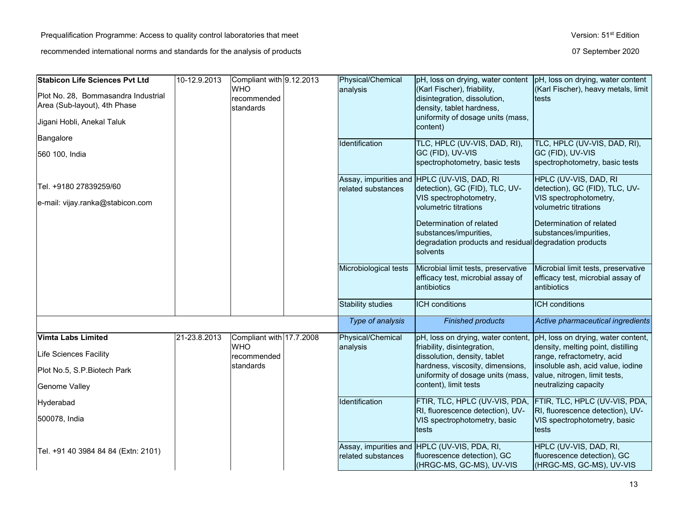| Stabicon Life Sciences Pvt Ltd      | 10-12.9.2013 | Compliant with 9.12.2013<br><b>WHO</b><br>recommended |  | Physical/Chemical     | (Karl Fischer), friability,                                                                             | pH, loss on drying, water content pH, loss on drying, water content<br>(Karl Fischer), heavy metals, limit |
|-------------------------------------|--------------|-------------------------------------------------------|--|-----------------------|---------------------------------------------------------------------------------------------------------|------------------------------------------------------------------------------------------------------------|
| Plot No. 28, Bommasandra Industrial |              |                                                       |  | analysis              | disintegration, dissolution,                                                                            | tests                                                                                                      |
| Area (Sub-layout), 4th Phase        |              | standards                                             |  |                       | density, tablet hardness,<br>uniformity of dosage units (mass,                                          |                                                                                                            |
| Jigani Hobli, Anekal Taluk          |              |                                                       |  |                       | content)                                                                                                |                                                                                                            |
| Bangalore                           |              |                                                       |  | Identification        | TLC, HPLC (UV-VIS, DAD, RI),                                                                            | TLC, HPLC (UV-VIS, DAD, RI),                                                                               |
| 560 100, India                      |              |                                                       |  |                       | GC (FID), UV-VIS<br>spectrophotometry, basic tests                                                      | GC (FID), UV-VIS<br>spectrophotometry, basic tests                                                         |
| Tel. +9180 27839259/60              |              |                                                       |  | related substances    | Assay, impurities and HPLC (UV-VIS, DAD, RI<br>detection), GC (FID), TLC, UV-                           | HPLC (UV-VIS, DAD, RI<br>detection), GC (FID), TLC, UV-                                                    |
| e-mail: vijay.ranka@stabicon.com    |              |                                                       |  |                       | VIS spectrophotometry,<br>volumetric titrations                                                         | VIS spectrophotometry,<br>volumetric titrations                                                            |
|                                     |              |                                                       |  |                       | Determination of related                                                                                | Determination of related                                                                                   |
|                                     |              |                                                       |  |                       | substances/impurities,<br>degradation products and residual degradation products                        | substances/impurities,                                                                                     |
|                                     |              |                                                       |  |                       | solvents                                                                                                |                                                                                                            |
|                                     |              |                                                       |  | Microbiological tests | Microbial limit tests, preservative                                                                     | Microbial limit tests, preservative                                                                        |
|                                     |              |                                                       |  |                       | efficacy test, microbial assay of<br>antibiotics                                                        | efficacy test, microbial assay of<br>antibiotics                                                           |
|                                     |              |                                                       |  | Stability studies     | <b>ICH</b> conditions                                                                                   | ICH conditions                                                                                             |
|                                     |              |                                                       |  | Type of analysis      | <b>Finished products</b>                                                                                | Active pharmaceutical ingredients                                                                          |
| Vimta Labs Limited                  | 21-23.8.2013 | Compliant with 17.7.2008<br><b>WHO</b>                |  | Physical/Chemical     | pH, loss on drying, water content,                                                                      | pH, loss on drying, water content,                                                                         |
| Life Sciences Facility              |              | recommended                                           |  | analysis              | friability, disintegration,<br>dissolution, density, tablet                                             | density, melting point, distilling<br>range, refractometry, acid                                           |
| Plot No.5, S.P. Biotech Park        |              | standards                                             |  |                       | hardness, viscosity, dimensions,<br>uniformity of dosage units (mass,                                   | insoluble ash, acid value, iodine<br>value, nitrogen, limit tests,                                         |
| Genome Valley                       |              |                                                       |  |                       | content), limit tests                                                                                   | neutralizing capacity                                                                                      |
| Hyderabad                           |              |                                                       |  | Identification        | FTIR, TLC, HPLC (UV-VIS, PDA,                                                                           | FTIR, TLC, HPLC (UV-VIS, PDA,                                                                              |
| 500078, India                       |              |                                                       |  |                       | RI, fluorescence detection), UV-<br>VIS spectrophotometry, basic<br>tests                               | RI, fluorescence detection), UV-<br>VIS spectrophotometry, basic<br>tests                                  |
| Tel. +91 40 3984 84 84 (Extn: 2101) |              |                                                       |  | related substances    | Assay, impurities and HPLC (UV-VIS, PDA, RI,<br>fluorescence detection), GC<br>(HRGC-MS, GC-MS), UV-VIS | HPLC (UV-VIS, DAD, RI,<br>fluorescence detection), GC<br>(HRGC-MS, GC-MS), UV-VIS                          |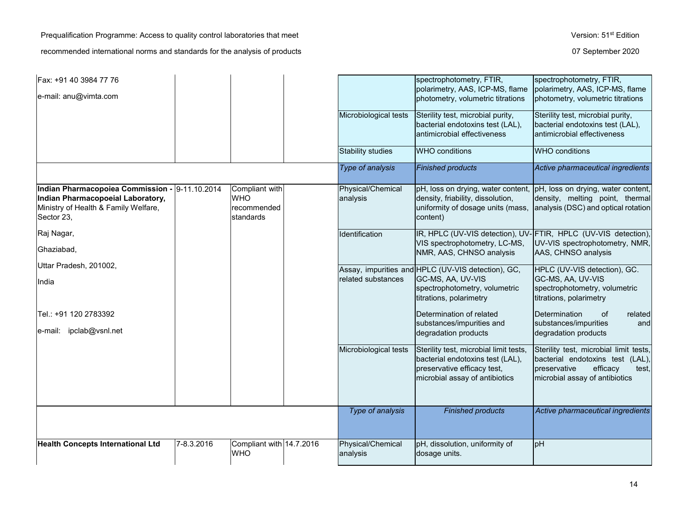Prequalification Programme: Access to quality control laboratories that meet Version: 51<sup>st</sup> Edition

| Fax: +91 40 3984 77 76                                                                                                                    |            |                                                                 |                               | spectrophotometry, FTIR,                                                                                                                    | spectrophotometry, FTIR,                                                                                                                          |
|-------------------------------------------------------------------------------------------------------------------------------------------|------------|-----------------------------------------------------------------|-------------------------------|---------------------------------------------------------------------------------------------------------------------------------------------|---------------------------------------------------------------------------------------------------------------------------------------------------|
| e-mail: anu@vimta.com                                                                                                                     |            |                                                                 |                               | polarimetry, AAS, ICP-MS, flame<br>photometry, volumetric titrations                                                                        | polarimetry, AAS, ICP-MS, flame<br>photometry, volumetric titrations                                                                              |
|                                                                                                                                           |            |                                                                 | Microbiological tests         | Sterility test, microbial purity,<br>bacterial endotoxins test (LAL),<br>antimicrobial effectiveness                                        | Sterility test, microbial purity,<br>bacterial endotoxins test (LAL),<br>antimicrobial effectiveness                                              |
|                                                                                                                                           |            |                                                                 | <b>Stability studies</b>      | <b>WHO</b> conditions                                                                                                                       | <b>WHO</b> conditions                                                                                                                             |
|                                                                                                                                           |            |                                                                 | Type of analysis              | <b>Finished products</b>                                                                                                                    | Active pharmaceutical ingredients                                                                                                                 |
| Indian Pharmacopoiea Commission - 9-11.10.2014<br>Indian Pharmacopoeial Laboratory,<br>Ministry of Health & Family Welfare,<br>Sector 23, |            | Compliant with<br><b>WHO</b><br>recommended<br><b>standards</b> | Physical/Chemical<br>analysis | density, friability, dissolution,<br>uniformity of dosage units (mass,<br>content)                                                          | pH, loss on drying, water content, pH, loss on drying, water content,<br>density, melting point, thermal<br>analysis (DSC) and optical rotation   |
| Raj Nagar,                                                                                                                                |            |                                                                 | Identification                | VIS spectrophotometry, LC-MS,                                                                                                               | IR, HPLC (UV-VIS detection), UV-FTIR, HPLC (UV-VIS detection),<br>UV-VIS spectrophotometry, NMR,                                                  |
| Ghaziabad,                                                                                                                                |            |                                                                 |                               | NMR, AAS, CHNSO analysis                                                                                                                    | AAS, CHNSO analysis                                                                                                                               |
| Uttar Pradesh, 201002,                                                                                                                    |            |                                                                 |                               | Assay, impurities and HPLC (UV-VIS detection), GC,                                                                                          | HPLC (UV-VIS detection), GC.                                                                                                                      |
| India                                                                                                                                     |            |                                                                 | related substances            | GC-MS, AA, UV-VIS<br>spectrophotometry, volumetric<br>titrations, polarimetry                                                               | GC-MS, AA, UV-VIS<br>spectrophotometry, volumetric<br>titrations, polarimetry                                                                     |
| Tel.: +91 120 2783392                                                                                                                     |            |                                                                 |                               | Determination of related                                                                                                                    | Determination<br>of<br>related                                                                                                                    |
| e-mail: ipclab@vsnl.net                                                                                                                   |            |                                                                 |                               | substances/impurities and<br>degradation products                                                                                           | substances/impurities<br>and<br>degradation products                                                                                              |
|                                                                                                                                           |            |                                                                 | Microbiological tests         | Sterility test, microbial limit tests,<br>bacterial endotoxins test (LAL),<br>preservative efficacy test,<br>microbial assay of antibiotics | Sterility test, microbial limit tests,<br>bacterial endotoxins test (LAL),<br>preservative<br>efficacy<br>test,<br>microbial assay of antibiotics |
|                                                                                                                                           |            |                                                                 | Type of analysis              | <b>Finished products</b>                                                                                                                    | Active pharmaceutical ingredients                                                                                                                 |
| <b>Health Concepts International Ltd</b>                                                                                                  | 7-8.3.2016 | Compliant with 14.7.2016<br><b>WHO</b>                          | Physical/Chemical<br>analysis | pH, dissolution, uniformity of<br>dosage units.                                                                                             | H <sub>d</sub>                                                                                                                                    |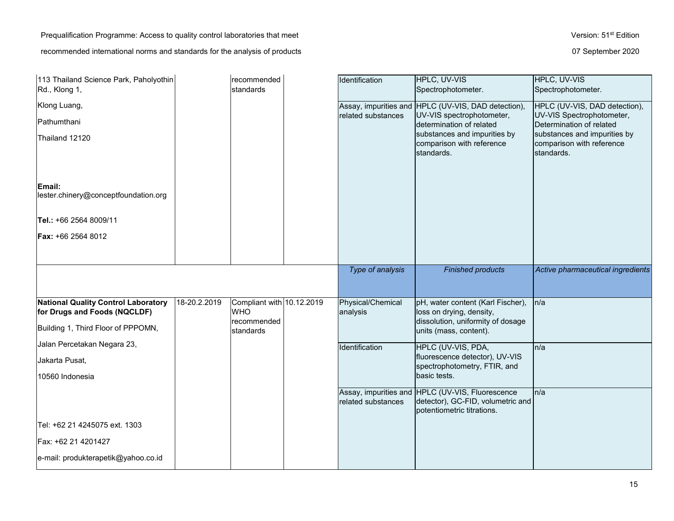Prequalification Programme: Access to quality control laboratories that meet Version: 51<sup>st</sup> Edition recommended international norms and standards for the analysis of products **07** September 2020

| 113 Thailand Science Park, Paholyothin<br>Rd., Klong 1,                    |              | recommended<br>standards                               | Identification                | HPLC, UV-VIS<br>Spectrophotometer.                                                                                   | HPLC, UV-VIS<br>Spectrophotometer.                                      |
|----------------------------------------------------------------------------|--------------|--------------------------------------------------------|-------------------------------|----------------------------------------------------------------------------------------------------------------------|-------------------------------------------------------------------------|
| Klong Luang,                                                               |              |                                                        |                               | Assay, impurities and HPLC (UV-VIS, DAD detection),                                                                  | HPLC (UV-VIS, DAD detection),                                           |
| Pathumthani                                                                |              |                                                        | related substances            | UV-VIS spectrophotometer,<br>determination of related                                                                | UV-VIS Spectrophotometer,<br>Determination of related                   |
| Thailand 12120                                                             |              |                                                        |                               | substances and impurities by<br>comparison with reference<br>standards.                                              | substances and impurities by<br>comparison with reference<br>standards. |
| Email:<br>lester.chinery@conceptfoundation.org                             |              |                                                        |                               |                                                                                                                      |                                                                         |
| Tel.: +66 2564 8009/11                                                     |              |                                                        |                               |                                                                                                                      |                                                                         |
| <b>Fax: +66 2564 8012</b>                                                  |              |                                                        |                               |                                                                                                                      |                                                                         |
|                                                                            |              |                                                        |                               |                                                                                                                      |                                                                         |
|                                                                            |              |                                                        | Type of analysis              | <b>Finished products</b>                                                                                             | Active pharmaceutical ingredients                                       |
|                                                                            |              |                                                        |                               |                                                                                                                      |                                                                         |
| <b>National Quality Control Laboratory</b><br>for Drugs and Foods (NQCLDF) | 18-20.2.2019 | Compliant with 10.12.2019<br><b>WHO</b><br>recommended | Physical/Chemical<br>analysis | pH, water content (Karl Fischer),<br>loss on drying, density,<br>dissolution, uniformity of dosage                   | n/a                                                                     |
| Building 1, Third Floor of PPPOMN,                                         |              | standards                                              |                               | units (mass, content).                                                                                               |                                                                         |
| Jalan Percetakan Negara 23,                                                |              |                                                        | Identification                | HPLC (UV-VIS, PDA,                                                                                                   | n/a                                                                     |
| Jakarta Pusat,                                                             |              |                                                        |                               | fluorescence detector), UV-VIS<br>spectrophotometry, FTIR, and                                                       |                                                                         |
| 10560 Indonesia                                                            |              |                                                        |                               | basic tests.                                                                                                         |                                                                         |
|                                                                            |              |                                                        | related substances            | Assay, impurities and HPLC (UV-VIS, Fluorescence<br>detector), GC-FID, volumetric and<br>lpotentiometric titrations. | n/a                                                                     |
| Tel: +62 21 4245075 ext. 1303                                              |              |                                                        |                               |                                                                                                                      |                                                                         |
| Fax: +62 21 4201427                                                        |              |                                                        |                               |                                                                                                                      |                                                                         |
| e-mail: produkterapetik@yahoo.co.id                                        |              |                                                        |                               |                                                                                                                      |                                                                         |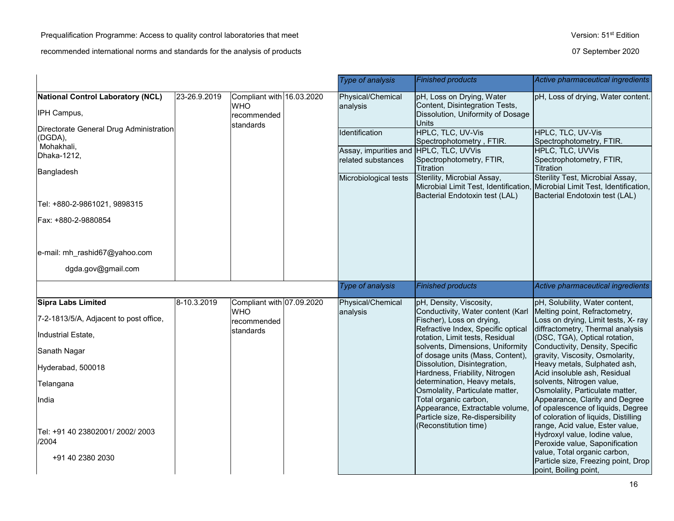# Prequalification Programme: Access to quality control laboratories that meet Version: 51<sup>st</sup> Edition

|                                                                  |              |                                                                     |  | Type of analysis                                             | <b>Finished products</b>                                                                                         | Active pharmaceutical ingredients                                                                           |                                               |                                               |
|------------------------------------------------------------------|--------------|---------------------------------------------------------------------|--|--------------------------------------------------------------|------------------------------------------------------------------------------------------------------------------|-------------------------------------------------------------------------------------------------------------|-----------------------------------------------|-----------------------------------------------|
| National Control Laboratory (NCL)<br>IPH Campus,                 | 23-26.9.2019 | Compliant with 16.03.2020<br><b>WHO</b><br>recommended<br>standards |  | Physical/Chemical<br>analysis                                | pH, Loss on Drying, Water<br>Content, Disintegration Tests,<br>Dissolution, Uniformity of Dosage<br><b>Units</b> | pH, Loss of drying, Water content.                                                                          |                                               |                                               |
| Directorate General Drug Administration<br>(DGDA),<br>Mohakhali, |              |                                                                     |  |                                                              |                                                                                                                  | Identification                                                                                              | HPLC, TLC, UV-Vis<br>Spectrophotometry, FTIR. | HPLC, TLC, UV-Vis<br>Spectrophotometry, FTIR. |
| Dhaka-1212,<br>Bangladesh                                        |              |                                                                     |  | Assay, impurities and HPLC, TLC, UVVis<br>related substances | Spectrophotometry, FTIR,<br>Titration                                                                            | <b>HPLC, TLC, UVVis</b><br>Spectrophotometry, FTIR,<br>Titration                                            |                                               |                                               |
|                                                                  |              |                                                                     |  | Microbiological tests                                        | Sterility, Microbial Assay,<br>Microbial Limit Test, Identification,<br>Bacterial Endotoxin test (LAL)           | Sterility Test, Microbial Assay,<br>Microbial Limit Test, Identification,<br>Bacterial Endotoxin test (LAL) |                                               |                                               |
| Tel: +880-2-9861021, 9898315                                     |              |                                                                     |  |                                                              |                                                                                                                  |                                                                                                             |                                               |                                               |
| Fax: +880-2-9880854                                              |              |                                                                     |  |                                                              |                                                                                                                  |                                                                                                             |                                               |                                               |
| e-mail: mh_rashid67@yahoo.com                                    |              |                                                                     |  |                                                              |                                                                                                                  |                                                                                                             |                                               |                                               |
| dgda.gov@gmail.com                                               |              |                                                                     |  |                                                              |                                                                                                                  |                                                                                                             |                                               |                                               |
|                                                                  |              |                                                                     |  | Type of analysis                                             | <b>Finished products</b>                                                                                         | Active pharmaceutical ingredients                                                                           |                                               |                                               |
| Sipra Labs Limited                                               | 8-10.3.2019  | Compliant with 07.09.2020                                           |  | Physical/Chemical                                            | pH, Density, Viscosity,<br>Conductivity, Water content (Karl                                                     | pH, Solubility, Water content,                                                                              |                                               |                                               |
| 7-2-1813/5/A, Adjacent to post office,                           |              | <b>WHO</b><br>recommended<br>standards                              |  | analysis                                                     | Fischer), Loss on drying,<br>Refractive Index, Specific optical                                                  | Melting point, Refractometry,<br>Loss on drying, Limit tests, X- ray<br>diffractometry, Thermal analysis    |                                               |                                               |
| Industrial Estate,                                               |              |                                                                     |  |                                                              | rotation, Limit tests, Residual                                                                                  | (DSC, TGA), Optical rotation,                                                                               |                                               |                                               |
| Sanath Nagar                                                     |              |                                                                     |  |                                                              | solvents, Dimensions, Uniformity<br>of dosage units (Mass, Content),                                             | Conductivity, Density, Specific<br>gravity, Viscosity, Osmolarity,                                          |                                               |                                               |
| Hyderabad, 500018                                                |              |                                                                     |  |                                                              | Dissolution, Disintegration,<br>Hardness, Friability, Nitrogen                                                   | Heavy metals, Sulphated ash,<br>Acid insoluble ash, Residual                                                |                                               |                                               |
| Telangana                                                        |              |                                                                     |  |                                                              | determination, Heavy metals,<br>Osmolality, Particulate matter,                                                  | solvents, Nitrogen value,<br>Osmolality, Particulate matter,                                                |                                               |                                               |
| India                                                            |              |                                                                     |  |                                                              | Total organic carbon,<br>Appearance, Extractable volume,<br>Particle size, Re-dispersibility                     | Appearance, Clarity and Degree<br>of opalescence of liquids, Degree<br>of coloration of liquids, Distilling |                                               |                                               |
| Tel: +91 40 23802001/ 2002/ 2003<br>/2004                        |              |                                                                     |  |                                                              | (Reconstitution time)                                                                                            | range, Acid value, Ester value,<br>Hydroxyl value, lodine value,<br>Peroxide value, Saponification          |                                               |                                               |
| +91 40 2380 2030                                                 |              |                                                                     |  |                                                              |                                                                                                                  | value, Total organic carbon,<br>Particle size, Freezing point, Drop<br>point, Boiling point,                |                                               |                                               |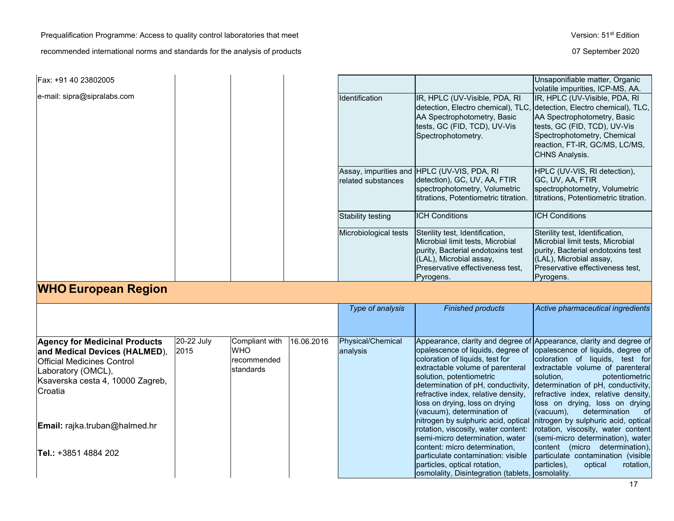Prequalification Programme: Access to quality control laboratories that meet Version: 51<sup>st</sup> Edition

| Fax: +91 40 23802005                                                                                                                                                                                                                     |                    |                                                          |            |                               |                                                                                                                                                                                                                                                                                                                                                                                                                                     | Unsaponifiable matter, Organic                                                                                                                                                                                                                                                                                                                                                                                                                                                                                         |
|------------------------------------------------------------------------------------------------------------------------------------------------------------------------------------------------------------------------------------------|--------------------|----------------------------------------------------------|------------|-------------------------------|-------------------------------------------------------------------------------------------------------------------------------------------------------------------------------------------------------------------------------------------------------------------------------------------------------------------------------------------------------------------------------------------------------------------------------------|------------------------------------------------------------------------------------------------------------------------------------------------------------------------------------------------------------------------------------------------------------------------------------------------------------------------------------------------------------------------------------------------------------------------------------------------------------------------------------------------------------------------|
| e-mail: sipra@sipralabs.com                                                                                                                                                                                                              |                    |                                                          |            | Identification                | IR, HPLC (UV-Visible, PDA, RI<br>detection, Electro chemical), TLC,<br>AA Spectrophotometry, Basic<br>tests, GC (FID, TCD), UV-Vis<br>Spectrophotometry.                                                                                                                                                                                                                                                                            | volatile impurities, ICP-MS, AA.<br>IR, HPLC (UV-Visible, PDA, RI<br>detection, Electro chemical), TLC,<br>AA Spectrophotometry, Basic<br>tests, GC (FID, TCD), UV-Vis<br>Spectrophotometry, Chemical<br>reaction, FT-IR, GC/MS, LC/MS,<br><b>CHNS Analysis.</b>                                                                                                                                                                                                                                                       |
|                                                                                                                                                                                                                                          |                    |                                                          |            | related substances            | Assay, impurities and HPLC (UV-VIS, PDA, RI<br>detection), GC, UV, AA, FTIR<br>spectrophotometry, Volumetric<br>titrations, Potentiometric titration.                                                                                                                                                                                                                                                                               | HPLC (UV-VIS, RI detection),<br>GC, UV, AA, FTIR<br>spectrophotometry, Volumetric<br>titrations, Potentiometric titration.                                                                                                                                                                                                                                                                                                                                                                                             |
|                                                                                                                                                                                                                                          |                    |                                                          |            | <b>Stability testing</b>      | <b>ICH Conditions</b>                                                                                                                                                                                                                                                                                                                                                                                                               | <b>ICH Conditions</b>                                                                                                                                                                                                                                                                                                                                                                                                                                                                                                  |
|                                                                                                                                                                                                                                          |                    |                                                          |            | Microbiological tests         | Sterility test, Identification,<br>Microbial limit tests, Microbial<br>purity, Bacterial endotoxins test<br>(LAL), Microbial assay,<br>Preservative effectiveness test,<br>Pyrogens.                                                                                                                                                                                                                                                | Sterility test, Identification,<br>Microbial limit tests, Microbial<br>purity, Bacterial endotoxins test<br>(LAL), Microbial assay,<br>Preservative effectiveness test,<br>Pyrogens.                                                                                                                                                                                                                                                                                                                                   |
| <b>WHO European Region</b>                                                                                                                                                                                                               |                    |                                                          |            |                               |                                                                                                                                                                                                                                                                                                                                                                                                                                     |                                                                                                                                                                                                                                                                                                                                                                                                                                                                                                                        |
|                                                                                                                                                                                                                                          |                    |                                                          |            | Type of analysis              | <b>Finished products</b>                                                                                                                                                                                                                                                                                                                                                                                                            | Active pharmaceutical ingredients                                                                                                                                                                                                                                                                                                                                                                                                                                                                                      |
| <b>Agency for Medicinal Products</b><br>and Medical Devices (HALMED),<br><b>Official Medicines Control</b><br>Laboratory (OMCL),<br>Ksaverska cesta 4, 10000 Zagreb,<br>Croatia<br>Email: rajka.truban@halmed.hr<br>Tel.: +3851 4884 202 | 20-22 July<br>2015 | Compliant with<br><b>WHO</b><br>recommended<br>standards | 16.06.2016 | Physical/Chemical<br>analysis | opalescence of liquids, degree of<br>coloration of liquids, test for<br>extractable volume of parenteral<br>solution, potentiometric<br>determination of pH, conductivity,<br>refractive index, relative density,<br>loss on drying, loss on drying<br>(vacuum), determination of<br>nitrogen by sulphuric acid, optical<br>rotation, viscosity, water content:<br>semi-micro determination, water<br>content: micro determination, | Appearance, clarity and degree of Appearance, clarity and degree of<br>opalescence of liquids, degree of<br>coloration of liquids, test for<br>extractable volume of parenteral<br>potentiometric<br>solution,<br>determination of pH, conductivity,<br>refractive index, relative density,<br>loss on drying, loss on drying<br>(vacuum),<br>determination<br>ofl<br>nitrogen by sulphuric acid, optical<br>rotation, viscosity, water content<br>(semi-micro determination), water<br>content (micro determination), |
|                                                                                                                                                                                                                                          |                    |                                                          |            |                               | particulate contamination: visible<br>particles, optical rotation,<br>osmolality, Disintegration (tablets, osmolality.                                                                                                                                                                                                                                                                                                              | particulate contamination (visible)<br>particles),<br>optical<br>rotation,                                                                                                                                                                                                                                                                                                                                                                                                                                             |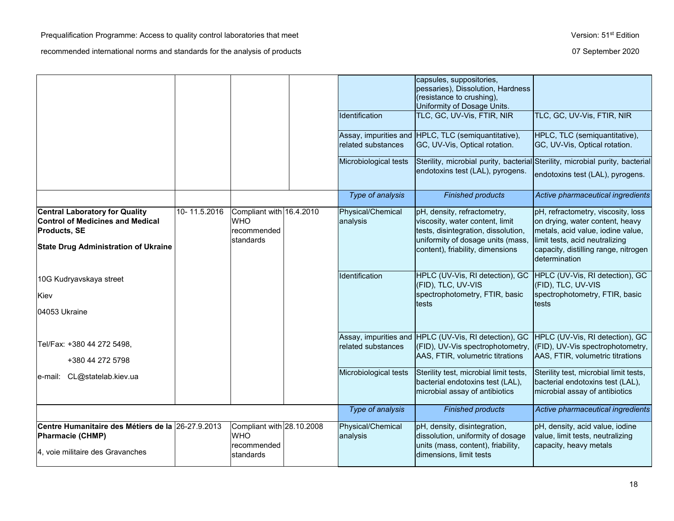|                                                                                                                  |              |                                                                     | Identification                | capsules, suppositories,<br>pessaries), Dissolution, Hardness<br>(resistance to crushing),<br>Uniformity of Dosage Units.<br>TLC, GC, UV-Vis, FTIR, NIR | TLC, GC, UV-Vis, FTIR, NIR                                                                                                                   |
|------------------------------------------------------------------------------------------------------------------|--------------|---------------------------------------------------------------------|-------------------------------|---------------------------------------------------------------------------------------------------------------------------------------------------------|----------------------------------------------------------------------------------------------------------------------------------------------|
|                                                                                                                  |              |                                                                     | related substances            | Assay, impurities and HPLC, TLC (semiquantitative),<br>GC, UV-Vis, Optical rotation.                                                                    | HPLC, TLC (semiquantitative),<br>GC, UV-Vis, Optical rotation.                                                                               |
|                                                                                                                  |              |                                                                     | Microbiological tests         | Sterility, microbial purity, bacterial Sterility, microbial purity, bacterial<br>endotoxins test (LAL), pyrogens.                                       | endotoxins test (LAL), pyrogens.                                                                                                             |
|                                                                                                                  |              |                                                                     | Type of analysis              | <b>Finished products</b>                                                                                                                                | Active pharmaceutical ingredients                                                                                                            |
| <b>Central Laboratory for Quality</b><br><b>Control of Medicines and Medical</b><br><b>Products, SE</b>          | 10-11.5.2016 | Compliant with 16.4.2010<br><b>WHO</b><br>recommended<br>standards  | Physical/Chemical<br>analysis | pH, density, refractometry,<br>viscosity, water content, limit<br>tests, disintegration, dissolution,<br>uniformity of dosage units (mass,              | pH, refractometry, viscosity, loss<br>on drying, water content, heavy<br>metals, acid value, iodine value,<br>limit tests, acid neutralizing |
| <b>State Drug Administration of Ukraine</b>                                                                      |              |                                                                     |                               | content), friability, dimensions                                                                                                                        | capacity, distilling range, nitrogen<br>determination                                                                                        |
| 10G Kudryavskaya street<br>Kiev                                                                                  |              |                                                                     | Identification                | HPLC (UV-Vis, RI detection), GC<br>(FID), TLC, UV-VIS<br>spectrophotometry, FTIR, basic                                                                 | HPLC (UV-Vis, RI detection), GC<br>(FID), TLC, UV-VIS<br>spectrophotometry, FTIR, basic                                                      |
| 104053 Ukraine                                                                                                   |              |                                                                     |                               | tests                                                                                                                                                   | tests                                                                                                                                        |
| Tel/Fax: +380 44 272 5498,<br>+380 44 272 5798                                                                   |              |                                                                     | related substances            | Assay, impurities and HPLC (UV-Vis, RI detection), GC<br>(FID), UV-Vis spectrophotometry,<br>AAS, FTIR, volumetric titrations                           | HPLC (UV-Vis, RI detection), GC<br>(FID), UV-Vis spectrophotometry,<br>AAS, FTIR, volumetric titrations                                      |
| e-mail: CL@statelab.kiev.ua                                                                                      |              |                                                                     | Microbiological tests         | Sterility test, microbial limit tests,<br>bacterial endotoxins test (LAL),<br>microbial assay of antibiotics                                            | Sterility test, microbial limit tests,<br>bacterial endotoxins test (LAL),<br>microbial assay of antibiotics                                 |
|                                                                                                                  |              |                                                                     | Type of analysis              | <b>Finished products</b>                                                                                                                                | Active pharmaceutical ingredients                                                                                                            |
| Centre Humanitaire des Métiers de la 26-27.9.2013<br><b>Pharmacie (CHMP)</b><br>4, voie militaire des Gravanches |              | Compliant with 28.10.2008<br><b>WHO</b><br>recommended<br>standards | Physical/Chemical<br>analysis | pH, density, disintegration,<br>dissolution, uniformity of dosage<br>units (mass, content), friability,<br>dimensions, limit tests                      | pH, density, acid value, iodine<br>value, limit tests, neutralizing<br>capacity, heavy metals                                                |
|                                                                                                                  |              |                                                                     |                               |                                                                                                                                                         |                                                                                                                                              |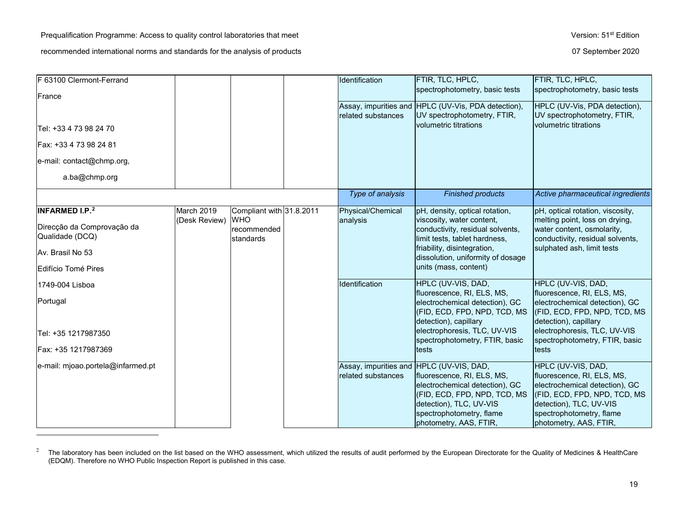<span id="page-18-0"></span>

| F 63100 Clermont-Ferrand                      |               |                                        | Identification     | FTIR, TLC, HPLC,<br>spectrophotometry, basic tests                                                                                                                                                                        | FTIR, TLC, HPLC,<br>spectrophotometry, basic tests                                                                                                                                                  |
|-----------------------------------------------|---------------|----------------------------------------|--------------------|---------------------------------------------------------------------------------------------------------------------------------------------------------------------------------------------------------------------------|-----------------------------------------------------------------------------------------------------------------------------------------------------------------------------------------------------|
| France                                        |               |                                        |                    |                                                                                                                                                                                                                           |                                                                                                                                                                                                     |
|                                               |               |                                        | related substances | Assay, impurities and HPLC (UV-Vis, PDA detection),<br>UV spectrophotometry, FTIR,                                                                                                                                        | HPLC (UV-Vis, PDA detection),<br>UV spectrophotometry, FTIR,                                                                                                                                        |
| Tel: +33 4 73 98 24 70                        |               |                                        |                    | volumetric titrations                                                                                                                                                                                                     | volumetric titrations                                                                                                                                                                               |
| Fax: +33 4 73 98 24 81                        |               |                                        |                    |                                                                                                                                                                                                                           |                                                                                                                                                                                                     |
| e-mail: contact@chmp.org,                     |               |                                        |                    |                                                                                                                                                                                                                           |                                                                                                                                                                                                     |
| a.ba@chmp.org                                 |               |                                        |                    |                                                                                                                                                                                                                           |                                                                                                                                                                                                     |
|                                               |               |                                        | Type of analysis   | <b>Finished products</b>                                                                                                                                                                                                  | Active pharmaceutical ingredients                                                                                                                                                                   |
| <b>INFARMED I.P.</b> <sup>2</sup>             | March 2019    | Compliant with 31.8.2011               | Physical/Chemical  | pH, density, optical rotation,                                                                                                                                                                                            | pH, optical rotation, viscosity,                                                                                                                                                                    |
| Direcção da Comprovação da<br>Qualidade (DCQ) | (Desk Review) | <b>WHO</b><br>recommended<br>standards | analysis           | viscosity, water content,<br>conductivity, residual solvents,<br>limit tests, tablet hardness,                                                                                                                            | melting point, loss on drying,<br>water content, osmolarity,<br>conductivity, residual solvents,                                                                                                    |
| Av. Brasil No 53                              |               |                                        |                    | friability, disintegration,<br>dissolution, uniformity of dosage                                                                                                                                                          | sulphated ash, limit tests                                                                                                                                                                          |
| Edifício Tomé Pires                           |               |                                        |                    | units (mass, content)                                                                                                                                                                                                     |                                                                                                                                                                                                     |
| 1749-004 Lisboa                               |               |                                        | Identification     | HPLC (UV-VIS, DAD,                                                                                                                                                                                                        | HPLC (UV-VIS, DAD,                                                                                                                                                                                  |
| Portugal                                      |               |                                        |                    | fluorescence, RI, ELS, MS,<br>electrochemical detection), GC<br>(FID, ECD, FPD, NPD, TCD, MS<br>detection), capillary                                                                                                     | fluorescence, RI, ELS, MS,<br>electrochemical detection), GC<br>(FID, ECD, FPD, NPD, TCD, MS<br>detection), capillary                                                                               |
| Tel: +35 1217987350                           |               |                                        |                    | electrophoresis, TLC, UV-VIS<br>spectrophotometry, FTIR, basic                                                                                                                                                            | electrophoresis, TLC, UV-VIS<br>spectrophotometry, FTIR, basic                                                                                                                                      |
| Fax: +35 1217987369                           |               |                                        |                    | tests                                                                                                                                                                                                                     | tests                                                                                                                                                                                               |
| e-mail: mjoao.portela@infarmed.pt             |               |                                        | related substances | Assay, impurities and HPLC (UV-VIS, DAD,<br>fluorescence, RI, ELS, MS,<br>electrochemical detection), GC<br>(FID, ECD, FPD, NPD, TCD, MS<br>detection), TLC, UV-VIS<br>spectrophotometry, flame<br>photometry, AAS, FTIR, | HPLC (UV-VIS, DAD,<br>fluorescence, RI, ELS, MS,<br>electrochemical detection), GC<br>(FID, ECD, FPD, NPD, TCD, MS<br>detection), TLC, UV-VIS<br>spectrophotometry, flame<br>photometry, AAS, FTIR, |

<sup>&</sup>lt;sup>2</sup> The laboratory has been included on the list based on the WHO assessment, which utilized the results of audit performed by the European Directorate for the Quality of Medicines & HealthCare (EDQM). Therefore no WHO Public Inspection Report is published in this case.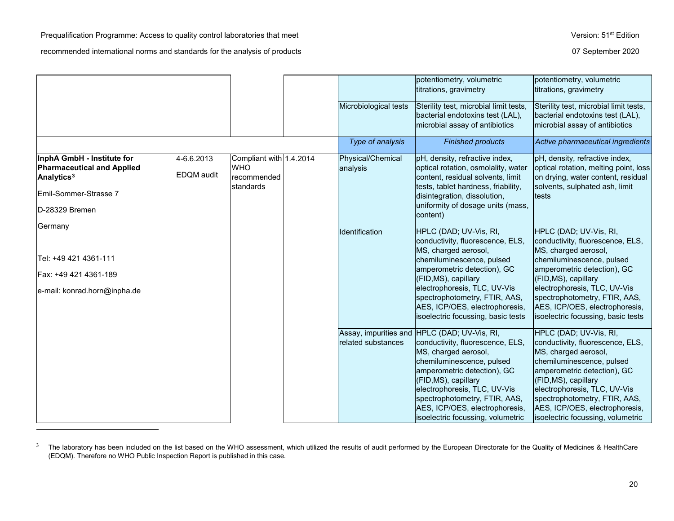$\overline{a}$ 

<span id="page-19-0"></span>

|                                                                                                                                      |                          |                                                                   | Microbiological tests         | potentiometry, volumetric<br>titrations, gravimetry<br>Sterility test, microbial limit tests,<br>bacterial endotoxins test (LAL),<br>microbial assay of antibiotics                                                                                                                                                                  | potentiometry, volumetric<br>titrations, gravimetry<br>Sterility test, microbial limit tests,<br>bacterial endotoxins test (LAL),<br>microbial assay of antibiotics                                                                                                                                             |
|--------------------------------------------------------------------------------------------------------------------------------------|--------------------------|-------------------------------------------------------------------|-------------------------------|--------------------------------------------------------------------------------------------------------------------------------------------------------------------------------------------------------------------------------------------------------------------------------------------------------------------------------------|-----------------------------------------------------------------------------------------------------------------------------------------------------------------------------------------------------------------------------------------------------------------------------------------------------------------|
|                                                                                                                                      |                          |                                                                   | Type of analysis              | <b>Finished products</b>                                                                                                                                                                                                                                                                                                             | Active pharmaceutical ingredients                                                                                                                                                                                                                                                                               |
| InphA GmbH - Institute for<br><b>Pharmaceutical and Applied</b><br>Analytics <sup>3</sup><br>Emil-Sommer-Strasse 7<br>D-28329 Bremen | 4-6.6.2013<br>EDQM audit | Compliant with 1.4.2014<br><b>WHO</b><br>recommended<br>standards | Physical/Chemical<br>analysis | pH, density, refractive index,<br>optical rotation, osmolality, water<br>content, residual solvents, limit<br>tests, tablet hardness, friability,<br>disintegration, dissolution,<br>uniformity of dosage units (mass,<br>content)                                                                                                   | pH, density, refractive index,<br>optical rotation, melting point, loss<br>on drying, water content, residual<br>solvents, sulphated ash, limit<br>tests                                                                                                                                                        |
| Germany<br>Tel: +49 421 4361-111<br>Fax: +49 421 4361-189<br>e-mail: konrad.horn@inpha.de                                            |                          |                                                                   | Identification                | HPLC (DAD; UV-Vis, RI,<br>conductivity, fluorescence, ELS,<br>MS, charged aerosol,<br>chemiluminescence, pulsed<br>amperometric detection), GC<br>(FID, MS), capillary<br>electrophoresis, TLC, UV-Vis<br>spectrophotometry, FTIR, AAS,<br>AES, ICP/OES, electrophoresis,<br>isoelectric focussing, basic tests                      | HPLC (DAD; UV-Vis, RI,<br>conductivity, fluorescence, ELS,<br>MS, charged aerosol,<br>chemiluminescence, pulsed<br>amperometric detection), GC<br>(FID, MS), capillary<br>electrophoresis, TLC, UV-Vis<br>spectrophotometry, FTIR, AAS,<br>AES, ICP/OES, electrophoresis,<br>isoelectric focussing, basic tests |
|                                                                                                                                      |                          |                                                                   | related substances            | Assay, impurities and HPLC (DAD; UV-Vis, RI,<br>conductivity, fluorescence, ELS,<br>MS, charged aerosol,<br>chemiluminescence, pulsed<br>amperometric detection), GC<br>(FID, MS), capillary<br>electrophoresis, TLC, UV-Vis<br>spectrophotometry, FTIR, AAS,<br>AES, ICP/OES, electrophoresis,<br>isoelectric focussing, volumetric | HPLC (DAD; UV-Vis, RI,<br>conductivity, fluorescence, ELS,<br>MS, charged aerosol,<br>chemiluminescence, pulsed<br>amperometric detection), GC<br>(FID, MS), capillary<br>electrophoresis, TLC, UV-Vis<br>spectrophotometry, FTIR, AAS,<br>AES, ICP/OES, electrophoresis,<br>isoelectric focussing, volumetric  |

<sup>&</sup>lt;sup>3</sup> The laboratory has been included on the list based on the WHO assessment, which utilized the results of audit performed by the European Directorate for the Quality of Medicines & HealthCare (EDQM). Therefore no WHO Public Inspection Report is published in this case.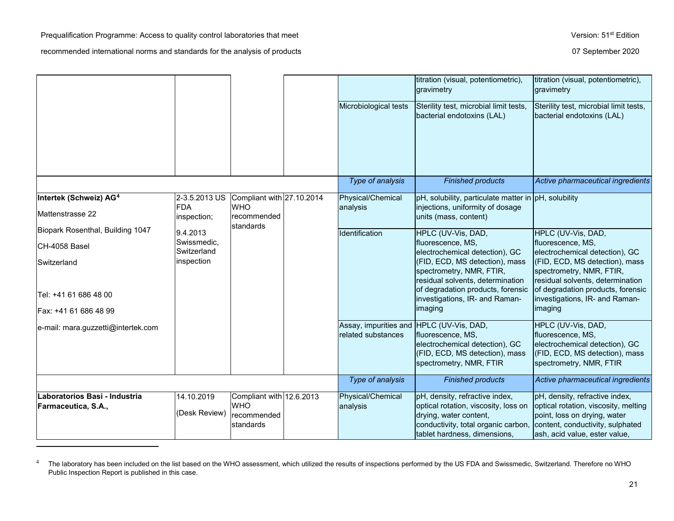l

<span id="page-20-0"></span>

|                                                        |                                            |                                                                     |                                                                | titration (visual, potentiometric),<br>gravimetry                                                                                                                       | titration (visual, potentiometric),<br>gravimetry                                                                                                                           |
|--------------------------------------------------------|--------------------------------------------|---------------------------------------------------------------------|----------------------------------------------------------------|-------------------------------------------------------------------------------------------------------------------------------------------------------------------------|-----------------------------------------------------------------------------------------------------------------------------------------------------------------------------|
|                                                        |                                            |                                                                     | Microbiological tests                                          | Sterility test, microbial limit tests,<br>bacterial endotoxins (LAL)                                                                                                    | Sterility test, microbial limit tests,<br>bacterial endotoxins (LAL)                                                                                                        |
|                                                        |                                            |                                                                     | Type of analysis                                               | <b>Finished products</b>                                                                                                                                                | Active pharmaceutical ingredients                                                                                                                                           |
| Intertek (Schweiz) AG <sup>4</sup><br>Mattenstrasse 22 | 2-3.5.2013 US<br><b>FDA</b><br>inspection; | Compliant with 27.10.2014<br><b>WHO</b><br>recommended<br>standards | Physical/Chemical<br>analysis                                  | pH, solubility, particulate matter in pH, solubility<br>injections, uniformity of dosage<br>units (mass, content)                                                       |                                                                                                                                                                             |
| Biopark Rosenthal, Building 1047                       | 9.4.2013                                   |                                                                     | Identification                                                 | HPLC (UV-Vis, DAD,                                                                                                                                                      | HPLC (UV-Vis, DAD,                                                                                                                                                          |
| CH-4058 Basel                                          | Swissmedic,<br>Switzerland                 |                                                                     |                                                                | fluorescence, MS,<br>electrochemical detection), GC                                                                                                                     | fluorescence, MS,<br>electrochemical detection), GC                                                                                                                         |
| Switzerland<br>Tel: +41 61 686 48 00                   | inspection                                 |                                                                     |                                                                | (FID, ECD, MS detection), mass<br>spectrometry, NMR, FTIR,<br>residual solvents, determination<br>of degradation products, forensic<br>investigations, IR- and Raman-   | (FID, ECD, MS detection), mass<br>spectrometry, NMR, FTIR,<br>residual solvents, determination<br>of degradation products, forensic<br>investigations, IR- and Raman-       |
| Fax: +41 61 686 48 99                                  |                                            |                                                                     |                                                                | imaging                                                                                                                                                                 | imaging                                                                                                                                                                     |
| e-mail: mara.guzzetti@intertek.com                     |                                            |                                                                     | Assay, impurities and HPLC (UV-Vis, DAD,<br>related substances | fluorescence, MS,<br>electrochemical detection), GC<br>(FID, ECD, MS detection), mass<br>spectrometry, NMR, FTIR                                                        | HPLC (UV-Vis, DAD,<br>fluorescence, MS,<br>electrochemical detection), GC<br>(FID, ECD, MS detection), mass<br>spectrometry, NMR, FTIR                                      |
|                                                        |                                            |                                                                     | Type of analysis                                               | <b>Finished products</b>                                                                                                                                                | Active pharmaceutical ingredients                                                                                                                                           |
| Laboratorios Basi - Industria<br>Farmaceutica, S.A.,   | 14.10.2019<br>(Desk Review)                | Compliant with 12.6.2013<br><b>WHO</b><br>recommended<br>standards  | Physical/Chemical<br>analysis                                  | pH, density, refractive index,<br>optical rotation, viscosity, loss on<br>drying, water content,<br>conductivity, total organic carbon,<br>tablet hardness, dimensions, | pH, density, refractive index,<br>optical rotation, viscosity, melting<br>point, loss on drying, water<br>content, conductivity, sulphated<br>ash, acid value, ester value, |

<sup>&</sup>lt;sup>4</sup> The laboratory has been included on the list based on the WHO assessment, which utilized the results of inspections performed by the US FDA and Swissmedic, Switzerland. Therefore no WHO Public Inspection Report is published in this case.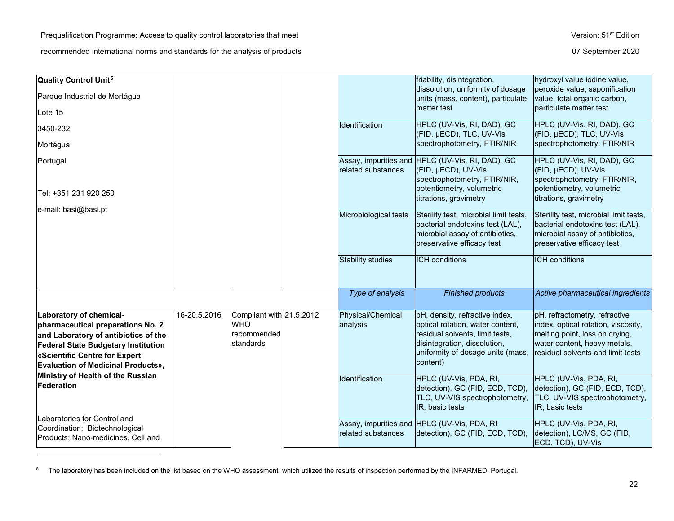<span id="page-21-0"></span>

| Quality Control Unit <sup>5</sup>                                                                                                                                                                                                |              |                                                                    |                               | friability, disintegration,                                                                                                                                                            | hydroxyl value iodine value,                                                                                                                                                |
|----------------------------------------------------------------------------------------------------------------------------------------------------------------------------------------------------------------------------------|--------------|--------------------------------------------------------------------|-------------------------------|----------------------------------------------------------------------------------------------------------------------------------------------------------------------------------------|-----------------------------------------------------------------------------------------------------------------------------------------------------------------------------|
| Parque Industrial de Mortágua                                                                                                                                                                                                    |              |                                                                    |                               | dissolution, uniformity of dosage<br>units (mass, content), particulate                                                                                                                | peroxide value, saponification<br>value, total organic carbon,                                                                                                              |
| Lote 15                                                                                                                                                                                                                          |              |                                                                    |                               | matter test                                                                                                                                                                            | particulate matter test                                                                                                                                                     |
| 3450-232                                                                                                                                                                                                                         |              |                                                                    | Identification                | HPLC (UV-Vis, RI, DAD), GC<br>(FID, µECD), TLC, UV-Vis                                                                                                                                 | HPLC (UV-Vis, RI, DAD), GC<br>(FID, µECD), TLC, UV-Vis                                                                                                                      |
| Mortágua                                                                                                                                                                                                                         |              |                                                                    |                               | spectrophotometry, FTIR/NIR                                                                                                                                                            | spectrophotometry, FTIR/NIR                                                                                                                                                 |
| Portugal                                                                                                                                                                                                                         |              |                                                                    | related substances            | Assay, impurities and HPLC (UV-Vis, RI, DAD), GC<br>(FID, µECD), UV-Vis<br>spectrophotometry, FTIR/NIR,                                                                                | HPLC (UV-Vis, RI, DAD), GC<br>(FID, µECD), UV-Vis<br>spectrophotometry, FTIR/NIR,                                                                                           |
| Tel: +351 231 920 250                                                                                                                                                                                                            |              |                                                                    |                               | potentiometry, volumetric<br>titrations, gravimetry                                                                                                                                    | potentiometry, volumetric<br>titrations, gravimetry                                                                                                                         |
| e-mail: basi@basi.pt                                                                                                                                                                                                             |              |                                                                    | Microbiological tests         | Sterility test, microbial limit tests,<br>bacterial endotoxins test (LAL),<br>microbial assay of antibiotics,<br>preservative efficacy test                                            | Sterility test, microbial limit tests,<br>bacterial endotoxins test (LAL),<br>microbial assay of antibiotics,<br>preservative efficacy test                                 |
|                                                                                                                                                                                                                                  |              |                                                                    | Stability studies             | <b>ICH</b> conditions                                                                                                                                                                  | <b>ICH</b> conditions                                                                                                                                                       |
|                                                                                                                                                                                                                                  |              |                                                                    | Type of analysis              | <b>Finished products</b>                                                                                                                                                               | Active pharmaceutical ingredients                                                                                                                                           |
| Laboratory of chemical-<br>pharmaceutical preparations No. 2<br>and Laboratory of antibiotics of the<br><b>Federal State Budgetary Institution</b><br>«Scientific Centre for Expert<br><b>Evaluation of Medicinal Products»,</b> | 16-20.5.2016 | Compliant with 21.5.2012<br><b>WHO</b><br>recommended<br>standards | Physical/Chemical<br>analysis | pH, density, refractive index,<br>optical rotation, water content,<br>residual solvents, limit tests,<br>disintegration, dissolution,<br>uniformity of dosage units (mass,<br>content) | pH, refractometry, refractive<br>index, optical rotation, viscosity,<br>melting point, loss on drying,<br>water content, heavy metals,<br>residual solvents and limit tests |
| Ministry of Health of the Russian<br>Federation                                                                                                                                                                                  |              |                                                                    | Identification                | HPLC (UV-Vis, PDA, RI,<br>detection), GC (FID, ECD, TCD),<br>TLC, UV-VIS spectrophotometry,<br>IR, basic tests                                                                         | HPLC (UV-Vis, PDA, RI,<br>detection), GC (FID, ECD, TCD),<br>TLC, UV-VIS spectrophotometry,<br>IR, basic tests                                                              |
| Laboratories for Control and<br>Coordination; Biotechnological<br>Products; Nano-medicines, Cell and                                                                                                                             |              |                                                                    | related substances            | Assay, impurities and HPLC (UV-Vis, PDA, RI<br>detection), GC (FID, ECD, TCD),                                                                                                         | HPLC (UV-Vis, PDA, RI,<br>detection), LC/MS, GC (FID,<br>ECD, TCD), UV-Vis                                                                                                  |

<sup>&</sup>lt;sup>5</sup> The laboratory has been included on the list based on the WHO assessment, which utilized the results of inspection performed by the INFARMED, Portugal.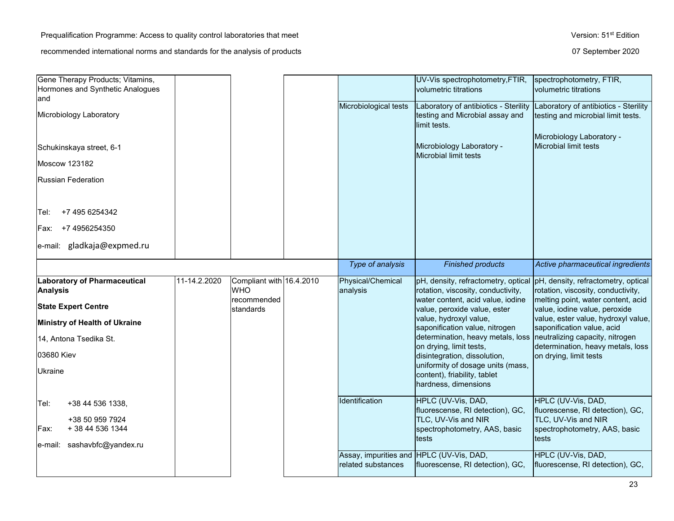| Gene Therapy Products; Vitamins,<br>Hormones and Synthetic Analogues<br>and |              |                                        |                                          | UV-Vis spectrophotometry, FTIR,<br>volumetric titrations                                                                  | spectrophotometry, FTIR,<br>volumetric titrations                                        |
|-----------------------------------------------------------------------------|--------------|----------------------------------------|------------------------------------------|---------------------------------------------------------------------------------------------------------------------------|------------------------------------------------------------------------------------------|
| Microbiology Laboratory                                                     |              |                                        | Microbiological tests                    | Laboratory of antibiotics - Sterility<br>testing and Microbial assay and<br>limit tests.                                  | Laboratory of antibiotics - Sterility<br>testing and microbial limit tests.              |
| Schukinskaya street, 6-1                                                    |              |                                        |                                          | Microbiology Laboratory -<br>Microbial limit tests                                                                        | Microbiology Laboratory -<br><b>Microbial limit tests</b>                                |
| <b>Moscow 123182</b>                                                        |              |                                        |                                          |                                                                                                                           |                                                                                          |
| <b>Russian Federation</b>                                                   |              |                                        |                                          |                                                                                                                           |                                                                                          |
| +7 495 6254342<br>Tel:                                                      |              |                                        |                                          |                                                                                                                           |                                                                                          |
| Fax: +7 4956254350                                                          |              |                                        |                                          |                                                                                                                           |                                                                                          |
| gladkaja@expmed.ru<br>e-mail:                                               |              |                                        |                                          |                                                                                                                           |                                                                                          |
|                                                                             |              |                                        | Type of analysis                         | <b>Finished products</b>                                                                                                  | Active pharmaceutical ingredients                                                        |
| <b>Laboratory of Pharmaceutical</b><br><b>Analysis</b>                      | 11-14.2.2020 | Compliant with 16.4.2010<br><b>WHO</b> | Physical/Chemical                        | pH, density, refractometry, optical                                                                                       | pH, density, refractometry, optical                                                      |
|                                                                             |              |                                        | analysis                                 | rotation, viscosity, conductivity,                                                                                        | rotation, viscosity, conductivity,                                                       |
| <b>State Expert Centre</b>                                                  |              | recommended<br>standards               |                                          | water content, acid value, iodine<br>value, peroxide value, ester                                                         | melting point, water content, acid<br>value, iodine value, peroxide                      |
| Ministry of Health of Ukraine                                               |              |                                        |                                          | value, hydroxyl value,                                                                                                    | value, ester value, hydroxyl value,                                                      |
| 14, Antona Tsedika St.                                                      |              |                                        |                                          | saponification value, nitrogen<br>determination, heavy metals, loss                                                       | saponification value, acid<br>neutralizing capacity, nitrogen                            |
|                                                                             |              |                                        |                                          | on drying, limit tests,                                                                                                   | determination, heavy metals, loss                                                        |
| 03680 Kiev<br>Ukraine                                                       |              |                                        |                                          | disintegration, dissolution,<br>uniformity of dosage units (mass,<br>content), friability, tablet<br>hardness, dimensions | on drying, limit tests                                                                   |
| +38 44 536 1338,<br>Tel:                                                    |              |                                        | Identification                           | HPLC (UV-Vis, DAD,                                                                                                        | HPLC (UV-Vis, DAD,                                                                       |
| +38 50 959 7924<br>+ 38 44 536 1344<br>Fax:                                 |              |                                        |                                          | fluorescense, RI detection), GC,<br>TLC, UV-Vis and NIR<br>spectrophotometry, AAS, basic                                  | fluorescense, RI detection), GC,<br>TLC, UV-Vis and NIR<br>spectrophotometry, AAS, basic |
| e-mail: sashavbfc@yandex.ru                                                 |              |                                        | Assay, impurities and HPLC (UV-Vis, DAD, | tests                                                                                                                     | tests<br>HPLC (UV-Vis, DAD,                                                              |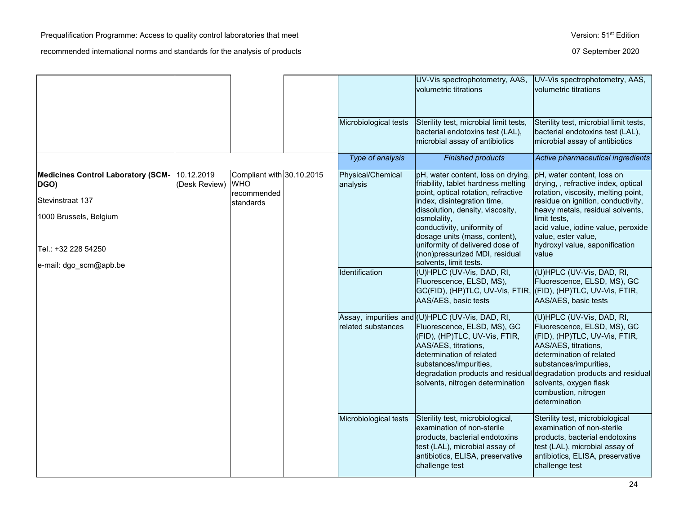|                                                                                                                                                  |                             |                                                                     |                               | UV-Vis spectrophotometry, AAS,<br>volumetric titrations                                                                                                                                                                                                                                                                                                          | UV-Vis spectrophotometry, AAS,<br>volumetric titrations                                                                                                                                                                                                                                                   |
|--------------------------------------------------------------------------------------------------------------------------------------------------|-----------------------------|---------------------------------------------------------------------|-------------------------------|------------------------------------------------------------------------------------------------------------------------------------------------------------------------------------------------------------------------------------------------------------------------------------------------------------------------------------------------------------------|-----------------------------------------------------------------------------------------------------------------------------------------------------------------------------------------------------------------------------------------------------------------------------------------------------------|
|                                                                                                                                                  |                             |                                                                     | Microbiological tests         | Sterility test, microbial limit tests,<br>bacterial endotoxins test (LAL),<br>microbial assay of antibiotics                                                                                                                                                                                                                                                     | Sterility test, microbial limit tests,<br>bacterial endotoxins test (LAL),<br>microbial assay of antibiotics                                                                                                                                                                                              |
|                                                                                                                                                  |                             |                                                                     | Type of analysis              | <b>Finished products</b>                                                                                                                                                                                                                                                                                                                                         | Active pharmaceutical ingredients                                                                                                                                                                                                                                                                         |
| <b>Medicines Control Laboratory (SCM-</b><br>DGO)<br>Stevinstraat 137<br>1000 Brussels, Belgium<br>Tel.: +32 228 54250<br>e-mail: dgo_scm@apb.be | 10.12.2019<br>(Desk Review) | Compliant with 30.10.2015<br><b>WHO</b><br>recommended<br>standards | Physical/Chemical<br>analysis | pH, water content, loss on drying<br>friability, tablet hardness melting<br>point, optical rotation, refractive<br>index, disintegration time,<br>dissolution, density, viscosity,<br>osmolality,<br>conductivity, uniformity of<br>dosage units (mass, content),<br>uniformity of delivered dose of<br>(non)pressurized MDI, residual<br>solvents, limit tests. | pH, water content, loss on<br>drying,, refractive index, optical<br>rotation, viscosity, melting point,<br>residue on ignition, conductivity,<br>heavy metals, residual solvents,<br>limit tests,<br>acid value, iodine value, peroxide<br>value, ester value,<br>hydroxyl value, saponification<br>value |
|                                                                                                                                                  |                             |                                                                     | <b>Identification</b>         | (U)HPLC (UV-Vis, DAD, RI,<br>Fluorescence, ELSD, MS),<br>GC(FID), (HP)TLC, UV-Vis, FTIR, ((FID), (HP)TLC, UV-Vis, FTIR,<br>AAS/AES, basic tests                                                                                                                                                                                                                  | (U)HPLC (UV-Vis, DAD, RI,<br>Fluorescence, ELSD, MS), GC<br>AAS/AES, basic tests                                                                                                                                                                                                                          |
|                                                                                                                                                  |                             |                                                                     | related substances            | Assay, impurities and (U)HPLC (UV-Vis, DAD, RI,<br>Fluorescence, ELSD, MS), GC<br>(FID), (HP)TLC, UV-Vis, FTIR,<br>AAS/AES, titrations,<br>determination of related<br>substances/impurities,<br>degradation products and residual<br>solvents, nitrogen determination                                                                                           | (U)HPLC (UV-Vis, DAD, RI,<br>Fluorescence, ELSD, MS), GC<br>(FID), (HP)TLC, UV-Vis, FTIR,<br>AAS/AES, titrations,<br>determination of related<br>substances/impurities,<br>degradation products and residual<br>solvents, oxygen flask<br>combustion, nitrogen<br>determination                           |
|                                                                                                                                                  |                             |                                                                     | Microbiological tests         | Sterility test, microbiological,<br>examination of non-sterile<br>products, bacterial endotoxins<br>test (LAL), microbial assay of<br>antibiotics, ELISA, preservative<br>challenge test                                                                                                                                                                         | Sterility test, microbiological<br>examination of non-sterile<br>products, bacterial endotoxins<br>test (LAL), microbial assay of<br>antibiotics, ELISA, preservative<br>challenge test                                                                                                                   |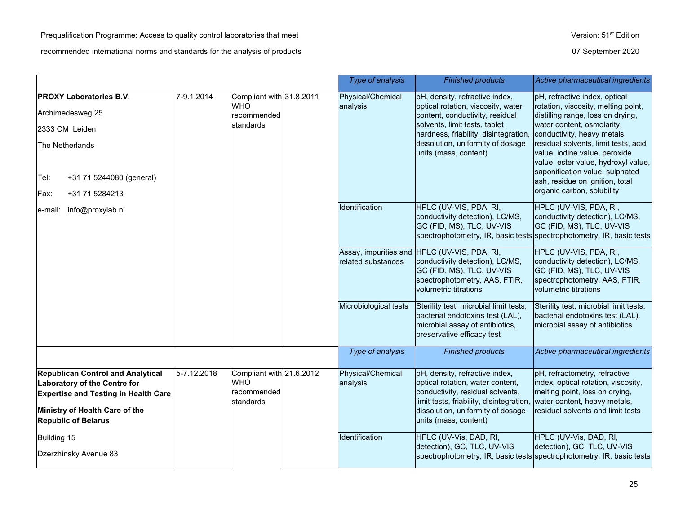|                                                                                                                                                                                         |             |                                                                    | Type of analysis              | <b>Finished products</b>                                                                                                                                                                                                                        | Active pharmaceutical ingredients                                                                                                                                                                                                                                                                                                                                                          |
|-----------------------------------------------------------------------------------------------------------------------------------------------------------------------------------------|-------------|--------------------------------------------------------------------|-------------------------------|-------------------------------------------------------------------------------------------------------------------------------------------------------------------------------------------------------------------------------------------------|--------------------------------------------------------------------------------------------------------------------------------------------------------------------------------------------------------------------------------------------------------------------------------------------------------------------------------------------------------------------------------------------|
| <b>PROXY Laboratories B.V.</b><br>Archimedesweg 25<br>2333 CM Leiden<br>The Netherlands<br>+31 71 5244080 (general)<br>Tel:<br>+31 71 5284213<br>Fax:                                   | 7-9.1.2014  | Compliant with 31.8.2011<br><b>WHO</b><br>recommended<br>standards | Physical/Chemical<br>analysis | pH, density, refractive index,<br>optical rotation, viscosity, water<br>content, conductivity, residual<br>solvents, limit tests, tablet<br>hardness, friability, disintegration,<br>dissolution, uniformity of dosage<br>units (mass, content) | pH, refractive index, optical<br>rotation, viscosity, melting point,<br>distilling range, loss on drying,<br>water content, osmolarity,<br>conductivity, heavy metals,<br>residual solvents, limit tests, acid<br>value, iodine value, peroxide<br>value, ester value, hydroxyl value,<br>saponification value, sulphated<br>ash, residue on ignition, total<br>organic carbon, solubility |
| e-mail: info@proxylab.nl                                                                                                                                                                |             |                                                                    | Identification                | HPLC (UV-VIS, PDA, RI,<br>conductivity detection), LC/MS,<br>GC (FID, MS), TLC, UV-VIS                                                                                                                                                          | HPLC (UV-VIS, PDA, RI,<br>conductivity detection), LC/MS,<br>GC (FID, MS), TLC, UV-VIS<br>spectrophotometry, IR, basic tests spectrophotometry, IR, basic tests                                                                                                                                                                                                                            |
|                                                                                                                                                                                         |             |                                                                    | related substances            | Assay, impurities and HPLC (UV-VIS, PDA, RI,<br>conductivity detection), LC/MS,<br>GC (FID, MS), TLC, UV-VIS<br>spectrophotometry, AAS, FTIR,<br>volumetric titrations                                                                          | HPLC (UV-VIS, PDA, RI,<br>conductivity detection), LC/MS,<br>GC (FID, MS), TLC, UV-VIS<br>spectrophotometry, AAS, FTIR,<br>volumetric titrations                                                                                                                                                                                                                                           |
|                                                                                                                                                                                         |             |                                                                    | Microbiological tests         | Sterility test, microbial limit tests,<br>bacterial endotoxins test (LAL),<br>microbial assay of antibiotics,<br>preservative efficacy test                                                                                                     | Sterility test, microbial limit tests,<br>bacterial endotoxins test (LAL),<br>microbial assay of antibiotics                                                                                                                                                                                                                                                                               |
|                                                                                                                                                                                         |             |                                                                    | Type of analysis              | <b>Finished products</b>                                                                                                                                                                                                                        | Active pharmaceutical ingredients                                                                                                                                                                                                                                                                                                                                                          |
| <b>Republican Control and Analytical</b><br>Laboratory of the Centre for<br><b>Expertise and Testing in Health Care</b><br>Ministry of Health Care of the<br><b>Republic of Belarus</b> | 5-7.12.2018 | Compliant with 21.6.2012<br><b>WHO</b><br>recommended<br>standards | Physical/Chemical<br>analysis | pH, density, refractive index,<br>optical rotation, water content,<br>conductivity, residual solvents,<br>limit tests, friability, disintegration,<br>dissolution, uniformity of dosage<br>units (mass, content)                                | pH, refractometry, refractive<br>index, optical rotation, viscosity,<br>melting point, loss on drying,<br>water content, heavy metals,<br>residual solvents and limit tests                                                                                                                                                                                                                |
| Building 15<br>Dzerzhinsky Avenue 83                                                                                                                                                    |             |                                                                    | Identification                | HPLC (UV-Vis, DAD, RI,<br>detection), GC, TLC, UV-VIS                                                                                                                                                                                           | HPLC (UV-Vis, DAD, RI,<br>detection), GC, TLC, UV-VIS<br>spectrophotometry, IR, basic tests spectrophotometry, IR, basic tests                                                                                                                                                                                                                                                             |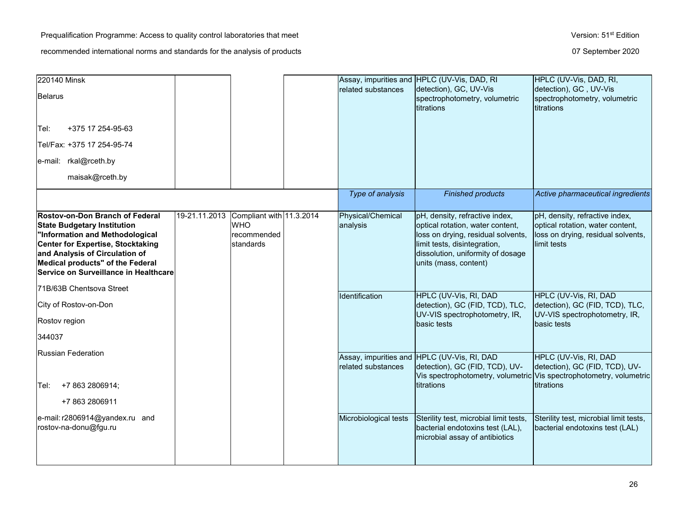| 220140 Minsk<br><b>Belarus</b>                                                                                                                                                                                                                                      |               |                                                                    | related substances                   | Assay, impurities and HPLC (UV-Vis, DAD, RI<br>detection), GC, UV-Vis<br>spectrophotometry, volumetric<br>titrations                                                                                   | HPLC (UV-Vis, DAD, RI,<br>detection), GC, UV-Vis<br>spectrophotometry, volumetric<br>titrations                                |
|---------------------------------------------------------------------------------------------------------------------------------------------------------------------------------------------------------------------------------------------------------------------|---------------|--------------------------------------------------------------------|--------------------------------------|--------------------------------------------------------------------------------------------------------------------------------------------------------------------------------------------------------|--------------------------------------------------------------------------------------------------------------------------------|
| +375 17 254-95-63<br>Tel:                                                                                                                                                                                                                                           |               |                                                                    |                                      |                                                                                                                                                                                                        |                                                                                                                                |
| Tel/Fax: +375 17 254-95-74                                                                                                                                                                                                                                          |               |                                                                    |                                      |                                                                                                                                                                                                        |                                                                                                                                |
| e-mail: rkal@rceth.by                                                                                                                                                                                                                                               |               |                                                                    |                                      |                                                                                                                                                                                                        |                                                                                                                                |
| maisak@rceth.by                                                                                                                                                                                                                                                     |               |                                                                    |                                      |                                                                                                                                                                                                        |                                                                                                                                |
|                                                                                                                                                                                                                                                                     |               |                                                                    | Type of analysis                     | <b>Finished products</b>                                                                                                                                                                               | Active pharmaceutical ingredients                                                                                              |
| Rostov-on-Don Branch of Federal<br><b>State Budgetary Institution</b><br>"Information and Methodological<br><b>Center for Expertise, Stocktaking</b><br>and Analysis of Circulation of<br>Medical products" of the Federal<br>Service on Surveillance in Healthcare | 19-21.11.2013 | Compliant with 11.3.2014<br><b>WHO</b><br>recommended<br>standards | <b>Physical/Chemical</b><br>analysis | pH, density, refractive index,<br>optical rotation, water content,<br>loss on drying, residual solvents,<br>limit tests, disintegration,<br>dissolution, uniformity of dosage<br>units (mass, content) | pH, density, refractive index,<br>optical rotation, water content,<br>loss on drying, residual solvents,<br>limit tests        |
| 71B/63B Chentsova Street                                                                                                                                                                                                                                            |               |                                                                    | Identification                       | HPLC (UV-Vis, RI, DAD                                                                                                                                                                                  | HPLC (UV-Vis, RI, DAD                                                                                                          |
| City of Rostov-on-Don                                                                                                                                                                                                                                               |               |                                                                    |                                      | detection), GC (FID, TCD), TLC,<br>UV-VIS spectrophotometry, IR,                                                                                                                                       | detection), GC (FID, TCD), TLC,<br>UV-VIS spectrophotometry, IR,                                                               |
| Rostov region                                                                                                                                                                                                                                                       |               |                                                                    |                                      | basic tests                                                                                                                                                                                            | basic tests                                                                                                                    |
| 344037                                                                                                                                                                                                                                                              |               |                                                                    |                                      |                                                                                                                                                                                                        |                                                                                                                                |
| Russian Federation                                                                                                                                                                                                                                                  |               |                                                                    | related substances                   | Assay, impurities and HPLC (UV-Vis, RI, DAD<br>detection), GC (FID, TCD), UV-                                                                                                                          | HPLC (UV-Vis, RI, DAD<br>detection), GC (FID, TCD), UV-<br>Vis spectrophotometry, volumetric Vis spectrophotometry, volumetric |
| +7 863 2806914;<br>Tel: l                                                                                                                                                                                                                                           |               |                                                                    |                                      | titrations                                                                                                                                                                                             | titrations                                                                                                                     |
| +7 863 2806911                                                                                                                                                                                                                                                      |               |                                                                    |                                      |                                                                                                                                                                                                        |                                                                                                                                |
| e-mail: r2806914@yandex.ru and<br>rostov-na-donu@fgu.ru                                                                                                                                                                                                             |               |                                                                    | Microbiological tests                | Sterility test, microbial limit tests,<br>bacterial endotoxins test (LAL),<br>microbial assay of antibiotics                                                                                           | Sterility test, microbial limit tests,<br>bacterial endotoxins test (LAL)                                                      |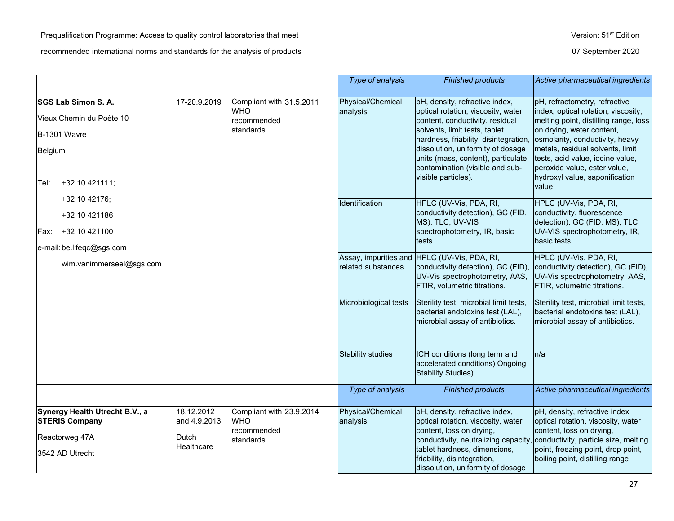|                                                         |                                                                      |                           |                               | Type of analysis                                                                                 | <b>Finished products</b>                                                                                                                             | Active pharmaceutical ingredients                                                                                                      |
|---------------------------------------------------------|----------------------------------------------------------------------|---------------------------|-------------------------------|--------------------------------------------------------------------------------------------------|------------------------------------------------------------------------------------------------------------------------------------------------------|----------------------------------------------------------------------------------------------------------------------------------------|
| SGS Lab Simon S. A.                                     | 17-20.9.2019                                                         | Compliant with 31.5.2011  |                               | Physical/Chemical                                                                                | pH, density, refractive index,                                                                                                                       | pH, refractometry, refractive                                                                                                          |
| Vieux Chemin du Poète 10                                |                                                                      | <b>WHO</b><br>recommended |                               | analysis                                                                                         | optical rotation, viscosity, water<br>content, conductivity, residual                                                                                | index, optical rotation, viscosity,<br>melting point, distilling range, loss                                                           |
| <b>B-1301 Wavre</b>                                     |                                                                      | standards                 |                               |                                                                                                  | solvents, limit tests, tablet<br>hardness, friability, disintegration,                                                                               | on drying, water content,<br>osmolarity, conductivity, heavy                                                                           |
| Belgium                                                 |                                                                      |                           |                               |                                                                                                  | dissolution, uniformity of dosage<br>units (mass, content), particulate<br>contamination (visible and sub-<br>visible particles).                    | metals, residual solvents, limit<br>tests, acid value, iodine value,<br>peroxide value, ester value,<br>hydroxyl value, saponification |
| +32 10 421111;<br>Tel:                                  |                                                                      |                           |                               |                                                                                                  |                                                                                                                                                      | value.                                                                                                                                 |
| +32 10 42176;                                           |                                                                      |                           |                               | Identification                                                                                   | HPLC (UV-Vis, PDA, RI,                                                                                                                               | HPLC (UV-Vis, PDA, RI,                                                                                                                 |
| +32 10 421186                                           |                                                                      |                           |                               |                                                                                                  | conductivity detection), GC (FID,<br>MS), TLC, UV-VIS                                                                                                | conductivity, fluorescence<br>detection), GC (FID, MS), TLC,                                                                           |
| +32 10 421100<br>Fax:                                   |                                                                      |                           |                               |                                                                                                  | spectrophotometry, IR, basic<br>tests.                                                                                                               | UV-VIS spectrophotometry, IR,<br>basic tests.                                                                                          |
| e-mail: be.lifeqc@sgs.com                               |                                                                      |                           |                               |                                                                                                  |                                                                                                                                                      |                                                                                                                                        |
| wim.vanimmerseel@sgs.com                                |                                                                      |                           |                               | related substances                                                                               | Assay, impurities and HPLC (UV-Vis, PDA, RI,<br>conductivity detection), GC (FID),<br>UV-Vis spectrophotometry, AAS,<br>FTIR, volumetric titrations. | HPLC (UV-Vis, PDA, RI,<br>conductivity detection), GC (FID),<br>UV-Vis spectrophotometry, AAS,<br>FTIR, volumetric titrations.         |
|                                                         |                                                                      |                           |                               | Microbiological tests                                                                            | Sterility test, microbial limit tests,<br>bacterial endotoxins test (LAL),<br>microbial assay of antibiotics.                                        | Sterility test, microbial limit tests,<br>bacterial endotoxins test (LAL),<br>microbial assay of antibiotics.                          |
|                                                         |                                                                      |                           |                               | <b>Stability studies</b>                                                                         | ICH conditions (long term and<br>accelerated conditions) Ongoing<br>Stability Studies).                                                              | n/a                                                                                                                                    |
|                                                         |                                                                      |                           |                               | Type of analysis                                                                                 | <b>Finished products</b>                                                                                                                             | Active pharmaceutical ingredients                                                                                                      |
| Synergy Health Utrecht B.V., a<br><b>STERIS Company</b> | 18.12.2012<br>Compliant with 23.9.2014<br><b>WHO</b><br>and 4.9.2013 |                           | Physical/Chemical<br>analysis | pH, density, refractive index,<br>optical rotation, viscosity, water<br>content, loss on drying, | pH, density, refractive index,<br>optical rotation, viscosity, water<br>content, loss on drying,                                                     |                                                                                                                                        |
| Reactorweg 47A                                          | Dutch                                                                | recommended<br>standards  |                               |                                                                                                  | conductivity, neutralizing capacity,                                                                                                                 | conductivity, particle size, melting                                                                                                   |
| 3542 AD Utrecht                                         | Healthcare                                                           |                           |                               |                                                                                                  | tablet hardness, dimensions,<br>friability, disintegration,<br>dissolution, uniformity of dosage                                                     | point, freezing point, drop point,<br>boiling point, distilling range                                                                  |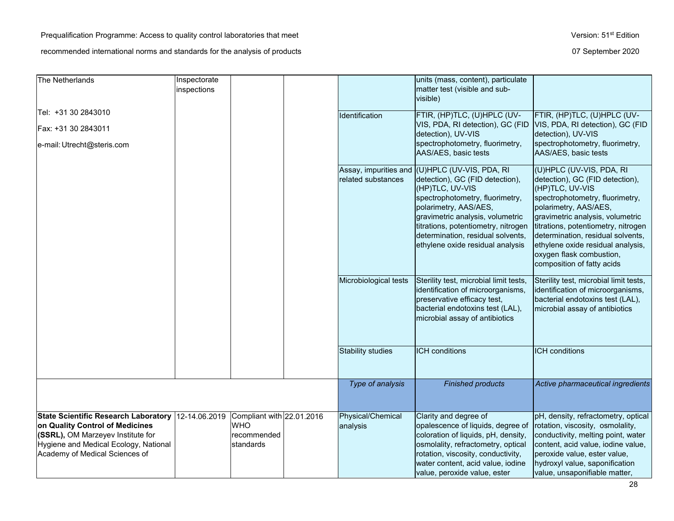| The Netherlands                                                                                                                                                                                         | Inspectorate<br>inspections |                                                                     |                               | units (mass, content), particulate<br>matter test (visible and sub-<br>visible)                                                                                                                                                                                                                                      |                                                                                                                                                                                                                                                                                                                                                           |
|---------------------------------------------------------------------------------------------------------------------------------------------------------------------------------------------------------|-----------------------------|---------------------------------------------------------------------|-------------------------------|----------------------------------------------------------------------------------------------------------------------------------------------------------------------------------------------------------------------------------------------------------------------------------------------------------------------|-----------------------------------------------------------------------------------------------------------------------------------------------------------------------------------------------------------------------------------------------------------------------------------------------------------------------------------------------------------|
| Tel: +31 30 2843010<br>Fax: +31 30 2843011<br>e-mail: Utrecht@steris.com                                                                                                                                |                             |                                                                     | Identification                | FTIR, (HP)TLC, (U)HPLC (UV-<br>VIS, PDA, RI detection), GC (FID<br>detection), UV-VIS<br>spectrophotometry, fluorimetry,<br>AAS/AES, basic tests                                                                                                                                                                     | FTIR, (HP)TLC, (U)HPLC (UV-<br>VIS, PDA, RI detection), GC (FID<br>detection), UV-VIS<br>spectrophotometry, fluorimetry,<br>AAS/AES, basic tests                                                                                                                                                                                                          |
|                                                                                                                                                                                                         |                             |                                                                     | related substances            | Assay, impurities and (U)HPLC (UV-VIS, PDA, RI<br>detection), GC (FID detection),<br>(HP)TLC, UV-VIS<br>spectrophotometry, fluorimetry,<br>polarimetry, AAS/AES,<br>gravimetric analysis, volumetric<br>titrations, potentiometry, nitrogen<br>determination, residual solvents,<br>ethylene oxide residual analysis | (U)HPLC (UV-VIS, PDA, RI<br>detection), GC (FID detection),<br>(HP)TLC, UV-VIS<br>spectrophotometry, fluorimetry,<br>polarimetry, AAS/AES,<br>gravimetric analysis, volumetric<br>titrations, potentiometry, nitrogen<br>determination, residual solvents,<br>ethylene oxide residual analysis,<br>oxygen flask combustion,<br>composition of fatty acids |
|                                                                                                                                                                                                         |                             |                                                                     | Microbiological tests         | Sterility test, microbial limit tests,<br>identification of microorganisms,<br>preservative efficacy test,<br>bacterial endotoxins test (LAL),<br>microbial assay of antibiotics                                                                                                                                     | Sterility test, microbial limit tests,<br>identification of microorganisms,<br>bacterial endotoxins test (LAL),<br>microbial assay of antibiotics                                                                                                                                                                                                         |
|                                                                                                                                                                                                         |                             |                                                                     | <b>Stability studies</b>      | <b>ICH</b> conditions                                                                                                                                                                                                                                                                                                | <b>ICH</b> conditions                                                                                                                                                                                                                                                                                                                                     |
|                                                                                                                                                                                                         |                             |                                                                     | Type of analysis              | <b>Finished products</b>                                                                                                                                                                                                                                                                                             | Active pharmaceutical ingredients                                                                                                                                                                                                                                                                                                                         |
| State Scientific Research Laboratory   12-14.06.2019<br>on Quality Control of Medicines<br>(SSRL), OM Marzeyev Institute for<br>Hygiene and Medical Ecology, National<br>Academy of Medical Sciences of |                             | Compliant with 22.01.2016<br><b>WHO</b><br>recommended<br>standards | Physical/Chemical<br>analysis | Clarity and degree of<br>opalescence of liquids, degree of<br>coloration of liquids, pH, density,<br>osmolality, refractometry, optical<br>rotation, viscosity, conductivity,<br>water content, acid value, iodine<br>value, peroxide value, ester                                                                   | pH, density, refractometry, optical<br>rotation, viscosity, osmolality,<br>conductivity, melting point, water<br>content, acid value, iodine value,<br>peroxide value, ester value,<br>hydroxyl value, saponification<br>value, unsaponifiable matter,                                                                                                    |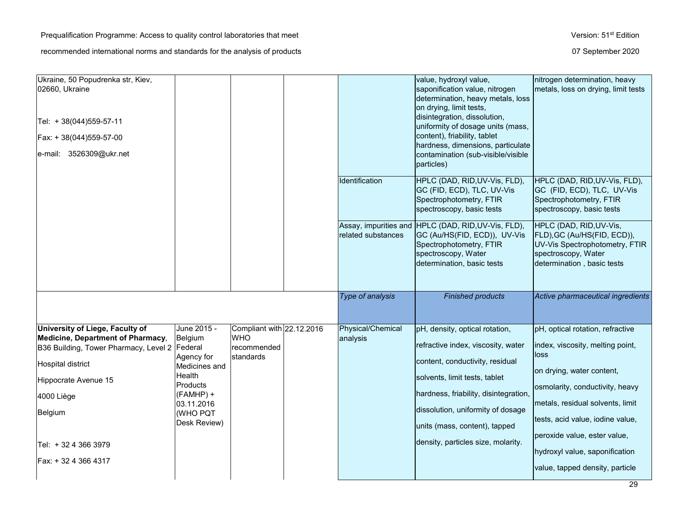| Ukraine, 50 Popudrenka str, Kiev,<br>02660, Ukraine<br>Tel: + 38(044)559-57-11<br>Fax: + 38(044)559-57-00<br>$ e$ -mail: 3526309@ukr.net                                                                                                           |                                                                                                                                                  |                                                                     |                               | value, hydroxyl value,<br>saponification value, nitrogen<br>determination, heavy metals, loss<br>on drying, limit tests,<br>disintegration, dissolution,<br>uniformity of dosage units (mass,<br>content), friability, tablet<br>hardness, dimensions, particulate<br>contamination (sub-visible/visible<br>particles) | nitrogen determination, heavy<br>metals, loss on drying, limit tests                                                                                                                                                                                                                                                      |
|----------------------------------------------------------------------------------------------------------------------------------------------------------------------------------------------------------------------------------------------------|--------------------------------------------------------------------------------------------------------------------------------------------------|---------------------------------------------------------------------|-------------------------------|------------------------------------------------------------------------------------------------------------------------------------------------------------------------------------------------------------------------------------------------------------------------------------------------------------------------|---------------------------------------------------------------------------------------------------------------------------------------------------------------------------------------------------------------------------------------------------------------------------------------------------------------------------|
|                                                                                                                                                                                                                                                    |                                                                                                                                                  |                                                                     | Identification                | HPLC (DAD, RID, UV-Vis, FLD),<br>GC (FID, ECD), TLC, UV-Vis<br>Spectrophotometry, FTIR<br>spectroscopy, basic tests                                                                                                                                                                                                    | HPLC (DAD, RID, UV-Vis, FLD),<br>GC (FID, ECD), TLC, UV-Vis<br>Spectrophotometry, FTIR<br>spectroscopy, basic tests                                                                                                                                                                                                       |
|                                                                                                                                                                                                                                                    |                                                                                                                                                  |                                                                     | related substances            | Assay, impurities and HPLC (DAD, RID, UV-Vis, FLD),<br>GC (Au/HS(FID, ECD)), UV-Vis<br>Spectrophotometry, FTIR<br>spectroscopy, Water<br>determination, basic tests                                                                                                                                                    | HPLC (DAD, RID, UV-Vis,<br>FLD), GC (Au/HS(FID, ECD)),<br>UV-Vis Spectrophotometry, FTIR<br>spectroscopy, Water<br>determination, basic tests                                                                                                                                                                             |
|                                                                                                                                                                                                                                                    |                                                                                                                                                  |                                                                     | Type of analysis              | <b>Finished products</b>                                                                                                                                                                                                                                                                                               | Active pharmaceutical ingredients                                                                                                                                                                                                                                                                                         |
| University of Liege, Faculty of<br>Medicine, Department of Pharmacy,<br>B36 Building, Tower Pharmacy, Level 2 Federal<br><b>Hospital district</b><br>Hippocrate Avenue 15<br>4000 Liège<br>Belgium<br>Tel: + 32 4 366 3979<br>Fax: + 32 4 366 4317 | June 2015 -<br>Belgium<br>Agency for<br>Medicines and<br>Health<br><b>Products</b><br>(FAMHP) +<br>03.11.2016<br><b>(WHO PQT</b><br>Desk Review) | Compliant with 22.12.2016<br><b>WHO</b><br>recommended<br>standards | Physical/Chemical<br>analysis | pH, density, optical rotation,<br>refractive index, viscosity, water<br>content, conductivity, residual<br>solvents, limit tests, tablet<br>hardness, friability, disintegration,<br>dissolution, uniformity of dosage<br>units (mass, content), tapped<br>density, particles size, molarity.                          | pH, optical rotation, refractive<br>index, viscosity, melting point,<br>loss<br>on drying, water content,<br>osmolarity, conductivity, heavy<br>metals, residual solvents, limit<br>tests, acid value, iodine value,<br>peroxide value, ester value,<br>hydroxyl value, saponification<br>value, tapped density, particle |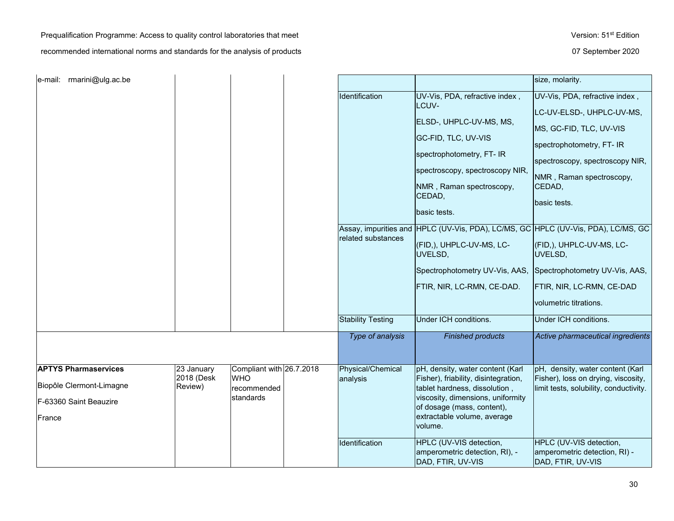Prequalification Programme: Access to quality control laboratories that meet Version: 51<sup>st</sup> Edition

| e-mail: rmarini@ulg.ac.be   |                          |                                        |                          |                                                                                | size, molarity.                                                                   |
|-----------------------------|--------------------------|----------------------------------------|--------------------------|--------------------------------------------------------------------------------|-----------------------------------------------------------------------------------|
|                             |                          |                                        | Identification           | UV-Vis, PDA, refractive index,                                                 | UV-Vis, PDA, refractive index,                                                    |
|                             |                          |                                        |                          | LCUV-                                                                          | LC-UV-ELSD-, UHPLC-UV-MS,                                                         |
|                             |                          |                                        |                          | ELSD-, UHPLC-UV-MS, MS,                                                        | MS, GC-FID, TLC, UV-VIS                                                           |
|                             |                          |                                        |                          | GC-FID, TLC, UV-VIS<br>spectrophotometry, FT- IR                               | spectrophotometry, FT- IR                                                         |
|                             |                          |                                        |                          |                                                                                | spectroscopy, spectroscopy NIR,                                                   |
|                             |                          |                                        |                          | spectroscopy, spectroscopy NIR,                                                | NMR, Raman spectroscopy,                                                          |
|                             |                          |                                        |                          | NMR, Raman spectroscopy,<br>CEDAD,                                             | CEDAD,                                                                            |
|                             |                          |                                        |                          |                                                                                | basic tests.                                                                      |
|                             |                          |                                        |                          | basic tests.                                                                   |                                                                                   |
|                             |                          |                                        |                          |                                                                                | Assay, impurities and HPLC (UV-Vis, PDA), LC/MS, GC HPLC (UV-Vis, PDA), LC/MS, GC |
|                             |                          |                                        | related substances       | (FID,), UHPLC-UV-MS, LC-                                                       | (FID,), UHPLC-UV-MS, LC-                                                          |
|                             |                          |                                        |                          | UVELSD,                                                                        | UVELSD,                                                                           |
|                             |                          |                                        |                          | Spectrophotometry UV-Vis, AAS,                                                 | Spectrophotometry UV-Vis, AAS,                                                    |
|                             |                          |                                        |                          | FTIR, NIR, LC-RMN, CE-DAD.                                                     | FTIR, NIR, LC-RMN, CE-DAD                                                         |
|                             |                          |                                        |                          |                                                                                | volumetric titrations.                                                            |
|                             |                          |                                        | <b>Stability Testing</b> | Under ICH conditions.                                                          | Under ICH conditions.                                                             |
|                             |                          |                                        | Type of analysis         | <b>Finished products</b>                                                       | Active pharmaceutical ingredients                                                 |
|                             |                          |                                        |                          |                                                                                |                                                                                   |
| <b>APTYS Pharmaservices</b> | 23 January<br>2018 (Desk | Compliant with 26.7.2018<br><b>WHO</b> | Physical/Chemical        | pH, density, water content (Karl<br>Fisher), friability, disintegration,       | pH, density, water content (Karl<br>Fisher), loss on drying, viscosity,           |
| Biopôle Clermont-Limagne    | Review)                  | recommended                            | analysis                 | tablet hardness, dissolution,                                                  | limit tests, solubility, conductivity.                                            |
| F-63360 Saint Beauzire      |                          | standards                              |                          | viscosity, dimensions, uniformity<br>of dosage (mass, content),                |                                                                                   |
| France                      |                          |                                        |                          | extractable volume, average<br>volume.                                         |                                                                                   |
|                             |                          |                                        | Identification           | HPLC (UV-VIS detection,<br>amperometric detection, RI), -<br>DAD, FTIR, UV-VIS | HPLC (UV-VIS detection,<br>amperometric detection, RI) -<br>DAD, FTIR, UV-VIS     |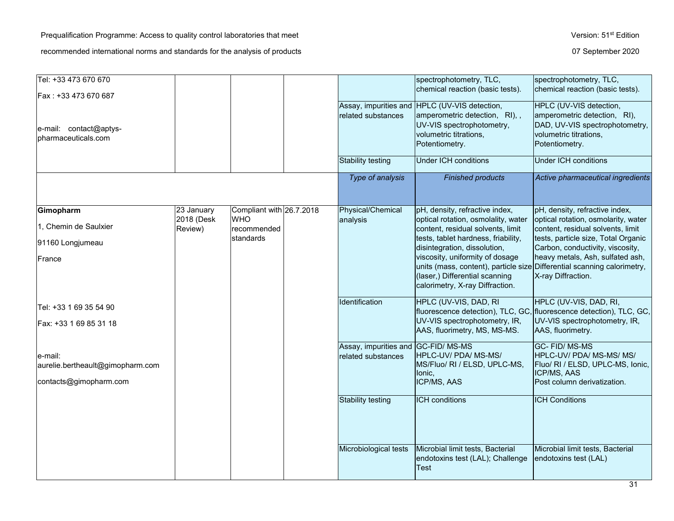| Tel: +33 473 670 670<br>Fax : +33 473 670 687                         |                          |                                        |                                                          | spectrophotometry, TLC,<br>chemical reaction (basic tests).                                                                                             | spectrophotometry, TLC,<br>chemical reaction (basic tests).                                                                           |
|-----------------------------------------------------------------------|--------------------------|----------------------------------------|----------------------------------------------------------|---------------------------------------------------------------------------------------------------------------------------------------------------------|---------------------------------------------------------------------------------------------------------------------------------------|
| e-mail: contact@aptys-<br>pharmaceuticals.com                         |                          |                                        | related substances                                       | Assay, impurities and HPLC (UV-VIS detection,<br>amperometric detection, RI),,<br>UV-VIS spectrophotometry,<br>volumetric titrations,<br>Potentiometry. | HPLC (UV-VIS detection,<br>amperometric detection, RI),<br>DAD, UV-VIS spectrophotometry,<br>volumetric titrations,<br>Potentiometry. |
|                                                                       |                          |                                        | Stability testing                                        | <b>Under ICH conditions</b>                                                                                                                             | <b>Under ICH conditions</b>                                                                                                           |
|                                                                       |                          |                                        | Type of analysis                                         | <b>Finished products</b>                                                                                                                                | Active pharmaceutical ingredients                                                                                                     |
| Gimopharm                                                             | 23 January<br>2018 (Desk | Compliant with 26.7.2018<br><b>WHO</b> | Physical/Chemical<br>analysis                            | pH, density, refractive index,<br>optical rotation, osmolality, water                                                                                   | pH, density, refractive index,<br>optical rotation, osmolarity, water                                                                 |
| 1, Chemin de Saulxier                                                 | Review)                  | recommended                            |                                                          | content, residual solvents, limit                                                                                                                       | content, residual solvents, limit                                                                                                     |
| 91160 Longjumeau                                                      |                          | standards                              |                                                          | tests, tablet hardness, friability,<br>disintegration, dissolution,                                                                                     | tests, particle size, Total Organic<br>Carbon, conductivity, viscosity,                                                               |
| France                                                                |                          |                                        |                                                          | viscosity, uniformity of dosage<br>units (mass, content), particle size<br>(laser,) Differential scanning<br>calorimetry, X-ray Diffraction.            | heavy metals, Ash, sulfated ash,<br>Differential scanning calorimetry,<br>X-ray Diffraction.                                          |
| Tel: +33 1 69 35 54 90                                                |                          |                                        | Identification                                           | HPLC (UV-VIS, DAD, RI                                                                                                                                   | HPLC (UV-VIS, DAD, RI,<br>fluorescence detection), TLC, GC, fluorescence detection), TLC, GC,                                         |
| Fax: +33 1 69 85 31 18                                                |                          |                                        |                                                          | UV-VIS spectrophotometry, IR,<br>AAS, fluorimetry, MS, MS-MS.                                                                                           | UV-VIS spectrophotometry, IR,<br>AAS, fluorimetry.                                                                                    |
| e-mail:<br>aurelie.bertheault@gimopharm.com<br>contacts@gimopharm.com |                          |                                        | Assay, impurities and GC-FID/MS-MS<br>related substances | HPLC-UV/ PDA/ MS-MS/<br>MS/Fluo/ RI / ELSD, UPLC-MS,<br>lonic,<br>ICP/MS, AAS                                                                           | GC-FID/MS-MS<br>HPLC-UV/ PDA/ MS-MS/ MS/<br>Fluo/ RI / ELSD, UPLC-MS, Ionic,<br>ICP/MS, AAS<br>Post column derivatization.            |
|                                                                       |                          |                                        | Stability testing                                        | <b>ICH</b> conditions                                                                                                                                   | <b>ICH Conditions</b>                                                                                                                 |
|                                                                       |                          |                                        | Microbiological tests                                    | Microbial limit tests, Bacterial<br>endotoxins test (LAL); Challenge<br>Test                                                                            | Microbial limit tests, Bacterial<br>endotoxins test (LAL)                                                                             |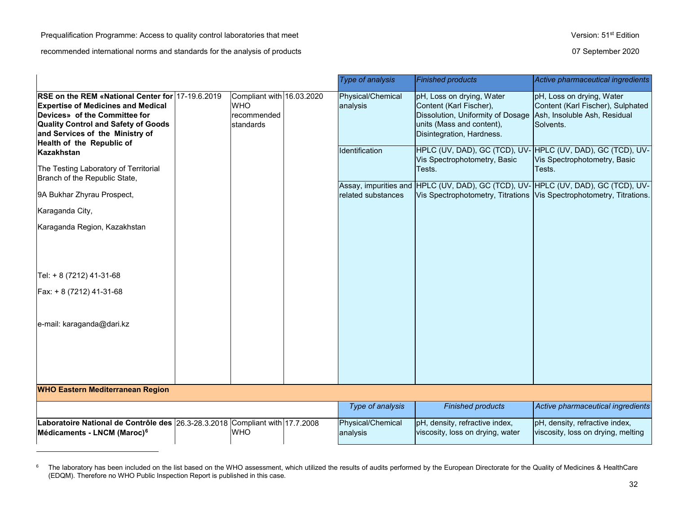# <span id="page-31-0"></span>Prequalification Programme: Access to quality control laboratories that meet Version: 51st Edition

|                                                                                                                                                                                                                                              |                                                                     | <b>Type of analysis</b>       | <b>Finished products</b>                                                                                                                            | Active pharmaceutical ingredients                                                                                                                        |
|----------------------------------------------------------------------------------------------------------------------------------------------------------------------------------------------------------------------------------------------|---------------------------------------------------------------------|-------------------------------|-----------------------------------------------------------------------------------------------------------------------------------------------------|----------------------------------------------------------------------------------------------------------------------------------------------------------|
| RSE on the REM «National Center for 17-19.6.2019<br><b>Expertise of Medicines and Medical</b><br>Devices» of the Committee for<br><b>Quality Control and Safety of Goods</b><br>and Services of the Ministry of<br>Health of the Republic of | Compliant with 16.03.2020<br><b>WHO</b><br>recommended<br>standards | Physical/Chemical<br>analysis | pH, Loss on drying, Water<br>Content (Karl Fischer),<br>Dissolution, Uniformity of Dosage<br>units (Mass and content),<br>Disintegration, Hardness. | pH, Loss on drying, Water<br>Content (Karl Fischer), Sulphated<br>Ash, Insoluble Ash, Residual<br>Solvents.                                              |
| Kazakhstan<br>The Testing Laboratory of Territorial<br>Branch of the Republic State,                                                                                                                                                         |                                                                     | Identification                | Vis Spectrophotometry, Basic<br>Tests.                                                                                                              | HPLC (UV, DAD), GC (TCD), UV- HPLC (UV, DAD), GC (TCD), UV-<br>Vis Spectrophotometry, Basic<br>Tests.                                                    |
| 9A Bukhar Zhyrau Prospect,                                                                                                                                                                                                                   |                                                                     | related substances            |                                                                                                                                                     | Assay, impurities and HPLC (UV, DAD), GC (TCD), UV-HPLC (UV, DAD), GC (TCD), UV-<br>Vis Spectrophotometry, Titrations Vis Spectrophotometry, Titrations. |
| Karaganda City,                                                                                                                                                                                                                              |                                                                     |                               |                                                                                                                                                     |                                                                                                                                                          |
| Karaganda Region, Kazakhstan                                                                                                                                                                                                                 |                                                                     |                               |                                                                                                                                                     |                                                                                                                                                          |
| Tel: + 8 (7212) 41-31-68                                                                                                                                                                                                                     |                                                                     |                               |                                                                                                                                                     |                                                                                                                                                          |
| Fax: + 8 (7212) 41-31-68                                                                                                                                                                                                                     |                                                                     |                               |                                                                                                                                                     |                                                                                                                                                          |
| e-mail: karaganda@dari.kz                                                                                                                                                                                                                    |                                                                     |                               |                                                                                                                                                     |                                                                                                                                                          |
| <b>WHO Eastern Mediterranean Region</b>                                                                                                                                                                                                      |                                                                     |                               |                                                                                                                                                     |                                                                                                                                                          |
|                                                                                                                                                                                                                                              |                                                                     | Type of analysis              | <b>Finished products</b>                                                                                                                            | Active pharmaceutical ingredients                                                                                                                        |
| Laboratoire National de Contrôle des 26.3-28.3.2018 Compliant with 17.7.2008<br>Médicaments - LNCM (Maroc) <sup>6</sup>                                                                                                                      | <b>WHO</b>                                                          | Physical/Chemical<br>analysis | pH, density, refractive index,<br>viscosity, loss on drying, water                                                                                  | pH, density, refractive index,<br>viscosity, loss on drying, melting                                                                                     |
|                                                                                                                                                                                                                                              |                                                                     |                               |                                                                                                                                                     |                                                                                                                                                          |

 $6$  The laboratory has been included on the list based on the WHO assessment, which utilized the results of audits performed by the European Directorate for the Quality of Medicines & HealthCare (EDQM). Therefore no WHO Public Inspection Report is published in this case.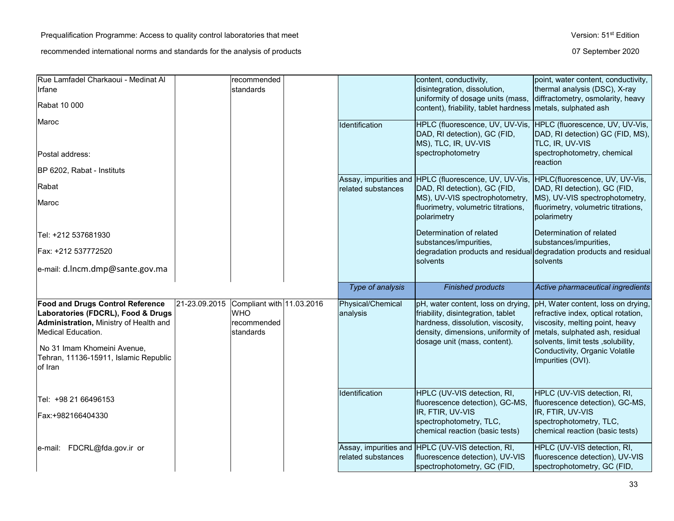| Rue Lamfadel Charkaoui - Medinat Al                                                                                                                                                                                              |               | recommended                                                         |                               | content, conductivity,                                                                                                                                                              | point, water content, conductivity,                                                                                                                                                                                                          |
|----------------------------------------------------------------------------------------------------------------------------------------------------------------------------------------------------------------------------------|---------------|---------------------------------------------------------------------|-------------------------------|-------------------------------------------------------------------------------------------------------------------------------------------------------------------------------------|----------------------------------------------------------------------------------------------------------------------------------------------------------------------------------------------------------------------------------------------|
| Irfane                                                                                                                                                                                                                           |               | standards                                                           |                               | disintegration, dissolution,                                                                                                                                                        | thermal analysis (DSC), X-ray                                                                                                                                                                                                                |
| Rabat 10 000                                                                                                                                                                                                                     |               |                                                                     |                               | uniformity of dosage units (mass,<br>content), friability, tablet hardness metals, sulphated ash                                                                                    | diffractometry, osmolarity, heavy                                                                                                                                                                                                            |
| Maroc                                                                                                                                                                                                                            |               |                                                                     | Identification                | HPLC (fluorescence, UV, UV-Vis,<br>DAD, RI detection), GC (FID,<br>MS), TLC, IR, UV-VIS                                                                                             | HPLC (fluorescence, UV, UV-Vis,<br>DAD, RI detection) GC (FID, MS),<br><b>TLC, IR, UV-VIS</b>                                                                                                                                                |
| lPostal address:                                                                                                                                                                                                                 |               |                                                                     |                               | spectrophotometry                                                                                                                                                                   | spectrophotometry, chemical                                                                                                                                                                                                                  |
| BP 6202, Rabat - Instituts                                                                                                                                                                                                       |               |                                                                     |                               | Assay, impurities and HPLC (fluorescence, UV, UV-Vis, HPLC(fluorescence, UV, UV-Vis,                                                                                                | reaction                                                                                                                                                                                                                                     |
| Rabat                                                                                                                                                                                                                            |               |                                                                     | related substances            | DAD, RI detection), GC (FID,                                                                                                                                                        | DAD, RI detection), GC (FID,                                                                                                                                                                                                                 |
| Maroc                                                                                                                                                                                                                            |               |                                                                     |                               | MS), UV-VIS spectrophotometry,<br>fluorimetry, volumetric titrations,<br>polarimetry                                                                                                | MS), UV-VIS spectrophotometry,<br>fluorimetry, volumetric titrations,<br>polarimetry                                                                                                                                                         |
| Tel: +212 537681930                                                                                                                                                                                                              |               |                                                                     |                               | Determination of related<br>substances/impurities,                                                                                                                                  | Determination of related<br>substances/impurities,                                                                                                                                                                                           |
| Fax: +212 537772520                                                                                                                                                                                                              |               |                                                                     |                               |                                                                                                                                                                                     | degradation products and residual degradation products and residual                                                                                                                                                                          |
| e-mail: d.lncm.dmp@sante.gov.ma                                                                                                                                                                                                  |               |                                                                     |                               | solvents                                                                                                                                                                            | solvents                                                                                                                                                                                                                                     |
|                                                                                                                                                                                                                                  |               |                                                                     |                               |                                                                                                                                                                                     |                                                                                                                                                                                                                                              |
|                                                                                                                                                                                                                                  |               |                                                                     | Type of analysis              | <b>Finished products</b>                                                                                                                                                            | Active pharmaceutical ingredients                                                                                                                                                                                                            |
| <b>Food and Drugs Control Reference</b><br>Laboratories (FDCRL), Food & Drugs<br>Administration, Ministry of Health and<br>Medical Education.<br>No 31 Imam Khomeini Avenue,<br>Tehran, 11136-15911, Islamic Republic<br>of Iran | 21-23.09.2015 | Compliant with 11.03.2016<br><b>WHO</b><br>recommended<br>standards | Physical/Chemical<br>analysis | pH, water content, loss on drying,<br>friability, disintegration, tablet<br>hardness, dissolution, viscosity,<br>density, dimensions, uniformity of<br>dosage unit (mass, content). | pH, Water content, loss on drying,<br>refractive index, optical rotation,<br>viscosity, melting point, heavy<br>metals, sulphated ash, residual<br>solvents, limit tests, solubility,<br>Conductivity, Organic Volatile<br>Impurities (OVI). |
| Tel: +98 21 66496153                                                                                                                                                                                                             |               |                                                                     | Identification                | HPLC (UV-VIS detection, RI,<br>fluorescence detection), GC-MS,                                                                                                                      | HPLC (UV-VIS detection, RI,<br>fluorescence detection), GC-MS,                                                                                                                                                                               |
| Fax:+982166404330                                                                                                                                                                                                                |               |                                                                     |                               | IR, FTIR, UV-VIS<br>spectrophotometry, TLC,<br>chemical reaction (basic tests)                                                                                                      | IR, FTIR, UV-VIS<br>spectrophotometry, TLC,<br>chemical reaction (basic tests)                                                                                                                                                               |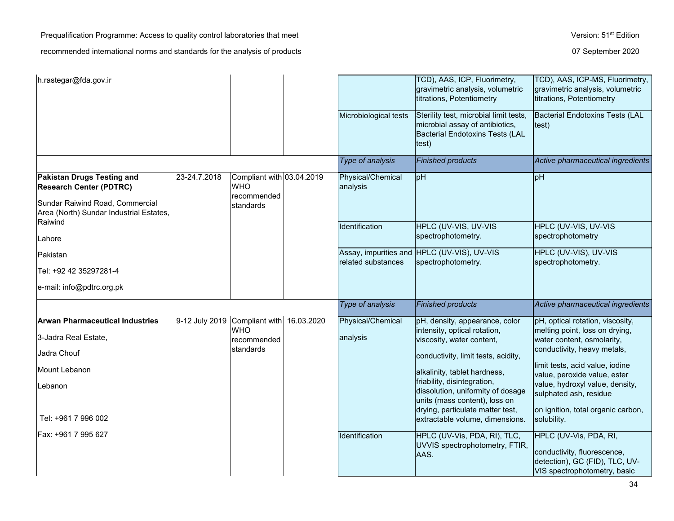Prequalification Programme: Access to quality control laboratories that meet Version: 51<sup>st</sup> Edition

| h.rastegar@fda.gov.ir                                                                                                                      |                |                                                                     |            |                               | TCD), AAS, ICP, Fluorimetry,<br>gravimetric analysis, volumetric<br>titrations, Potentiometry                                         | TCD), AAS, ICP-MS, Fluorimetry,<br>gravimetric analysis, volumetric<br>titrations, Potentiometry                        |
|--------------------------------------------------------------------------------------------------------------------------------------------|----------------|---------------------------------------------------------------------|------------|-------------------------------|---------------------------------------------------------------------------------------------------------------------------------------|-------------------------------------------------------------------------------------------------------------------------|
|                                                                                                                                            |                |                                                                     |            | Microbiological tests         | Sterility test, microbial limit tests,<br>microbial assay of antibiotics,<br>Bacterial Endotoxins Tests (LAL<br>test)                 | <b>Bacterial Endotoxins Tests (LAL</b><br>test)                                                                         |
|                                                                                                                                            |                |                                                                     |            | Type of analysis              | <b>Finished products</b>                                                                                                              | Active pharmaceutical ingredients                                                                                       |
| Pakistan Drugs Testing and<br><b>Research Center (PDTRC)</b><br>Sundar Raiwind Road, Commercial<br>Area (North) Sundar Industrial Estates, | 23-24.7.2018   | Compliant with 03.04.2019<br><b>WHO</b><br>recommended<br>standards |            | Physical/Chemical<br>analysis | pH                                                                                                                                    | pH                                                                                                                      |
| Raiwind<br>Lahore                                                                                                                          |                |                                                                     |            | Identification                | HPLC (UV-VIS, UV-VIS<br>spectrophotometry.                                                                                            | <b>HPLC (UV-VIS, UV-VIS)</b><br>spectrophotometry                                                                       |
| Pakistan                                                                                                                                   |                |                                                                     |            |                               | Assay, impurities and HPLC (UV-VIS), UV-VIS                                                                                           | HPLC (UV-VIS), UV-VIS                                                                                                   |
| Tel: +92 42 35297281-4                                                                                                                     |                |                                                                     |            | related substances            | spectrophotometry.                                                                                                                    | spectrophotometry.                                                                                                      |
| e-mail: info@pdtrc.org.pk                                                                                                                  |                |                                                                     |            |                               |                                                                                                                                       |                                                                                                                         |
|                                                                                                                                            |                |                                                                     |            | Type of analysis              | <b>Finished products</b>                                                                                                              | Active pharmaceutical ingredients                                                                                       |
| <b>Arwan Pharmaceutical Industries</b>                                                                                                     | 9-12 July 2019 | Compliant with                                                      | 16.03.2020 | Physical/Chemical             | pH, density, appearance, color                                                                                                        | pH, optical rotation, viscosity,                                                                                        |
| 3-Jadra Real Estate,                                                                                                                       |                | <b>WHO</b><br>recommended                                           |            | analysis                      | intensity, optical rotation,<br>viscosity, water content,                                                                             | melting point, loss on drying,<br>water content, osmolarity,                                                            |
| Jadra Chouf                                                                                                                                |                | standards                                                           |            |                               | conductivity, limit tests, acidity,                                                                                                   | conductivity, heavy metals,                                                                                             |
| Mount Lebanon                                                                                                                              |                |                                                                     |            |                               | alkalinity, tablet hardness,                                                                                                          | limit tests, acid value, iodine<br>value, peroxide value, ester                                                         |
| Lebanon                                                                                                                                    |                |                                                                     |            |                               | friability, disintegration,<br>dissolution, uniformity of dosage<br>units (mass content), loss on<br>drying, particulate matter test, | value, hydroxyl value, density,<br>sulphated ash, residue<br>on ignition, total organic carbon,                         |
| Tel: +961 7 996 002                                                                                                                        |                |                                                                     |            |                               | extractable volume, dimensions.                                                                                                       | solubility.                                                                                                             |
| Fax: +961 7 995 627                                                                                                                        |                |                                                                     |            | Identification                | HPLC (UV-Vis, PDA, RI), TLC,<br>UVVIS spectrophotometry, FTIR,<br>AAS.                                                                | HPLC (UV-Vis, PDA, RI,<br>conductivity, fluorescence,<br>detection), GC (FID), TLC, UV-<br>VIS spectrophotometry, basic |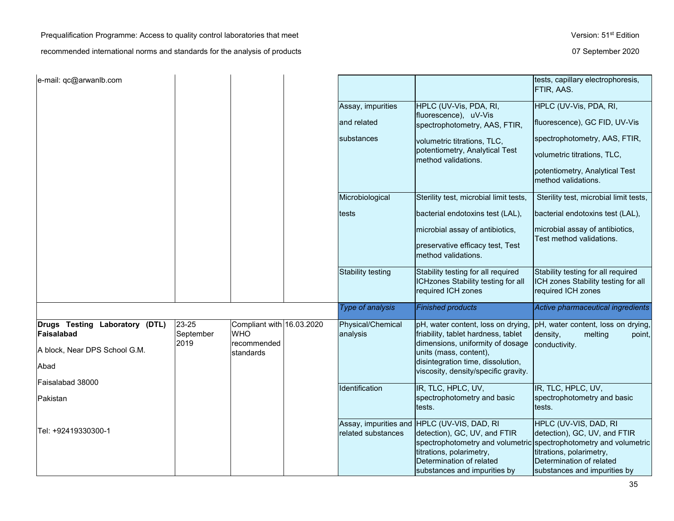Prequalification Programme: Access to quality control laboratories that meet Version: 51<sup>st</sup> Edition

| e-mail: qc@arwanlb.com                       |                            |                                                        |                               |                                                                                                               | tests, capillary electrophoresis,<br>FTIR, AAS.                                                                           |
|----------------------------------------------|----------------------------|--------------------------------------------------------|-------------------------------|---------------------------------------------------------------------------------------------------------------|---------------------------------------------------------------------------------------------------------------------------|
|                                              |                            |                                                        | Assay, impurities             | HPLC (UV-Vis, PDA, RI,                                                                                        | HPLC (UV-Vis, PDA, RI,                                                                                                    |
|                                              |                            |                                                        | and related                   | fluorescence), uV-Vis<br>spectrophotometry, AAS, FTIR,                                                        | fluorescence), GC FID, UV-Vis                                                                                             |
|                                              |                            |                                                        | substances                    | volumetric titrations, TLC,                                                                                   | spectrophotometry, AAS, FTIR,                                                                                             |
|                                              |                            |                                                        |                               | potentiometry, Analytical Test<br>method validations.                                                         | volumetric titrations, TLC,                                                                                               |
|                                              |                            |                                                        |                               |                                                                                                               | potentiometry, Analytical Test<br>method validations.                                                                     |
|                                              |                            |                                                        | Microbiological               | Sterility test, microbial limit tests,                                                                        | Sterility test, microbial limit tests,                                                                                    |
|                                              |                            |                                                        | tests                         | bacterial endotoxins test (LAL),                                                                              | bacterial endotoxins test (LAL),                                                                                          |
|                                              |                            |                                                        |                               | microbial assay of antibiotics,                                                                               | microbial assay of antibiotics,<br>Test method validations.                                                               |
|                                              |                            |                                                        |                               | preservative efficacy test, Test<br>method validations.                                                       |                                                                                                                           |
|                                              |                            |                                                        | <b>Stability testing</b>      | Stability testing for all required<br>ICHzones Stability testing for all<br>required ICH zones                | Stability testing for all required<br>ICH zones Stability testing for all<br>required ICH zones                           |
|                                              |                            |                                                        | Type of analysis              | <b>Finished products</b>                                                                                      | Active pharmaceutical ingredients                                                                                         |
| Drugs Testing Laboratory (DTL)<br>Faisalabad | 23-25<br>September<br>2019 | Compliant with 16.03.2020<br><b>WHO</b><br>recommended | Physical/Chemical<br>analysis | pH, water content, loss on drying,<br>friability, tablet hardness, tablet<br>dimensions, uniformity of dosage | pH, water content, loss on drying,<br>density,<br>point,<br>melting<br>conductivity.                                      |
| A block, Near DPS School G.M.                |                            | standards                                              |                               | units (mass, content),<br>disintegration time, dissolution,                                                   |                                                                                                                           |
| Abad                                         |                            |                                                        |                               | viscosity, density/specific gravity.                                                                          |                                                                                                                           |
| Faisalabad 38000                             |                            |                                                        | Identification                | IR, TLC, HPLC, UV,                                                                                            | IR, TLC, HPLC, UV,                                                                                                        |
| Pakistan                                     |                            |                                                        |                               | spectrophotometry and basic<br>tests.                                                                         | spectrophotometry and basic<br>tests.                                                                                     |
| Tel: +92419330300-1                          |                            |                                                        | related substances            | Assay, impurities and HPLC (UV-VIS, DAD, RI<br>detection), GC, UV, and FTIR                                   | HPLC (UV-VIS, DAD, RI<br>detection), GC, UV, and FTIR                                                                     |
|                                              |                            |                                                        |                               | titrations, polarimetry,<br>Determination of related                                                          | spectrophotometry and volumetric spectrophotometry and volumetric<br>titrations, polarimetry,<br>Determination of related |
|                                              |                            |                                                        |                               | substances and impurities by                                                                                  | substances and impurities by                                                                                              |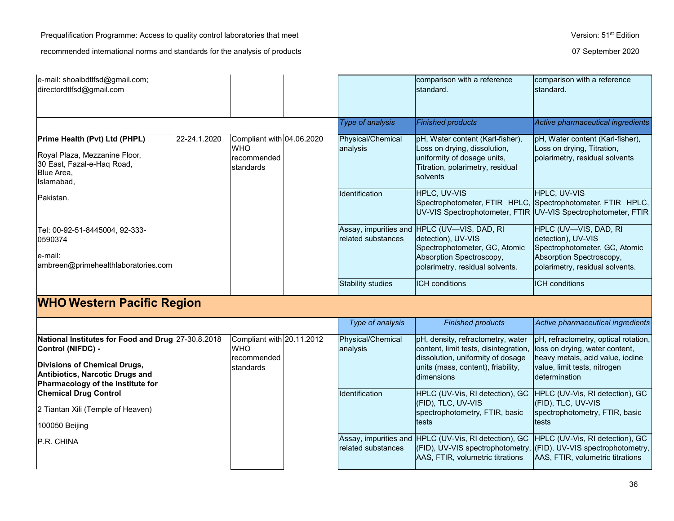| e-mail: shoaibdtlfsd@gmail.com;<br>directordtlfsd@gmail.com                                                              |                                   |                                                                     |  |                               | comparison with a reference<br>standard.                                                                                                                          | comparison with a reference<br>standard.                                                                                                     |  |  |
|--------------------------------------------------------------------------------------------------------------------------|-----------------------------------|---------------------------------------------------------------------|--|-------------------------------|-------------------------------------------------------------------------------------------------------------------------------------------------------------------|----------------------------------------------------------------------------------------------------------------------------------------------|--|--|
|                                                                                                                          |                                   |                                                                     |  | <b>Type of analysis</b>       | <b>Finished products</b>                                                                                                                                          | Active pharmaceutical ingredients                                                                                                            |  |  |
| Prime Health (Pvt) Ltd (PHPL)<br>Royal Plaza, Mezzanine Floor,<br>30 East, Fazal-e-Haq Road,<br>Blue Area,<br>Islamabad, | 22-24.1.2020                      | Compliant with 04.06.2020<br><b>WHO</b><br>recommended<br>standards |  | Physical/Chemical<br>analysis | pH, Water content (Karl-fisher),<br>Loss on drying, dissolution,<br>uniformity of dosage units,<br>Titration, polarimetry, residual<br>solvents                   | pH, Water content (Karl-fisher),<br>Loss on drying, Titration,<br>polarimetry, residual solvents                                             |  |  |
| Pakistan.                                                                                                                |                                   |                                                                     |  | Identification                | HPLC, UV-VIS                                                                                                                                                      | HPLC, UV-VIS<br>Spectrophotometer, FTIR HPLC, Spectrophotometer, FTIR HPLC,<br>UV-VIS Spectrophotometer, FTIR UV-VIS Spectrophotometer, FTIR |  |  |
| Tel: 00-92-51-8445004, 92-333-<br>0590374<br>le-mail:<br>ambreen@primehealthlaboratories.com                             |                                   |                                                                     |  | related substances            | Assay, impurities and HPLC (UV-VIS, DAD, RI<br>detection), UV-VIS<br>Spectrophotometer, GC, Atomic<br>Absorption Spectroscopy,<br>polarimetry, residual solvents. | HPLC (UV-VIS, DAD, RI<br>detection), UV-VIS<br>Spectrophotometer, GC, Atomic<br>Absorption Spectroscopy,<br>polarimetry, residual solvents.  |  |  |
|                                                                                                                          |                                   |                                                                     |  | Stability studies             | <b>ICH</b> conditions                                                                                                                                             | <b>ICH</b> conditions                                                                                                                        |  |  |
|                                                                                                                          | <b>WHO Western Pacific Region</b> |                                                                     |  |                               |                                                                                                                                                                   |                                                                                                                                              |  |  |
|                                                                                                                          |                                   |                                                                     |  | Type of analysis              | <b>Finished products</b>                                                                                                                                          | Active pharmaceutical ingredients                                                                                                            |  |  |
| National Institutes for Eood and Drug 27-30 8 2018                                                                       |                                   | $C$ ompliant with 20.11.2012                                        |  | Physical/Chamical             | InH density refractometry water InH refractometry ontical rotation                                                                                                |                                                                                                                                              |  |  |

| National Institutes for Food and Drug 27-30.8.2018<br>Control (NIFDC) -                                     | Compliant with 20.11.2012<br><b>WHO</b> | Physical/Chemical<br>analysis | pH, density, refractometry, water  pH, refractometry, optical rotation,<br>content, limit tests, disintegration, lloss on drying, water content,                                                                                  |                                                                                          |
|-------------------------------------------------------------------------------------------------------------|-----------------------------------------|-------------------------------|-----------------------------------------------------------------------------------------------------------------------------------------------------------------------------------------------------------------------------------|------------------------------------------------------------------------------------------|
| <b>Divisions of Chemical Drugs,</b><br>Antibiotics, Narcotic Drugs and<br>Pharmacology of the Institute for | Irecommended<br>Istandards              |                               | dissolution, uniformity of dosage<br>units (mass, content), friability,<br><b>Idimensions</b>                                                                                                                                     | heavy metals, acid value, iodine<br>value, limit tests, nitrogen<br><b>determination</b> |
| <b>Chemical Drug Control</b>                                                                                |                                         | Identification                | HPLC (UV-Vis, RI detection), GC HPLC (UV-Vis, RI detection), GC<br>(FID), TLC, UV-VIS                                                                                                                                             | $ $ (FID), TLC, UV-VIS                                                                   |
| 2 Tiantan Xili (Temple of Heaven)                                                                           |                                         |                               | spectrophotometry, FTIR, basic                                                                                                                                                                                                    | spectrophotometry, FTIR, basic                                                           |
| 100050 Beijing                                                                                              |                                         |                               | ltests                                                                                                                                                                                                                            | Itests                                                                                   |
| P.R. CHINA                                                                                                  |                                         | related substances            | Assay, impurities and HPLC (UV-Vis, RI detection), GC HPLC (UV-Vis, RI detection), GC<br>(FID), UV-VIS spectrophotometry, (FID), UV-VIS spectrophotometry,<br>AAS, FTIR, volumetric titrations   AAS, FTIR, volumetric titrations |                                                                                          |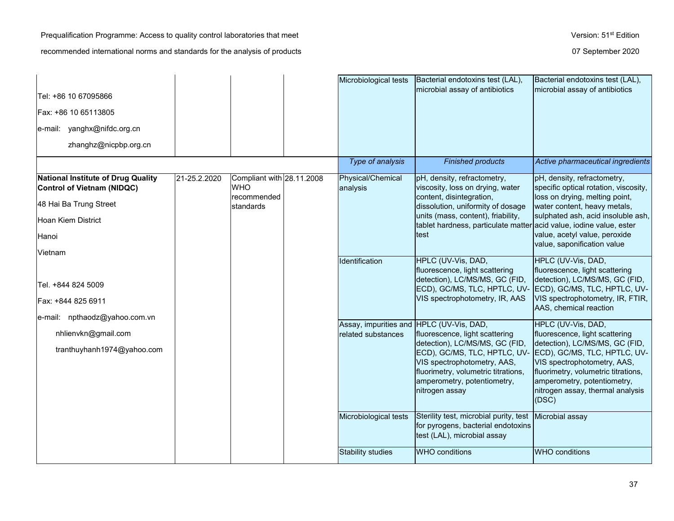|                                                                                      |              |                                                        | Microbiological tests                                          | Bacterial endotoxins test (LAL),                                                                                                                                                                                        | Bacterial endotoxins test (LAL),                                                                                                                                                                                                                                         |
|--------------------------------------------------------------------------------------|--------------|--------------------------------------------------------|----------------------------------------------------------------|-------------------------------------------------------------------------------------------------------------------------------------------------------------------------------------------------------------------------|--------------------------------------------------------------------------------------------------------------------------------------------------------------------------------------------------------------------------------------------------------------------------|
| Tel: +86 10 67095866                                                                 |              |                                                        |                                                                | microbial assay of antibiotics                                                                                                                                                                                          | microbial assay of antibiotics                                                                                                                                                                                                                                           |
| Fax: +86 10 65113805                                                                 |              |                                                        |                                                                |                                                                                                                                                                                                                         |                                                                                                                                                                                                                                                                          |
| e-mail: yanghx@nifdc.org.cn                                                          |              |                                                        |                                                                |                                                                                                                                                                                                                         |                                                                                                                                                                                                                                                                          |
| zhanghz@nicpbp.org.cn                                                                |              |                                                        |                                                                |                                                                                                                                                                                                                         |                                                                                                                                                                                                                                                                          |
|                                                                                      |              |                                                        | Type of analysis                                               | <b>Finished products</b>                                                                                                                                                                                                | Active pharmaceutical ingredients                                                                                                                                                                                                                                        |
| National Institute of Drug Quality<br><b>Control of Vietnam (NIDQC)</b>              | 21-25.2.2020 | Compliant with 28.11.2008<br><b>WHO</b><br>recommended | Physical/Chemical<br>analysis                                  | pH, density, refractometry,<br>viscosity, loss on drying, water<br>content, disintegration,                                                                                                                             | pH, density, refractometry,<br>specific optical rotation, viscosity,<br>loss on drying, melting point,                                                                                                                                                                   |
| 48 Hai Ba Trung Street                                                               |              | standards                                              |                                                                | dissolution, uniformity of dosage<br>units (mass, content), friability,                                                                                                                                                 | water content, heavy metals,<br>sulphated ash, acid insoluble ash,                                                                                                                                                                                                       |
| Hoan Kiem District                                                                   |              |                                                        |                                                                | tablet hardness, particulate matter acid value, iodine value, ester                                                                                                                                                     |                                                                                                                                                                                                                                                                          |
| Hanoi                                                                                |              |                                                        |                                                                | test                                                                                                                                                                                                                    | value, acetyl value, peroxide<br>value, saponification value                                                                                                                                                                                                             |
| Vietnam<br>Tel. +844 824 5009<br>Fax: +844 825 6911<br>e-mail: npthaodz@yahoo.com.vn |              |                                                        | Identification                                                 | HPLC (UV-Vis, DAD,<br>fluorescence, light scattering<br>detection), LC/MS/MS, GC (FID,<br>ECD), GC/MS, TLC, HPTLC, UV- ECD), GC/MS, TLC, HPTLC, UV-<br>VIS spectrophotometry, IR, AAS                                   | HPLC (UV-Vis, DAD,<br>fluorescence, light scattering<br>detection), LC/MS/MS, GC (FID,<br>VIS spectrophotometry, IR, FTIR,<br>AAS, chemical reaction                                                                                                                     |
| nhlienvkn@gmail.com<br>tranthuyhanh1974@yahoo.com                                    |              |                                                        | Assay, impurities and HPLC (UV-Vis, DAD,<br>related substances | fluorescence, light scattering<br>detection), LC/MS/MS, GC (FID,<br>ECD), GC/MS, TLC, HPTLC, UV-<br>VIS spectrophotometry, AAS,<br>fluorimetry, volumetric titrations,<br>amperometry, potentiometry,<br>nitrogen assay | HPLC (UV-Vis, DAD,<br>fluorescence, light scattering<br>detection), LC/MS/MS, GC (FID,<br>ECD), GC/MS, TLC, HPTLC, UV-<br>VIS spectrophotometry, AAS,<br>fluorimetry, volumetric titrations,<br>amperometry, potentiometry,<br>nitrogen assay, thermal analysis<br>(DSC) |
|                                                                                      |              |                                                        | Microbiological tests                                          | Sterility test, microbial purity, test Microbial assay<br>for pyrogens, bacterial endotoxins<br>test (LAL), microbial assay                                                                                             |                                                                                                                                                                                                                                                                          |
|                                                                                      |              |                                                        | <b>Stability studies</b>                                       | <b>WHO</b> conditions                                                                                                                                                                                                   | <b>WHO</b> conditions                                                                                                                                                                                                                                                    |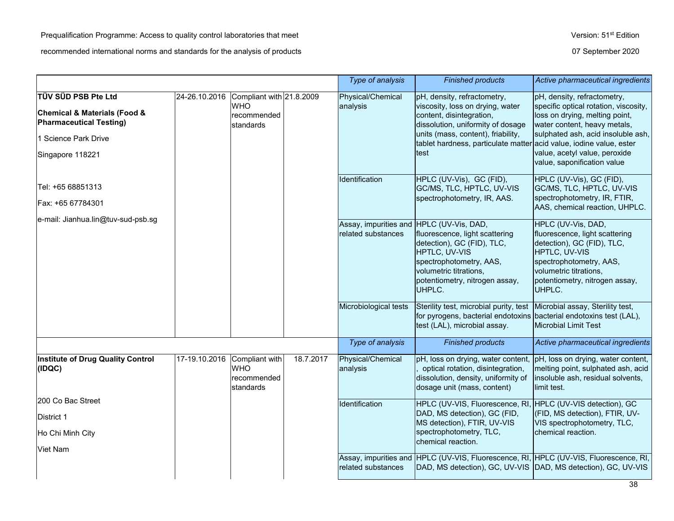|                                                                                                                                                  |               |                                                                    |           | Type of analysis                                                                        | <b>Finished products</b>                                                                                                                                                                                                                                  | Active pharmaceutical ingredients                                                                                                                                                                                                            |
|--------------------------------------------------------------------------------------------------------------------------------------------------|---------------|--------------------------------------------------------------------|-----------|-----------------------------------------------------------------------------------------|-----------------------------------------------------------------------------------------------------------------------------------------------------------------------------------------------------------------------------------------------------------|----------------------------------------------------------------------------------------------------------------------------------------------------------------------------------------------------------------------------------------------|
| TÜV SÜD PSB Pte Ltd<br><b>Chemical &amp; Materials (Food &amp;</b><br><b>Pharmaceutical Testing)</b><br>1 Science Park Drive<br>Singapore 118221 | 24-26.10.2016 | Compliant with 21.8.2009<br><b>WHO</b><br>recommended<br>standards |           | Physical/Chemical<br>analysis                                                           | pH, density, refractometry,<br>viscosity, loss on drying, water<br>content, disintegration,<br>dissolution, uniformity of dosage<br>units (mass, content), friability,<br>tablet hardness, particulate matter acid value, iodine value, ester<br>test     | pH, density, refractometry,<br>specific optical rotation, viscosity,<br>loss on drying, melting point,<br>water content, heavy metals,<br>sulphated ash, acid insoluble ash,<br>value, acetyl value, peroxide<br>value, saponification value |
| Tel: +65 68851313<br>Fax: +65 67784301                                                                                                           |               |                                                                    |           | Identification                                                                          | HPLC (UV-Vis), GC (FID),<br>GC/MS, TLC, HPTLC, UV-VIS<br>spectrophotometry, IR, AAS.                                                                                                                                                                      | HPLC (UV-Vis), GC (FID),<br>GC/MS, TLC, HPTLC, UV-VIS<br>spectrophotometry, IR, FTIR,<br>AAS, chemical reaction, UHPLC.                                                                                                                      |
| e-mail: Jianhua.lin@tuv-sud-psb.sg                                                                                                               |               |                                                                    |           | Assay, impurities and HPLC (UV-Vis, DAD,<br>related substances<br>Microbiological tests | fluorescence, light scattering<br>detection), GC (FID), TLC,<br>HPTLC, UV-VIS<br>spectrophotometry, AAS,<br>volumetric titrations,<br>potentiometry, nitrogen assay,<br>UHPLC.<br>Sterility test, microbial purity, test Microbial assay, Sterility test, | HPLC (UV-Vis, DAD,<br>fluorescence, light scattering<br>detection), GC (FID), TLC,<br>HPTLC, UV-VIS<br>spectrophotometry, AAS,<br>volumetric titrations,<br>potentiometry, nitrogen assay,<br>UHPLC.                                         |
|                                                                                                                                                  |               |                                                                    |           |                                                                                         | for pyrogens, bacterial endotoxins bacterial endotoxins test (LAL),<br>test (LAL), microbial assay.                                                                                                                                                       | <b>Microbial Limit Test</b>                                                                                                                                                                                                                  |
|                                                                                                                                                  |               |                                                                    |           | Type of analysis                                                                        | <b>Finished products</b>                                                                                                                                                                                                                                  | Active pharmaceutical ingredients                                                                                                                                                                                                            |
| <b>Institute of Drug Quality Control</b><br>(IDQC)                                                                                               | 17-19.10.2016 | Compliant with<br><b>WHO</b><br>recommended<br>standards           | 18.7.2017 | Physical/Chemical<br>analysis                                                           | pH, loss on drying, water content,<br>optical rotation, disintegration,<br>dissolution, density, uniformity of<br>dosage unit (mass, content)                                                                                                             | pH, loss on drying, water content,<br>melting point, sulphated ash, acid<br>insoluble ash, residual solvents,<br>limit test.                                                                                                                 |
| 200 Co Bac Street                                                                                                                                |               |                                                                    |           | Identification                                                                          | HPLC (UV-VIS, Fluorescence, RI,<br>DAD, MS detection), GC (FID,                                                                                                                                                                                           | HPLC (UV-VIS detection), GC<br>(FID, MS detection), FTIR, UV-                                                                                                                                                                                |
| District 1<br>Ho Chi Minh City<br><b>Viet Nam</b>                                                                                                |               |                                                                    |           |                                                                                         | MS detection), FTIR, UV-VIS<br>spectrophotometry, TLC,<br>chemical reaction.                                                                                                                                                                              | VIS spectrophotometry, TLC,<br>chemical reaction.                                                                                                                                                                                            |
|                                                                                                                                                  |               |                                                                    |           | related substances                                                                      | Assay, impurities and HPLC (UV-VIS, Fluorescence, RI, HPLC (UV-VIS, Fluorescence, RI,<br>DAD, MS detection), GC, UV-VIS DAD, MS detection), GC, UV-VIS                                                                                                    |                                                                                                                                                                                                                                              |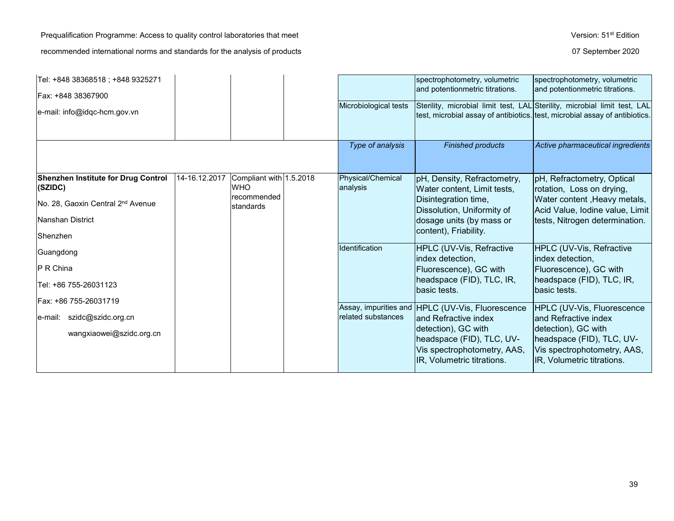Prequalification Programme: Access to quality control laboratories that meet Version: 51<sup>st</sup> Edition recommended international norms and standards for the analysis of products **07** September 2020

| Tel: +848 38368518 ; +848 9325271<br>Fax: +848 38367900 |               |                                       |                               | spectrophotometry, volumetric<br>and potentionmetric titrations.                                                                                         | spectrophotometry, volumetric<br>and potentionmetric titrations.                                              |
|---------------------------------------------------------|---------------|---------------------------------------|-------------------------------|----------------------------------------------------------------------------------------------------------------------------------------------------------|---------------------------------------------------------------------------------------------------------------|
| e-mail: info@idqc-hcm.gov.vn                            |               |                                       | Microbiological tests         | Sterility, microbial limit test, LAL Sterility, microbial limit test, LAL<br>test, microbial assay of antibiotics. test, microbial assay of antibiotics. |                                                                                                               |
|                                                         |               |                                       | Type of analysis              | <b>Finished products</b>                                                                                                                                 | Active pharmaceutical ingredients                                                                             |
| <b>Shenzhen Institute for Drug Control</b><br>(SZIDC)   | 14-16.12.2017 | Compliant with 1.5.2018<br><b>WHO</b> | Physical/Chemical<br>analysis | pH, Density, Refractometry,<br>Water content, Limit tests,                                                                                               | pH, Refractometry, Optical<br>rotation, Loss on drying,                                                       |
| No. 28, Gaoxin Central 2 <sup>nd</sup> Avenue           |               | recommended<br>standards              |                               | Disintegration time,<br>Dissolution, Uniformity of                                                                                                       | Water content, Heavy metals,<br>Acid Value, Iodine value, Limit                                               |
| Nanshan District<br>Shenzhen                            |               |                                       |                               | dosage units (by mass or<br>content), Friability.                                                                                                        | tests, Nitrogen determination.                                                                                |
| Guangdong                                               |               |                                       | Identification                | HPLC (UV-Vis, Refractive                                                                                                                                 | HPLC (UV-Vis, Refractive                                                                                      |
| P R China                                               |               |                                       |                               | index detection,<br>Fluorescence), GC with                                                                                                               | index detection,<br>Fluorescence), GC with                                                                    |
| Tel: +86 755-26031123                                   |               |                                       |                               | headspace (FID), TLC, IR,<br>basic tests.                                                                                                                | headspace (FID), TLC, IR,<br>lbasic tests.                                                                    |
| Fax: +86 755-26031719                                   |               |                                       |                               | Assay, impurities and HPLC (UV-Vis, Fluorescence                                                                                                         | HPLC (UV-Vis, Fluorescence                                                                                    |
| $ e$ -mail: szidc@szidc.org.cn                          |               |                                       | related substances            | land Refractive index                                                                                                                                    | and Refractive index                                                                                          |
| wangxiaowei@szidc.org.cn                                |               |                                       |                               | detection), GC with<br>headspace (FID), TLC, UV-<br>Vis spectrophotometry, AAS,<br>IR, Volumetric titrations.                                            | detection), GC with<br>headspace (FID), TLC, UV-<br>Vis spectrophotometry, AAS,<br>IR, Volumetric titrations. |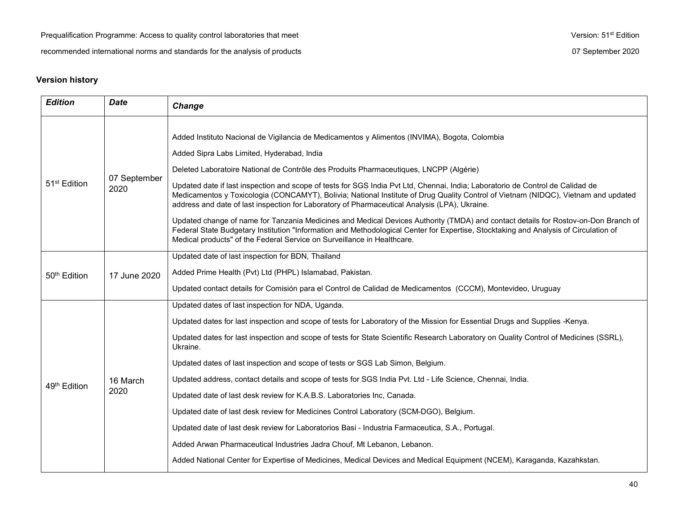# **Version history**

| <b>Edition</b>           | <b>Date</b>          | Change                                                                                                                                                                                                                                                                                                                                                                                                                                                                                                                                                                                                                                                                                                                                                                                                                                                                                                                                                                                                             |
|--------------------------|----------------------|--------------------------------------------------------------------------------------------------------------------------------------------------------------------------------------------------------------------------------------------------------------------------------------------------------------------------------------------------------------------------------------------------------------------------------------------------------------------------------------------------------------------------------------------------------------------------------------------------------------------------------------------------------------------------------------------------------------------------------------------------------------------------------------------------------------------------------------------------------------------------------------------------------------------------------------------------------------------------------------------------------------------|
| 51 <sup>st</sup> Edition | 07 September<br>2020 | Added Instituto Nacional de Vigilancia de Medicamentos y Alimentos (INVIMA), Bogota, Colombia<br>Added Sipra Labs Limited, Hyderabad, India<br>Deleted Laboratoire National de Contrôle des Produits Pharmaceutiques, LNCPP (Algérie)<br>Updated date if last inspection and scope of tests for SGS India Pvt Ltd, Chennai, India; Laboratorio de Control de Calidad de<br>Medicamentos y Toxicologia (CONCAMYT), Bolivia; National Institute of Drug Quality Control of Vietnam (NIDQC), Vietnam and updated<br>address and date of last inspection for Laboratory of Pharmaceutical Analysis (LPA), Ukraine.<br>Updated change of name for Tanzania Medicines and Medical Devices Authority (TMDA) and contact details for Rostov-on-Don Branch of<br>Federal State Budgetary Institution "Information and Methodological Center for Expertise, Stocktaking and Analysis of Circulation of<br>Medical products" of the Federal Service on Surveillance in Healthcare.                                            |
| 50 <sup>th</sup> Edition | 17 June 2020         | Updated date of last inspection for BDN, Thailand<br>Added Prime Health (Pvt) Ltd (PHPL) Islamabad, Pakistan.<br>Updated contact details for Comisión para el Control de Calidad de Medicamentos (CCCM), Montevideo, Uruguay                                                                                                                                                                                                                                                                                                                                                                                                                                                                                                                                                                                                                                                                                                                                                                                       |
| 49 <sup>th</sup> Edition | 16 March<br>2020     | Updated dates of last inspection for NDA, Uganda.<br>Updated dates for last inspection and scope of tests for Laboratory of the Mission for Essential Drugs and Supplies -Kenya.<br>Updated dates for last inspection and scope of tests for State Scientific Research Laboratory on Quality Control of Medicines (SSRL),<br>Ukraine.<br>Updated dates of last inspection and scope of tests or SGS Lab Simon, Belgium.<br>Updated address, contact details and scope of tests for SGS India Pvt. Ltd - Life Science, Chennai, India.<br>Updated date of last desk review for K.A.B.S. Laboratories Inc, Canada.<br>Updated date of last desk review for Medicines Control Laboratory (SCM-DGO), Belgium.<br>Updated date of last desk review for Laboratorios Basi - Industria Farmaceutica, S.A., Portugal.<br>Added Arwan Pharmaceutical Industries Jadra Chouf, Mt Lebanon, Lebanon.<br>Added National Center for Expertise of Medicines, Medical Devices and Medical Equipment (NCEM), Karaganda, Kazahkstan. |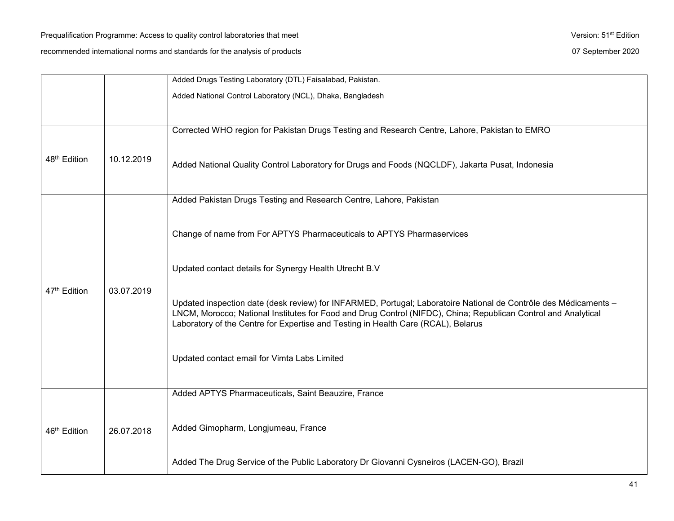|                          |            | Added Drugs Testing Laboratory (DTL) Faisalabad, Pakistan.                                                                                                                                                                                                                                                                                                              |
|--------------------------|------------|-------------------------------------------------------------------------------------------------------------------------------------------------------------------------------------------------------------------------------------------------------------------------------------------------------------------------------------------------------------------------|
|                          |            | Added National Control Laboratory (NCL), Dhaka, Bangladesh                                                                                                                                                                                                                                                                                                              |
|                          |            |                                                                                                                                                                                                                                                                                                                                                                         |
|                          |            | Corrected WHO region for Pakistan Drugs Testing and Research Centre, Lahore, Pakistan to EMRO                                                                                                                                                                                                                                                                           |
| 48 <sup>th</sup> Edition | 10.12.2019 | Added National Quality Control Laboratory for Drugs and Foods (NQCLDF), Jakarta Pusat, Indonesia                                                                                                                                                                                                                                                                        |
|                          |            | Added Pakistan Drugs Testing and Research Centre, Lahore, Pakistan                                                                                                                                                                                                                                                                                                      |
|                          | 03.07.2019 | Change of name from For APTYS Pharmaceuticals to APTYS Pharmaservices                                                                                                                                                                                                                                                                                                   |
|                          |            | Updated contact details for Synergy Health Utrecht B.V                                                                                                                                                                                                                                                                                                                  |
| 47 <sup>th</sup> Edition |            | Updated inspection date (desk review) for INFARMED, Portugal; Laboratoire National de Contrôle des Médicaments -<br>LNCM, Morocco; National Institutes for Food and Drug Control (NIFDC), China; Republican Control and Analytical<br>Laboratory of the Centre for Expertise and Testing in Health Care (RCAL), Belarus<br>Updated contact email for Vimta Labs Limited |
|                          |            | Added APTYS Pharmaceuticals, Saint Beauzire, France                                                                                                                                                                                                                                                                                                                     |
| 46 <sup>th</sup> Edition | 26.07.2018 | Added Gimopharm, Longjumeau, France                                                                                                                                                                                                                                                                                                                                     |
|                          |            | Added The Drug Service of the Public Laboratory Dr Giovanni Cysneiros (LACEN-GO), Brazil                                                                                                                                                                                                                                                                                |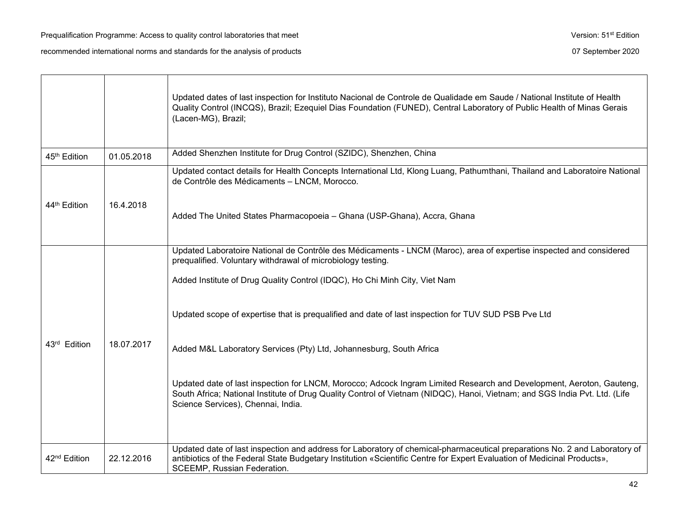SCEEMP, Russian Federation.

Updated dates of last inspection for Instituto Nacional de Controle de Qualidade em Saude / National Institute of Health Quality Control (INCQS), Brazil; Ezequiel Dias Foundation (FUNED), Central Laboratory of Public Health of Minas Gerais (Lacen-MG), Brazil; 45<sup>th</sup> Edition 01.05.2018 Added Shenzhen Institute for Drug Control (SZIDC), Shenzhen, China 44<sup>th</sup> Edition 16.4.2018 Updated contact details for Health Concepts International Ltd, Klong Luang, Pathumthani, Thailand and Laboratoire National de Contrôle des Médicaments – LNCM, Morocco. Added The United States Pharmacopoeia – Ghana (USP-Ghana), Accra, Ghana 43rd Edition 18.07.2017 Updated Laboratoire National de Contrôle des Médicaments - LNCM (Maroc), area of expertise inspected and considered prequalified. Voluntary withdrawal of microbiology testing. Added Institute of Drug Quality Control (IDQC), Ho Chi Minh City, Viet Nam Updated scope of expertise that is prequalified and date of last inspection for TUV SUD PSB Pve Ltd Added M&L Laboratory Services (Pty) Ltd, Johannesburg, South Africa Updated date of last inspection for LNCM, Morocco; Adcock Ingram Limited Research and Development, Aeroton, Gauteng, South Africa; National Institute of Drug Quality Control of Vietnam (NIDQC), Hanoi, Vietnam; and SGS India Pvt. Ltd. (Life Science Services), Chennai, India. 42<sup>nd</sup> Edition 1 22.12.2016 Updated date of last inspection and address for Laboratory of chemical-pharmaceutical preparations No. 2 and Laboratory of antibiotics of the Federal State Budgetary Institution «Scientific Centre for Expert Evaluation of Medicinal Products»,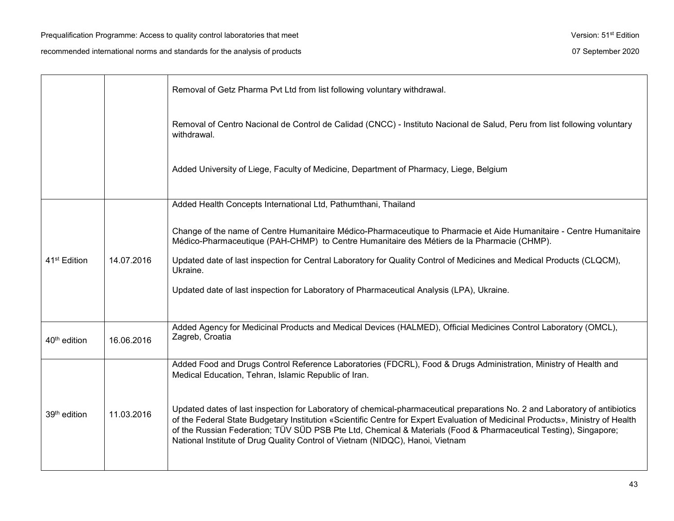|                          |            | Removal of Getz Pharma Pvt Ltd from list following voluntary withdrawal.                                                                                                                                                                                                                                                                                                                                                                                           |
|--------------------------|------------|--------------------------------------------------------------------------------------------------------------------------------------------------------------------------------------------------------------------------------------------------------------------------------------------------------------------------------------------------------------------------------------------------------------------------------------------------------------------|
|                          |            | Removal of Centro Nacional de Control de Calidad (CNCC) - Instituto Nacional de Salud, Peru from list following voluntary<br>withdrawal.                                                                                                                                                                                                                                                                                                                           |
|                          |            | Added University of Liege, Faculty of Medicine, Department of Pharmacy, Liege, Belgium                                                                                                                                                                                                                                                                                                                                                                             |
|                          |            | Added Health Concepts International Ltd, Pathumthani, Thailand                                                                                                                                                                                                                                                                                                                                                                                                     |
|                          |            | Change of the name of Centre Humanitaire Médico-Pharmaceutique to Pharmacie et Aide Humanitaire - Centre Humanitaire<br>Médico-Pharmaceutique (PAH-CHMP) to Centre Humanitaire des Métiers de la Pharmacie (CHMP).                                                                                                                                                                                                                                                 |
| 41 <sup>st</sup> Edition | 14.07.2016 | Updated date of last inspection for Central Laboratory for Quality Control of Medicines and Medical Products (CLQCM),<br>Ukraine.                                                                                                                                                                                                                                                                                                                                  |
|                          |            | Updated date of last inspection for Laboratory of Pharmaceutical Analysis (LPA), Ukraine.                                                                                                                                                                                                                                                                                                                                                                          |
| 40 <sup>th</sup> edition | 16.06.2016 | Added Agency for Medicinal Products and Medical Devices (HALMED), Official Medicines Control Laboratory (OMCL),<br>Zagreb, Croatia                                                                                                                                                                                                                                                                                                                                 |
|                          |            | Added Food and Drugs Control Reference Laboratories (FDCRL), Food & Drugs Administration, Ministry of Health and<br>Medical Education, Tehran, Islamic Republic of Iran.                                                                                                                                                                                                                                                                                           |
| 39 <sup>th</sup> edition | 11.03.2016 | Updated dates of last inspection for Laboratory of chemical-pharmaceutical preparations No. 2 and Laboratory of antibiotics<br>of the Federal State Budgetary Institution «Scientific Centre for Expert Evaluation of Medicinal Products», Ministry of Health<br>of the Russian Federation; TÜV SÜD PSB Pte Ltd, Chemical & Materials (Food & Pharmaceutical Testing), Singapore;<br>National Institute of Drug Quality Control of Vietnam (NIDQC), Hanoi, Vietnam |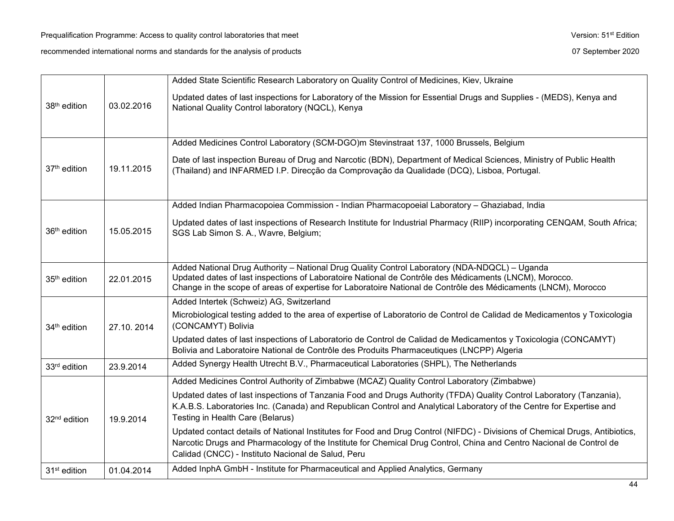|                          |            | Added State Scientific Research Laboratory on Quality Control of Medicines, Kiev, Ukraine                                                                                                                                                                                                                 |
|--------------------------|------------|-----------------------------------------------------------------------------------------------------------------------------------------------------------------------------------------------------------------------------------------------------------------------------------------------------------|
| 38 <sup>th</sup> edition | 03.02.2016 | Updated dates of last inspections for Laboratory of the Mission for Essential Drugs and Supplies - (MEDS), Kenya and<br>National Quality Control laboratory (NQCL), Kenya                                                                                                                                 |
|                          |            | Added Medicines Control Laboratory (SCM-DGO)m Stevinstraat 137, 1000 Brussels, Belgium                                                                                                                                                                                                                    |
| 37 <sup>th</sup> edition | 19.11.2015 | Date of last inspection Bureau of Drug and Narcotic (BDN), Department of Medical Sciences, Ministry of Public Health<br>(Thailand) and INFARMED I.P. Direcção da Comprovação da Qualidade (DCQ), Lisboa, Portugal.                                                                                        |
|                          |            | Added Indian Pharmacopoiea Commission - Indian Pharmacopoeial Laboratory - Ghaziabad, India                                                                                                                                                                                                               |
| 36 <sup>th</sup> edition | 15.05.2015 | Updated dates of last inspections of Research Institute for Industrial Pharmacy (RIIP) incorporating CENQAM, South Africa;<br>SGS Lab Simon S. A., Wavre, Belgium;                                                                                                                                        |
|                          |            | Added National Drug Authority - National Drug Quality Control Laboratory (NDA-NDQCL) - Uganda                                                                                                                                                                                                             |
| 35 <sup>th</sup> edition | 22.01.2015 | Updated dates of last inspections of Laboratoire National de Contrôle des Médicaments (LNCM), Morocco.<br>Change in the scope of areas of expertise for Laboratoire National de Contrôle des Médicaments (LNCM), Morocco                                                                                  |
|                          |            | Added Intertek (Schweiz) AG, Switzerland                                                                                                                                                                                                                                                                  |
| 34 <sup>th</sup> edition | 27.10.2014 | Microbiological testing added to the area of expertise of Laboratorio de Control de Calidad de Medicamentos y Toxicologia<br>(CONCAMYT) Bolivia                                                                                                                                                           |
|                          |            | Updated dates of last inspections of Laboratorio de Control de Calidad de Medicamentos y Toxicologia (CONCAMYT)<br>Bolivia and Laboratoire National de Contrôle des Produits Pharmaceutiques (LNCPP) Algeria                                                                                              |
| 33rd edition             | 23.9.2014  | Added Synergy Health Utrecht B.V., Pharmaceutical Laboratories (SHPL), The Netherlands                                                                                                                                                                                                                    |
|                          | 19.9.2014  | Added Medicines Control Authority of Zimbabwe (MCAZ) Quality Control Laboratory (Zimbabwe)                                                                                                                                                                                                                |
| 32 <sup>nd</sup> edition |            | Updated dates of last inspections of Tanzania Food and Drugs Authority (TFDA) Quality Control Laboratory (Tanzania),<br>K.A.B.S. Laboratories Inc. (Canada) and Republican Control and Analytical Laboratory of the Centre for Expertise and<br>Testing in Health Care (Belarus)                          |
|                          |            | Updated contact details of National Institutes for Food and Drug Control (NIFDC) - Divisions of Chemical Drugs, Antibiotics,<br>Narcotic Drugs and Pharmacology of the Institute for Chemical Drug Control, China and Centro Nacional de Control de<br>Calidad (CNCC) - Instituto Nacional de Salud, Peru |
| 31 <sup>st</sup> edition | 01.04.2014 | Added InphA GmbH - Institute for Pharmaceutical and Applied Analytics, Germany                                                                                                                                                                                                                            |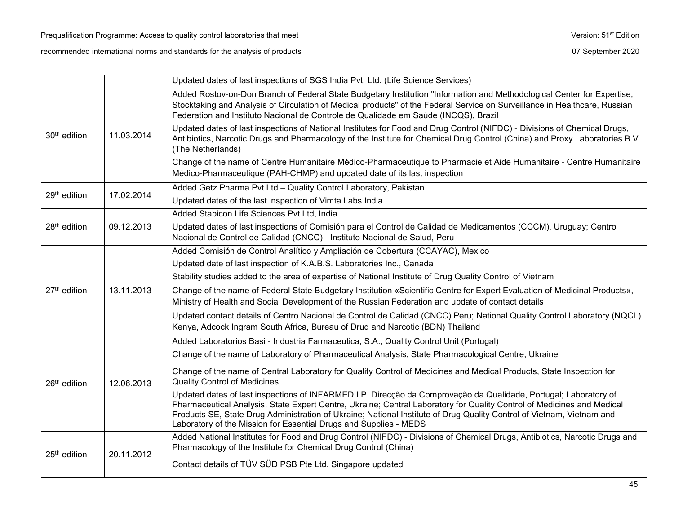|                          |            | Updated dates of last inspections of SGS India Pvt. Ltd. (Life Science Services)                                                                                                                                                                                                                                                                                                                                                                                                                                                                                                                         |
|--------------------------|------------|----------------------------------------------------------------------------------------------------------------------------------------------------------------------------------------------------------------------------------------------------------------------------------------------------------------------------------------------------------------------------------------------------------------------------------------------------------------------------------------------------------------------------------------------------------------------------------------------------------|
| 30 <sup>th</sup> edition | 11.03.2014 | Added Rostov-on-Don Branch of Federal State Budgetary Institution "Information and Methodological Center for Expertise,<br>Stocktaking and Analysis of Circulation of Medical products" of the Federal Service on Surveillance in Healthcare, Russian<br>Federation and Instituto Nacional de Controle de Qualidade em Saúde (INCQS), Brazil<br>Updated dates of last inspections of National Institutes for Food and Drug Control (NIFDC) - Divisions of Chemical Drugs,<br>Antibiotics, Narcotic Drugs and Pharmacology of the Institute for Chemical Drug Control (China) and Proxy Laboratories B.V. |
|                          |            | (The Netherlands)<br>Change of the name of Centre Humanitaire Médico-Pharmaceutique to Pharmacie et Aide Humanitaire - Centre Humanitaire<br>Médico-Pharmaceutique (PAH-CHMP) and updated date of its last inspection                                                                                                                                                                                                                                                                                                                                                                                    |
| 29 <sup>th</sup> edition | 17.02.2014 | Added Getz Pharma Pvt Ltd - Quality Control Laboratory, Pakistan                                                                                                                                                                                                                                                                                                                                                                                                                                                                                                                                         |
|                          |            | Updated dates of the last inspection of Vimta Labs India                                                                                                                                                                                                                                                                                                                                                                                                                                                                                                                                                 |
|                          |            | Added Stabicon Life Sciences Pvt Ltd, India                                                                                                                                                                                                                                                                                                                                                                                                                                                                                                                                                              |
| 28 <sup>th</sup> edition | 09.12.2013 | Updated dates of last inspections of Comisión para el Control de Calidad de Medicamentos (CCCM), Uruguay; Centro<br>Nacional de Control de Calidad (CNCC) - Instituto Nacional de Salud, Peru                                                                                                                                                                                                                                                                                                                                                                                                            |
|                          |            | Added Comisión de Control Analítico y Ampliación de Cobertura (CCAYAC), Mexico                                                                                                                                                                                                                                                                                                                                                                                                                                                                                                                           |
|                          |            | Updated date of last inspection of K.A.B.S. Laboratories Inc., Canada                                                                                                                                                                                                                                                                                                                                                                                                                                                                                                                                    |
|                          |            | Stability studies added to the area of expertise of National Institute of Drug Quality Control of Vietnam                                                                                                                                                                                                                                                                                                                                                                                                                                                                                                |
| $27th$ edition           | 13.11.2013 | Change of the name of Federal State Budgetary Institution «Scientific Centre for Expert Evaluation of Medicinal Products»,<br>Ministry of Health and Social Development of the Russian Federation and update of contact details                                                                                                                                                                                                                                                                                                                                                                          |
|                          |            | Updated contact details of Centro Nacional de Control de Calidad (CNCC) Peru; National Quality Control Laboratory (NQCL)<br>Kenya, Adcock Ingram South Africa, Bureau of Drud and Narcotic (BDN) Thailand                                                                                                                                                                                                                                                                                                                                                                                                |
|                          |            | Added Laboratorios Basi - Industria Farmaceutica, S.A., Quality Control Unit (Portugal)                                                                                                                                                                                                                                                                                                                                                                                                                                                                                                                  |
|                          | 12.06.2013 | Change of the name of Laboratory of Pharmaceutical Analysis, State Pharmacological Centre, Ukraine                                                                                                                                                                                                                                                                                                                                                                                                                                                                                                       |
| 26 <sup>th</sup> edition |            | Change of the name of Central Laboratory for Quality Control of Medicines and Medical Products, State Inspection for<br><b>Quality Control of Medicines</b>                                                                                                                                                                                                                                                                                                                                                                                                                                              |
|                          |            | Updated dates of last inspections of INFARMED I.P. Direcção da Comprovação da Qualidade, Portugal; Laboratory of<br>Pharmaceutical Analysis, State Expert Centre, Ukraine; Central Laboratory for Quality Control of Medicines and Medical<br>Products SE, State Drug Administration of Ukraine; National Institute of Drug Quality Control of Vietnam, Vietnam and<br>Laboratory of the Mission for Essential Drugs and Supplies - MEDS                                                                                                                                                                 |
|                          | 20.11.2012 | Added National Institutes for Food and Drug Control (NIFDC) - Divisions of Chemical Drugs, Antibiotics, Narcotic Drugs and<br>Pharmacology of the Institute for Chemical Drug Control (China)                                                                                                                                                                                                                                                                                                                                                                                                            |
| $25th$ edition           |            | Contact details of TÜV SÜD PSB Pte Ltd, Singapore updated                                                                                                                                                                                                                                                                                                                                                                                                                                                                                                                                                |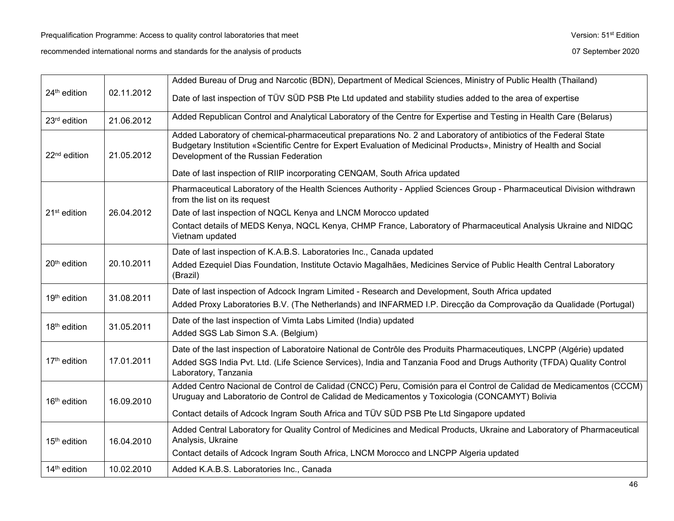|                          |            | Added Bureau of Drug and Narcotic (BDN), Department of Medical Sciences, Ministry of Public Health (Thailand)                                                                                                                                                                      |
|--------------------------|------------|------------------------------------------------------------------------------------------------------------------------------------------------------------------------------------------------------------------------------------------------------------------------------------|
| 24 <sup>th</sup> edition | 02.11.2012 | Date of last inspection of TÜV SÜD PSB Pte Ltd updated and stability studies added to the area of expertise                                                                                                                                                                        |
| 23rd edition             | 21.06.2012 | Added Republican Control and Analytical Laboratory of the Centre for Expertise and Testing in Health Care (Belarus)                                                                                                                                                                |
| 22 <sup>nd</sup> edition | 21.05.2012 | Added Laboratory of chemical-pharmaceutical preparations No. 2 and Laboratory of antibiotics of the Federal State<br>Budgetary Institution «Scientific Centre for Expert Evaluation of Medicinal Products», Ministry of Health and Social<br>Development of the Russian Federation |
|                          |            | Date of last inspection of RIIP incorporating CENQAM, South Africa updated                                                                                                                                                                                                         |
|                          |            | Pharmaceutical Laboratory of the Health Sciences Authority - Applied Sciences Group - Pharmaceutical Division withdrawn<br>from the list on its request                                                                                                                            |
| $21st$ edition           | 26.04.2012 | Date of last inspection of NQCL Kenya and LNCM Morocco updated                                                                                                                                                                                                                     |
|                          |            | Contact details of MEDS Kenya, NQCL Kenya, CHMP France, Laboratory of Pharmaceutical Analysis Ukraine and NIDQC<br>Vietnam updated                                                                                                                                                 |
|                          |            | Date of last inspection of K.A.B.S. Laboratories Inc., Canada updated                                                                                                                                                                                                              |
| 20 <sup>th</sup> edition | 20.10.2011 | Added Ezequiel Dias Foundation, Institute Octavio Magalhães, Medicines Service of Public Health Central Laboratory<br>(Brazil)                                                                                                                                                     |
|                          | 31.08.2011 | Date of last inspection of Adcock Ingram Limited - Research and Development, South Africa updated                                                                                                                                                                                  |
| 19 <sup>th</sup> edition |            | Added Proxy Laboratories B.V. (The Netherlands) and INFARMED I.P. Direcção da Comprovação da Qualidade (Portugal)                                                                                                                                                                  |
| $18th$ edition           | 31.05.2011 | Date of the last inspection of Vimta Labs Limited (India) updated<br>Added SGS Lab Simon S.A. (Belgium)                                                                                                                                                                            |
|                          |            | Date of the last inspection of Laboratoire National de Contrôle des Produits Pharmaceutiques, LNCPP (Algérie) updated                                                                                                                                                              |
| 17 <sup>th</sup> edition | 17.01.2011 | Added SGS India Pvt. Ltd. (Life Science Services), India and Tanzania Food and Drugs Authority (TFDA) Quality Control<br>Laboratory, Tanzania                                                                                                                                      |
| 16 <sup>th</sup> edition | 16.09.2010 | Added Centro Nacional de Control de Calidad (CNCC) Peru, Comisión para el Control de Calidad de Medicamentos (CCCM)<br>Uruguay and Laboratorio de Control de Calidad de Medicamentos y Toxicologia (CONCAMYT) Bolivia                                                              |
|                          |            | Contact details of Adcock Ingram South Africa and TÜV SÜD PSB Pte Ltd Singapore updated                                                                                                                                                                                            |
| $15th$ edition           | 16.04.2010 | Added Central Laboratory for Quality Control of Medicines and Medical Products, Ukraine and Laboratory of Pharmaceutical<br>Analysis, Ukraine                                                                                                                                      |
|                          |            | Contact details of Adcock Ingram South Africa, LNCM Morocco and LNCPP Algeria updated                                                                                                                                                                                              |
| 14 <sup>th</sup> edition | 10.02.2010 | Added K.A.B.S. Laboratories Inc., Canada                                                                                                                                                                                                                                           |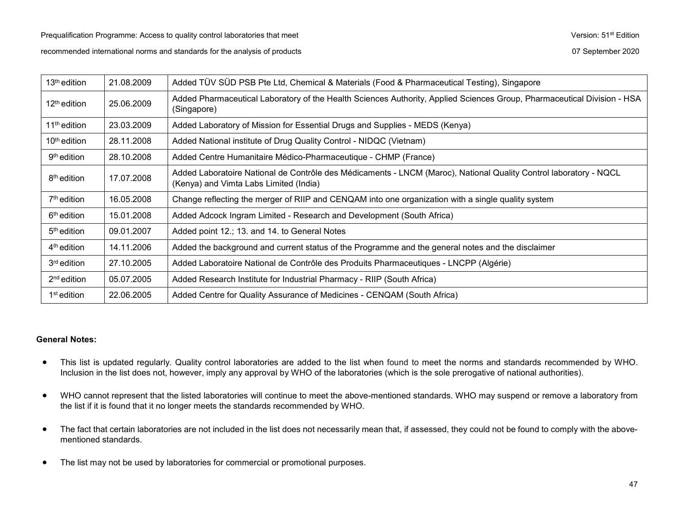| $13th$ edition           | 21.08.2009 | Added TÜV SÜD PSB Pte Ltd, Chemical & Materials (Food & Pharmaceutical Testing), Singapore                                                                  |
|--------------------------|------------|-------------------------------------------------------------------------------------------------------------------------------------------------------------|
| $12th$ edition           | 25.06.2009 | Added Pharmaceutical Laboratory of the Health Sciences Authority, Applied Sciences Group, Pharmaceutical Division - HSA<br>(Singapore)                      |
| 11 <sup>th</sup> edition | 23.03.2009 | Added Laboratory of Mission for Essential Drugs and Supplies - MEDS (Kenya)                                                                                 |
| 10 <sup>th</sup> edition | 28.11.2008 | Added National institute of Drug Quality Control - NIDQC (Vietnam)                                                                                          |
| 9 <sup>th</sup> edition  | 28.10.2008 | Added Centre Humanitaire Médico-Pharmaceutique - CHMP (France)                                                                                              |
| 8 <sup>th</sup> edition  | 17.07.2008 | Added Laboratoire National de Contrôle des Médicaments - LNCM (Maroc), National Quality Control laboratory - NQCL<br>(Kenya) and Vimta Labs Limited (India) |
| $7th$ edition            | 16.05.2008 | Change reflecting the merger of RIIP and CENQAM into one organization with a single quality system                                                          |
| $6th$ edition            | 15.01.2008 | Added Adcock Ingram Limited - Research and Development (South Africa)                                                                                       |
| $5th$ edition            | 09.01.2007 | Added point 12.; 13. and 14. to General Notes                                                                                                               |
| $4th$ edition            | 14.11.2006 | Added the background and current status of the Programme and the general notes and the disclaimer                                                           |
| 3 <sup>rd</sup> edition  | 27.10.2005 | Added Laboratoire National de Contrôle des Produits Pharmaceutiques - LNCPP (Algérie)                                                                       |
| $2nd$ edition            | 05.07.2005 | Added Research Institute for Industrial Pharmacy - RIIP (South Africa)                                                                                      |
| 1 <sup>st</sup> edition  | 22.06.2005 | Added Centre for Quality Assurance of Medicines - CENQAM (South Africa)                                                                                     |

### **General Notes:**

- This list is updated regularly. Quality control laboratories are added to the list when found to meet the norms and standards recommended by WHO. Inclusion in the list does not, however, imply any approval by WHO of the laboratories (which is the sole prerogative of national authorities).
- WHO cannot represent that the listed laboratories will continue to meet the above-mentioned standards. WHO may suspend or remove a laboratory from the list if it is found that it no longer meets the standards recommended by WHO.
- The fact that certain laboratories are not included in the list does not necessarily mean that, if assessed, they could not be found to comply with the abovementioned standards.
- The list may not be used by laboratories for commercial or promotional purposes.